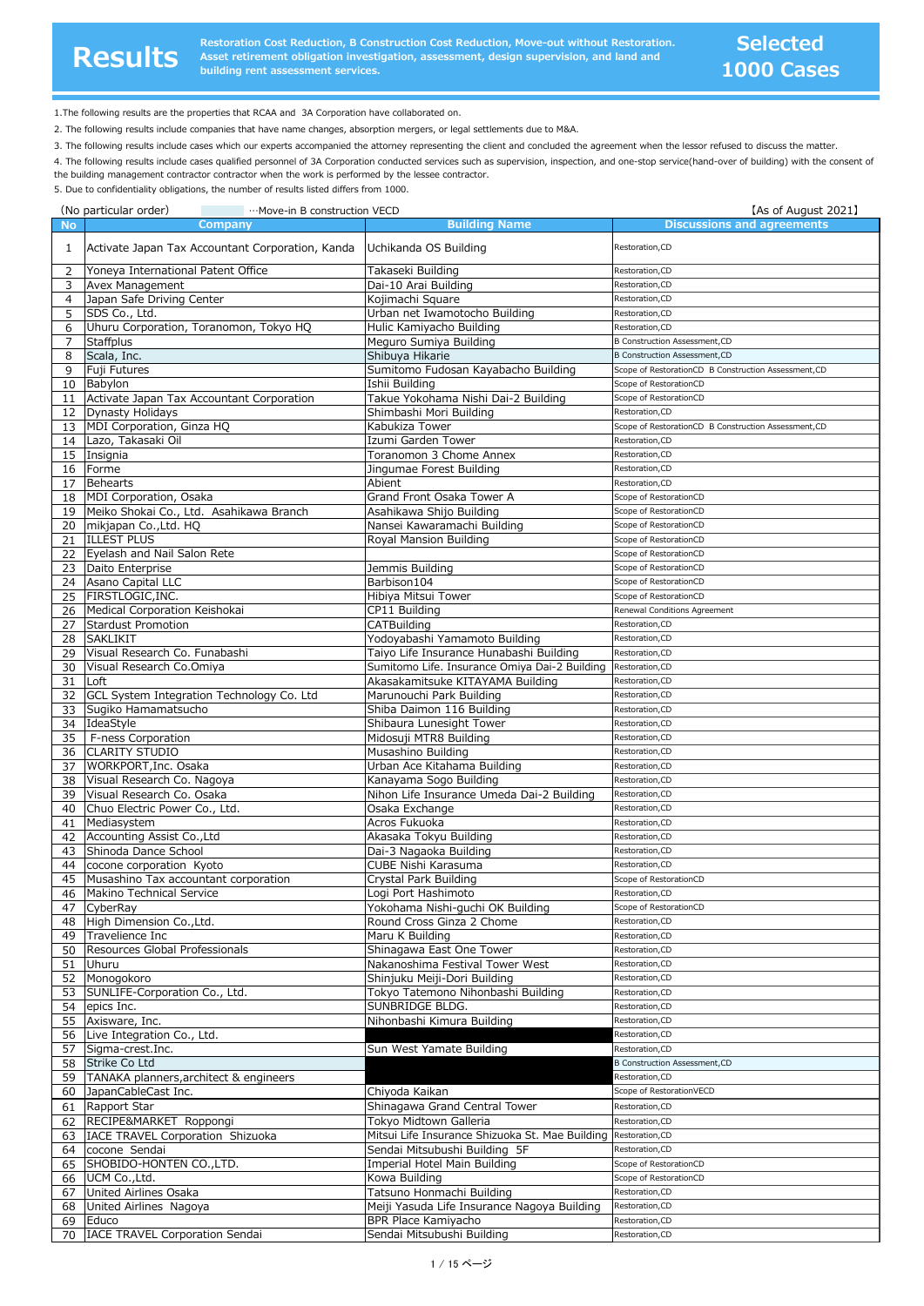**原**

**状**

**Restoration Cost Reduction, B Construction Cost Reduction, Move-out without Restoration.**<br> **ReSUITS** Asset retirement obligation investigation, assessment, design supervision, and land and<br> **ReSUITS Asset retirement acc building rent assessment services.**

1.The following results are the properties that RCAA and 3A Corporation have collaborated on.

2. The following results include companies that have name changes, absorption mergers, or legal settlements due to M&A.

3. The following results include cases which our experts accompanied the attorney representing the client and concluded the agreement when the lessor refused to discuss the matter.

4. The following results include cases qualified personnel of 3A Corporation conducted services such as supervision, inspection, and one-stop service(hand-over of building) with the consent of the building management contractor contractor when the work is performed by the lessee contractor.

5. Due to confidentiality obligations, the number of results listed differs from 1000.

|           | (No particular order)<br><b>Example 12 ···· Move-in B construction VECD</b> |                                                                          | [As of August 2021]                                                    |
|-----------|-----------------------------------------------------------------------------|--------------------------------------------------------------------------|------------------------------------------------------------------------|
| <b>No</b> | Company                                                                     | <b>Building Name</b>                                                     | <b>Discussions and agreements</b>                                      |
| 1         | Activate Japan Tax Accountant Corporation, Kanda                            | Uchikanda OS Building                                                    | Restoration, CD                                                        |
| 2         | Yoneya International Patent Office                                          | Takaseki Building                                                        | Restoration, CD                                                        |
| 3         | Avex Management                                                             | Dai-10 Arai Building                                                     | Restoration, CD                                                        |
| 4         | Japan Safe Driving Center                                                   | Kojimachi Square                                                         | Restoration, CD                                                        |
| 5         | SDS Co., Ltd.                                                               | Urban net Iwamotocho Building                                            | Restoration, CD                                                        |
| 6<br>7    | Uhuru Corporation, Toranomon, Tokyo HQ                                      | Hulic Kamiyacho Building                                                 | Restoration, CD<br><b>B Construction Assessment, CD</b>                |
| 8         | <b>Staffplus</b><br>Scala, Inc.                                             | Meguro Sumiya Building<br>Shibuya Hikarie                                | <b>B Construction Assessment, CD</b>                                   |
| 9         | Fuji Futures                                                                | Sumitomo Fudosan Kayabacho Building                                      | Scope of RestorationCD B Construction Assessment,CD                    |
| 10        | Babylon                                                                     | Ishii Building                                                           | Scope of RestorationCD                                                 |
| 11        | Activate Japan Tax Accountant Corporation                                   | Takue Yokohama Nishi Dai-2 Building                                      | Scope of RestorationCD                                                 |
| 12        | <b>Dynasty Holidays</b>                                                     | Shimbashi Mori Building                                                  | Restoration, CD                                                        |
| 13<br>14  | MDI Corporation, Ginza HQ<br>Lazo, Takasaki Oil                             | Kabukiza Tower<br>Izumi Garden Tower                                     | Scope of RestorationCD B Construction Assessment,CD<br>Restoration, CD |
| 15        | Insignia                                                                    | Toranomon 3 Chome Annex                                                  | Restoration, CD                                                        |
| 16        | Forme                                                                       | Jingumae Forest Building                                                 | Restoration, CD                                                        |
| 17        | <b>Behearts</b>                                                             | Abient                                                                   | Restoration, CD                                                        |
| 18        | MDI Corporation, Osaka                                                      | Grand Front Osaka Tower A                                                | Scope of RestorationCD                                                 |
| 19        | Meiko Shokai Co., Ltd. Asahikawa Branch<br>mikjapan Co., Ltd. HQ            | Asahikawa Shijo Building                                                 | Scope of RestorationCD<br>Scope of RestorationCD                       |
| 20<br>21  | <b>ILLEST PLUS</b>                                                          | Nansei Kawaramachi Building<br>Royal Mansion Building                    | Scope of RestorationCD                                                 |
| 22        | Eyelash and Nail Salon Rete                                                 |                                                                          | Scope of RestorationCD                                                 |
| 23        | Daito Enterprise                                                            | Jemmis Building                                                          | Scope of RestorationCD                                                 |
| 24        | Asano Capital LLC                                                           | Barbison104                                                              | Scope of RestorationCD                                                 |
| 25        | FIRSTLOGIC, INC.                                                            | Hibiya Mitsui Tower                                                      | Scope of RestorationCD                                                 |
| 26        | Medical Corporation Keishokai                                               | CP11 Building<br><b>CATBuilding</b>                                      | Renewal Conditions Agreement                                           |
| 27<br>28  | <b>Stardust Promotion</b><br><b>SAKLIKIT</b>                                | Yodoyabashi Yamamoto Building                                            | Restoration, CD<br>Restoration, CD                                     |
| 29        | Visual Research Co. Funabashi                                               | Taiyo Life Insurance Hunabashi Building                                  | Restoration, CD                                                        |
| 30        | Visual Research Co.Omiya                                                    | Sumitomo Life. Insurance Omiya Dai-2 Building                            | Restoration, CD                                                        |
| 31        | Loft                                                                        | Akasakamitsuke KITAYAMA Building                                         | Restoration,CD                                                         |
| 32        | GCL System Integration Technology Co. Ltd                                   | Marunouchi Park Building                                                 | Restoration,CD                                                         |
| 33        | Sugiko Hamamatsucho<br>IdeaStyle                                            | Shiba Daimon 116 Building                                                | Restoration,CD<br>Restoration,CD                                       |
| 34<br>35  | F-ness Corporation                                                          | Shibaura Lunesight Tower<br>Midosuji MTR8 Building                       | Restoration, CD                                                        |
| 36        | <b>CLARITY STUDIO</b>                                                       | Musashino Building                                                       | Restoration, CD                                                        |
| 37        | WORKPORT, Inc. Osaka                                                        | Urban Ace Kitahama Building                                              | Restoration, CD                                                        |
| 38        | Visual Research Co. Nagoya                                                  | Kanayama Sogo Building                                                   | Restoration, CD                                                        |
| 39        | Visual Research Co. Osaka                                                   | Nihon Life Insurance Umeda Dai-2 Building                                | Restoration, CD                                                        |
| 40<br>41  | Chuo Electric Power Co., Ltd.<br>Mediasystem                                | Osaka Exchange<br>Acros Fukuoka                                          | Restoration, CD<br>Restoration, CD                                     |
| 42        | Accounting Assist Co., Ltd                                                  | Akasaka Tokyu Building                                                   | Restoration, CD                                                        |
| 43        | Shinoda Dance School                                                        | Dai-3 Nagaoka Building                                                   | Restoration, CD                                                        |
| 44        | cocone corporation Kyoto                                                    | CUBE Nishi Karasuma                                                      | Restoration, CD                                                        |
| 45        | Musashino Tax accountant corporation                                        | Crystal Park Building                                                    | Scope of RestorationCD                                                 |
|           | 46 Makino Technical Service                                                 | Logi Port Hashimoto                                                      | Restoration, CD                                                        |
|           | 47 CyberRay<br>48 High Dimension Co., Ltd.                                  | Yokohama Nishi-guchi OK Building<br>Round Cross Ginza 2 Chome            | Scope of RestorationCD<br>Restoration, CD                              |
|           | 49 Travelience Inc                                                          | Maru K Building                                                          | Restoration, CD                                                        |
|           | 50 Resources Global Professionals                                           | Shinagawa East One Tower                                                 | Restoration, CD                                                        |
| 51        | Uhuru                                                                       | Nakanoshima Festival Tower West                                          | Restoration, CD                                                        |
| 52        | Monogokoro                                                                  | Shinjuku Meiji-Dori Building                                             | Restoration, CD                                                        |
| 53<br>54  | SUNLIFE-Corporation Co., Ltd.<br>epics Inc.                                 | Tokyo Tatemono Nihonbashi Building<br>SUNBRIDGE BLDG.                    | Restoration, CD<br>Restoration, CD                                     |
| 55        | Axisware, Inc.                                                              | Nihonbashi Kimura Building                                               | Restoration, CD                                                        |
| 56        | Live Integration Co., Ltd.                                                  |                                                                          | Restoration, CD                                                        |
| 57        | Sigma-crest.Inc.                                                            | Sun West Yamate Building                                                 | Restoration, CD                                                        |
| 58        | Strike Co Ltd                                                               |                                                                          | <b>B Construction Assessment, CD</b>                                   |
| 59        | TANAKA planners, architect & engineers                                      |                                                                          | Restoration,CD                                                         |
|           | 60 JapanCableCast Inc.<br>Rapport Star                                      | Chiyoda Kaikan<br>Shinagawa Grand Central Tower                          | Scope of RestorationVECD<br>Restoration, CD                            |
| 61        | 62 RECIPE&MARKET Roppongi                                                   | Tokyo Midtown Galleria                                                   | Restoration, CD                                                        |
| 63        | IACE TRAVEL Corporation Shizuoka                                            | Mitsui Life Insurance Shizuoka St. Mae Building                          | Restoration, CD                                                        |
| 64        | cocone Sendai                                                               | Sendai Mitsubushi Building 5F                                            | Restoration, CD                                                        |
| 65        | SHOBIDO-HONTEN CO., LTD.                                                    | Imperial Hotel Main Building                                             | Scope of RestorationCD                                                 |
|           | 66 UCM Co., Ltd.                                                            | Kowa Building                                                            | Scope of RestorationCD                                                 |
| 67<br>68  | United Airlines Osaka<br>United Airlines Nagoya                             | Tatsuno Honmachi Building<br>Meiji Yasuda Life Insurance Nagoya Building | Restoration, CD<br>Restoration, CD                                     |
| 69        | Educo                                                                       | BPR Place Kamiyacho                                                      | Restoration, CD                                                        |
| 70        | IACE TRAVEL Corporation Sendai                                              | Sendai Mitsubushi Building                                               | Restoration, CD                                                        |
|           |                                                                             |                                                                          |                                                                        |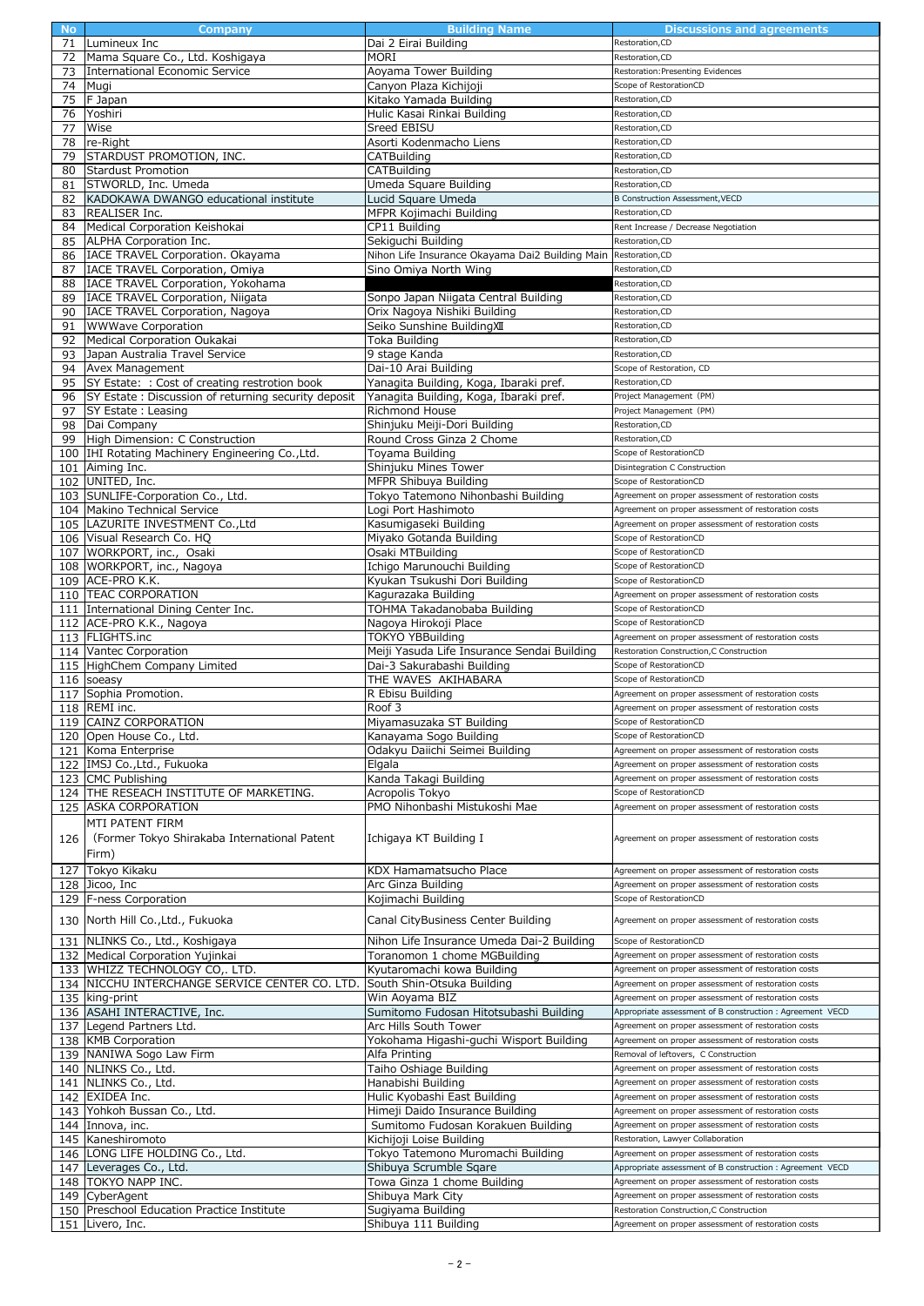| <b>No</b> | Company                                                        | <b>Building Name</b>                            | <b>Discussions and agreements</b>                                                               |
|-----------|----------------------------------------------------------------|-------------------------------------------------|-------------------------------------------------------------------------------------------------|
| 71        | Lumineux Inc                                                   | Dai 2 Eirai Building                            | Restoration, CD                                                                                 |
| 72        | Mama Square Co., Ltd. Koshigaya                                | <b>MORI</b>                                     | Restoration, CD                                                                                 |
| 73        | International Economic Service                                 | Aoyama Tower Building                           | Restoration: Presenting Evidences                                                               |
| 74        | Mugi                                                           | Canyon Plaza Kichijoji                          | Scope of RestorationCD                                                                          |
| 75        | F Japan                                                        | Kitako Yamada Building                          | Restoration, CD                                                                                 |
|           |                                                                |                                                 |                                                                                                 |
| 76        | Yoshiri                                                        | Hulic Kasai Rinkai Building                     | Restoration, CD                                                                                 |
| 77        | Wise                                                           | Sreed EBISU                                     | Restoration, CD                                                                                 |
| 78        | re-Right                                                       | Asorti Kodenmacho Liens                         | Restoration, CD                                                                                 |
| 79        | STARDUST PROMOTION, INC.                                       | CATBuilding                                     | Restoration, CD                                                                                 |
| 80        | <b>Stardust Promotion</b>                                      | CATBuilding                                     | Restoration, CD                                                                                 |
| 81        | STWORLD, Inc. Umeda                                            | Umeda Square Building                           | Restoration, CD                                                                                 |
| 82        | KADOKAWA DWANGO educational institute                          | Lucid Square Umeda                              | <b>B Construction Assessment, VECD</b>                                                          |
| 83        | <b>REALISER Inc.</b>                                           | MFPR Kojimachi Building                         | Restoration, CD                                                                                 |
|           |                                                                |                                                 |                                                                                                 |
| 84        | Medical Corporation Keishokai                                  | CP11 Building                                   | Rent Increase / Decrease Negotiation                                                            |
| 85        | ALPHA Corporation Inc.                                         | Sekiguchi Building                              | Restoration, CD                                                                                 |
| 86        | IACE TRAVEL Corporation. Okayama                               | Nihon Life Insurance Okayama Dai2 Building Main | Restoration, CD                                                                                 |
| 87        | IACE TRAVEL Corporation, Omiya                                 | Sino Omiya North Wing                           | Restoration, CD                                                                                 |
| 88        | IACE TRAVEL Corporation, Yokohama                              |                                                 | Restoration, CD                                                                                 |
| 89        | IACE TRAVEL Corporation, Niigata                               | Sonpo Japan Niigata Central Building            | Restoration, CD                                                                                 |
| 90        | IACE TRAVEL Corporation, Nagoya                                | Orix Nagoya Nishiki Building                    | Restoration, CD                                                                                 |
| 91        | <b>WWWave Corporation</b>                                      | Seiko Sunshine BuildingXII                      | Restoration, CD                                                                                 |
|           |                                                                |                                                 | Restoration, CD                                                                                 |
| 92        | Medical Corporation Oukakai                                    | Toka Building                                   |                                                                                                 |
| 93        | Japan Australia Travel Service                                 | 9 stage Kanda                                   | Restoration, CD                                                                                 |
| 94        | Avex Management                                                | Dai-10 Arai Building                            | Scope of Restoration, CD                                                                        |
| 95        | SY Estate: : Cost of creating restrotion book                  | Yanagita Building, Koga, Ibaraki pref.          | Restoration, CD                                                                                 |
| 96        | SY Estate : Discussion of returning security deposit           | Yanagita Building, Koga, Ibaraki pref.          | Project Management (PM)                                                                         |
| 97        | <b>SY Estate: Leasing</b>                                      | Richmond House                                  | Project Management (PM)                                                                         |
| 98        | Dai Company                                                    | Shinjuku Meiji-Dori Building                    | Restoration, CD                                                                                 |
| 99        | High Dimension: C Construction                                 | Round Cross Ginza 2 Chome                       | Restoration, CD                                                                                 |
|           | 100 IHI Rotating Machinery Engineering Co., Ltd.               |                                                 | Scope of RestorationCD                                                                          |
|           |                                                                | Toyama Building                                 |                                                                                                 |
|           | 101 Aiming Inc.                                                | Shinjuku Mines Tower                            | Disintegration C Construction                                                                   |
|           | 102 UNITED, Inc.                                               | MFPR Shibuya Building                           | Scope of RestorationCD                                                                          |
|           | 103 SUNLIFE-Corporation Co., Ltd.                              | Tokyo Tatemono Nihonbashi Building              | Agreement on proper assessment of restoration costs                                             |
|           | 104 Makino Technical Service                                   | Logi Port Hashimoto                             | Agreement on proper assessment of restoration costs                                             |
|           | 105   LAZURITE INVESTMENT Co., Ltd                             | Kasumigaseki Building                           | Agreement on proper assessment of restoration costs                                             |
|           | 106 Visual Research Co. HQ                                     | Miyako Gotanda Building                         | Scope of RestorationCD                                                                          |
|           | 107 WORKPORT, inc., Osaki                                      | Osaki MTBuilding                                | Scope of RestorationCD                                                                          |
|           |                                                                |                                                 |                                                                                                 |
|           | 108 WORKPORT, inc., Nagoya                                     | Ichigo Marunouchi Building                      | Scope of RestorationCD                                                                          |
|           | 109 ACE-PRO K.K.                                               | Kyukan Tsukushi Dori Building                   | Scope of RestorationCD                                                                          |
|           | 110 TEAC CORPORATION                                           | Kagurazaka Building                             | Agreement on proper assessment of restoration costs                                             |
|           | 111 International Dining Center Inc.                           | TOHMA Takadanobaba Building                     | Scope of RestorationCD                                                                          |
|           | 112 ACE-PRO K.K., Nagoya                                       | Nagoya Hirokoji Place                           | Scope of RestorationCD                                                                          |
|           |                                                                |                                                 |                                                                                                 |
|           |                                                                |                                                 | Agreement on proper assessment of restoration costs                                             |
|           | 113 FLIGHTS.inc                                                | TOKYO YBBuilding                                |                                                                                                 |
|           | 114 Vantec Corporation                                         | Meiji Yasuda Life Insurance Sendai Building     | Restoration Construction, C Construction                                                        |
|           | 115 HighChem Company Limited                                   | Dai-3 Sakurabashi Building                      | Scope of RestorationCD                                                                          |
|           | 116 soeasy                                                     | THE WAVES AKIHABARA                             | Scope of RestorationCD                                                                          |
|           | 117 Sophia Promotion.                                          | R Ebisu Building                                | Agreement on proper assessment of restoration costs                                             |
|           | 118 REMI inc.                                                  | Roof 3                                          | Agreement on proper assessment of restoration costs                                             |
|           | 119 CAINZ CORPORATION                                          | Miyamasuzaka ST Building                        | Scope of RestorationCD                                                                          |
|           | 120 Open House Co., Ltd.                                       | Kanayama Sogo Building                          | Scope of RestorationCD                                                                          |
|           | 121 Koma Enterprise                                            | Odakyu Daiichi Seimei Building                  | Agreement on proper assessment of restoration costs                                             |
|           | 122 IMSJ Co., Ltd., Fukuoka                                    | Elgala                                          | Agreement on proper assessment of restoration costs                                             |
|           | 123 CMC Publishing                                             | Kanda Takagi Building                           | Agreement on proper assessment of restoration costs                                             |
|           |                                                                |                                                 | Scope of RestorationCD                                                                          |
|           | 124 THE RESEACH INSTITUTE OF MARKETING.                        | Acropolis Tokyo                                 |                                                                                                 |
|           | 125 ASKA CORPORATION                                           | PMO Nihonbashi Mistukoshi Mae                   | Agreement on proper assessment of restoration costs                                             |
|           | MTI PATENT FIRM                                                |                                                 |                                                                                                 |
| 126       | (Former Tokyo Shirakaba International Patent                   | Ichigaya KT Building I                          | Agreement on proper assessment of restoration costs                                             |
|           | Firm)                                                          |                                                 |                                                                                                 |
|           |                                                                |                                                 |                                                                                                 |
| 127       | Tokyo Kikaku                                                   | KDX Hamamatsucho Place                          | Agreement on proper assessment of restoration costs                                             |
|           | 128 Jicoo, Inc                                                 | Arc Ginza Building                              | Agreement on proper assessment of restoration costs                                             |
|           | 129 F-ness Corporation                                         | Kojimachi Building                              | Scope of RestorationCD                                                                          |
|           | 130 North Hill Co., Ltd., Fukuoka                              | Canal CityBusiness Center Building              | Agreement on proper assessment of restoration costs                                             |
|           |                                                                |                                                 |                                                                                                 |
| 131       | NLINKS Co., Ltd., Koshigaya                                    | Nihon Life Insurance Umeda Dai-2 Building       | Scope of RestorationCD                                                                          |
|           | 132 Medical Corporation Yujinkai                               | Toranomon 1 chome MGBuilding                    | Agreement on proper assessment of restoration costs                                             |
|           | 133 WHIZZ TECHNOLOGY CO,. LTD.                                 | Kyutaromachi kowa Building                      | Agreement on proper assessment of restoration costs                                             |
|           | 134   NICCHU INTERCHANGE SERVICE CENTER CO. LTD.               | South Shin-Otsuka Building                      | Agreement on proper assessment of restoration costs                                             |
|           | 135 king-print                                                 | Win Aoyama BIZ                                  | Agreement on proper assessment of restoration costs                                             |
|           | 136 ASAHI INTERACTIVE, Inc.                                    | Sumitomo Fudosan Hitotsubashi Building          | Appropriate assessment of B construction : Agreement VECD                                       |
|           |                                                                |                                                 |                                                                                                 |
|           | 137 Legend Partners Ltd.                                       | Arc Hills South Tower                           | Agreement on proper assessment of restoration costs                                             |
|           | 138 KMB Corporation                                            | Yokohama Higashi-guchi Wisport Building         | Agreement on proper assessment of restoration costs                                             |
|           | 139 NANIWA Sogo Law Firm                                       | Alfa Printing                                   | Removal of leftovers, C Construction                                                            |
|           | 140 NLINKS Co., Ltd.                                           | Taiho Oshiage Building                          | Agreement on proper assessment of restoration costs                                             |
|           | 141 NLINKS Co., Ltd.                                           | Hanabishi Building                              | Agreement on proper assessment of restoration costs                                             |
|           | 142 EXIDEA Inc.                                                | Hulic Kyobashi East Building                    | Agreement on proper assessment of restoration costs                                             |
| 143       | Yohkoh Bussan Co., Ltd.                                        | Himeji Daido Insurance Building                 | Agreement on proper assessment of restoration costs                                             |
| 144       | Innova, inc.                                                   | Sumitomo Fudosan Korakuen Building              | Agreement on proper assessment of restoration costs                                             |
|           |                                                                |                                                 | Restoration, Lawyer Collaboration                                                               |
|           | 145 Kaneshiromoto                                              | Kichijoji Loise Building                        |                                                                                                 |
|           | 146 LONG LIFE HOLDING Co., Ltd.                                | Tokyo Tatemono Muromachi Building               | Agreement on proper assessment of restoration costs                                             |
|           | 147 Leverages Co., Ltd.                                        | Shibuya Scrumble Sqare                          | Appropriate assessment of B construction : Agreement VECD                                       |
|           | 148 TOKYO NAPP INC.                                            | Towa Ginza 1 chome Building                     | Agreement on proper assessment of restoration costs                                             |
| 149       | CyberAgent                                                     | Shibuya Mark City                               | Agreement on proper assessment of restoration costs                                             |
|           | 150 Preschool Education Practice Institute<br>151 Livero, Inc. | Sugiyama Building<br>Shibuya 111 Building       | Restoration Construction, C Construction<br>Agreement on proper assessment of restoration costs |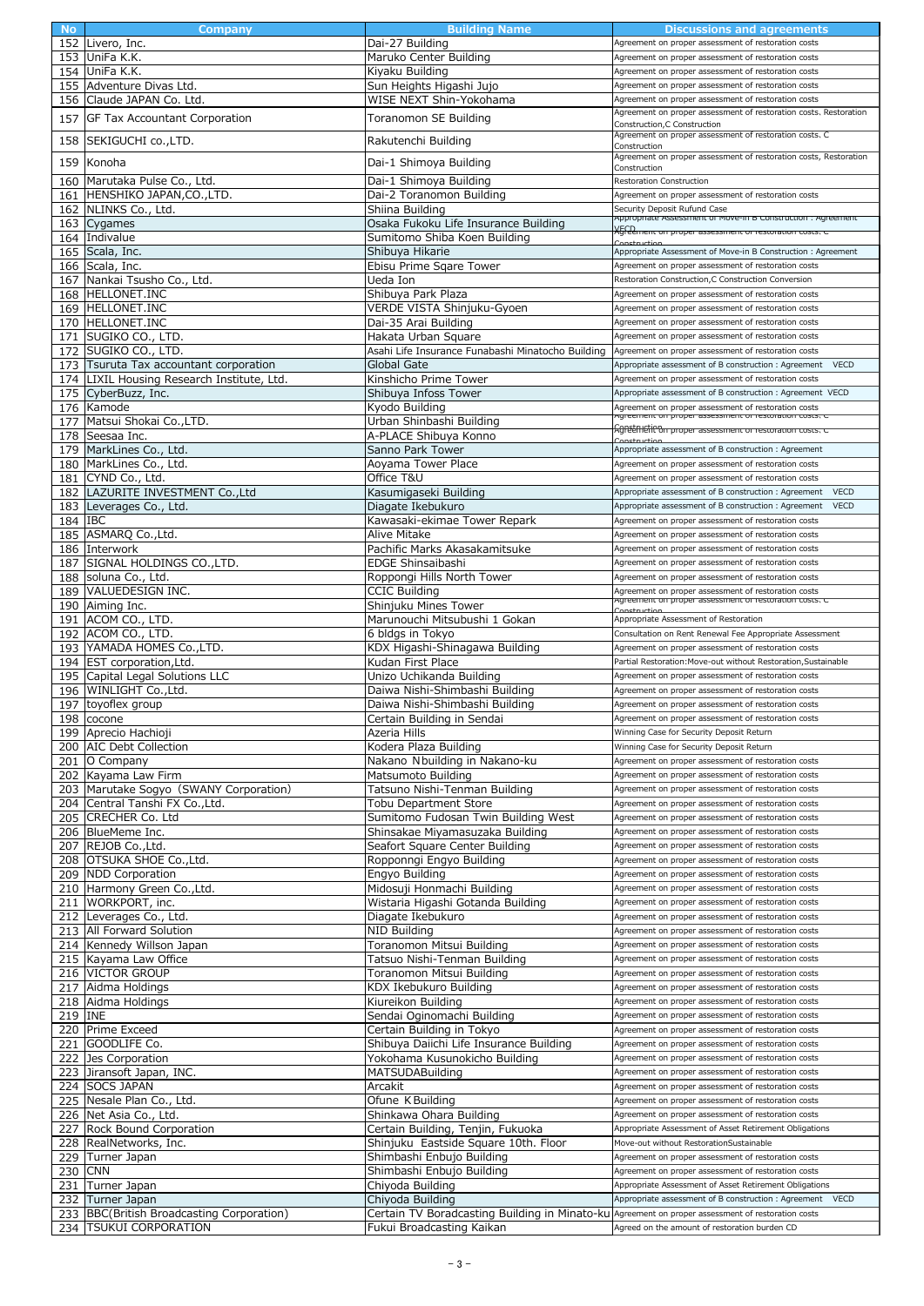| <b>No</b> | Company                                    | <b>Building Name</b>                                                                              | Discussions and agreements                                                                            |
|-----------|--------------------------------------------|---------------------------------------------------------------------------------------------------|-------------------------------------------------------------------------------------------------------|
|           | 152 Livero, Inc.                           | Dai-27 Building                                                                                   | Agreement on proper assessment of restoration costs                                                   |
|           | 153 UniFa K.K.                             |                                                                                                   | Agreement on proper assessment of restoration costs                                                   |
|           |                                            | Maruko Center Building                                                                            |                                                                                                       |
|           | 154 UniFa K.K.                             | Kivaku Building                                                                                   | Agreement on proper assessment of restoration costs                                                   |
|           | 155 Adventure Divas Ltd.                   | Sun Heights Higashi Jujo                                                                          | Agreement on proper assessment of restoration costs                                                   |
|           | 156 Claude JAPAN Co. Ltd.                  | WISE NEXT Shin-Yokohama                                                                           | Agreement on proper assessment of restoration costs                                                   |
|           |                                            |                                                                                                   | Agreement on proper assessment of restoration costs, Restoration                                      |
|           | 157 GF Tax Accountant Corporation          | Toranomon SE Building                                                                             | Construction, C Construction                                                                          |
|           |                                            |                                                                                                   | Agreement on proper assessment of restoration costs, C                                                |
|           | 158 SEKIGUCHI co., LTD.                    | Rakutenchi Building                                                                               | Construction                                                                                          |
|           |                                            |                                                                                                   | Agreement on proper assessment of restoration costs, Restoration                                      |
| 159       | Konoha                                     | Dai-1 Shimoya Building                                                                            | Construction                                                                                          |
|           | 160 Marutaka Pulse Co., Ltd.               | Dai-1 Shimoya Building                                                                            | <b>Restoration Construction</b>                                                                       |
|           | 161 HENSHIKO JAPAN, CO., LTD.              | Dai-2 Toranomon Building                                                                          | Agreement on proper assessment of restoration costs                                                   |
|           |                                            |                                                                                                   |                                                                                                       |
|           | 162 NLINKS Co., Ltd.                       | Shiina Building                                                                                   | Security Deposit Rufund Case<br>Appropriate Assessment or move-in B Construction : Agreement          |
|           | 163 Cygames                                | Osaka Fukoku Life Insurance Building                                                              |                                                                                                       |
|           | 164 Indivalue                              | Sumitomo Shiba Koen Building                                                                      | <u>XGFeement on proper assessment or restoration costs.</u>                                           |
|           | 165 Scala, Inc.                            | Shibuya Hikarie                                                                                   | Appropriate Assessment of Move-in B Construction : Agreement                                          |
|           | 166 Scala, Inc.                            | Ebisu Prime Sqare Tower                                                                           | Agreement on proper assessment of restoration costs                                                   |
|           |                                            |                                                                                                   |                                                                                                       |
|           | 167 Nankai Tsusho Co., Ltd.                | Ueda Ion                                                                                          | Restoration Construction, C Construction Conversion                                                   |
|           | 168 HELLONET.INC                           | Shibuya Park Plaza                                                                                | Agreement on proper assessment of restoration costs                                                   |
|           | 169 HELLONET.INC                           | VERDE VISTA Shinjuku-Gyoen                                                                        | Agreement on proper assessment of restoration costs                                                   |
|           | 170 HELLONET.INC                           | Dai-35 Arai Building                                                                              | Agreement on proper assessment of restoration costs                                                   |
|           | 171 SUGIKO CO., LTD.                       | Hakata Urban Square                                                                               | Agreement on proper assessment of restoration costs                                                   |
|           |                                            |                                                                                                   |                                                                                                       |
|           | 172 SUGIKO CO., LTD.                       | Asahi Life Insurance Funabashi Minatocho Building                                                 | Agreement on proper assessment of restoration costs                                                   |
|           | 173 Tsuruta Tax accountant corporation     | Global Gate                                                                                       | <b>VECD</b><br>Appropriate assessment of B construction: Agreement                                    |
|           | 174 LIXIL Housing Research Institute, Ltd. | Kinshicho Prime Tower                                                                             | Agreement on proper assessment of restoration costs                                                   |
|           | 175 CyberBuzz, Inc.                        | Shibuya Infoss Tower                                                                              | Appropriate assessment of B construction : Agreement VECD                                             |
|           | 176 Kamode                                 | Kyodo Building                                                                                    | Agreement on proper assessment of restoration costs                                                   |
|           |                                            |                                                                                                   | Agreement on proper assessment or restoration costs.                                                  |
| 177       | Matsui Shokai Co., LTD.                    | Urban Shinbashi Building                                                                          | £ਉਇ੬ਿੰਸੀ€ਿੰਦਿੰਗ proper assessment or restoration costs. ੮                                             |
|           | 178 Seesaa Inc.                            | A-PLACE Shibuya Konno                                                                             | Construction                                                                                          |
|           | 179 MarkLines Co., Ltd.                    | Sanno Park Tower                                                                                  | Appropriate assessment of B construction : Agreement                                                  |
|           | 180 MarkLines Co., Ltd.                    | Aoyama Tower Place                                                                                | Agreement on proper assessment of restoration costs                                                   |
|           | 181 CYND Co., Ltd.                         | Office T&U                                                                                        | Agreement on proper assessment of restoration costs                                                   |
|           | 182   LAZURITE INVESTMENT Co., Ltd         | Kasumigaseki Building                                                                             | Appropriate assessment of B construction : Agreement VECD                                             |
|           |                                            |                                                                                                   |                                                                                                       |
|           | 183 Leverages Co., Ltd.                    | Diagate Ikebukuro                                                                                 | Appropriate assessment of B construction : Agreement VECD                                             |
| 184 IBC   |                                            | Kawasaki-ekimae Tower Repark                                                                      | Agreement on proper assessment of restoration costs                                                   |
|           | 185 ASMARQ Co., Ltd.                       | Alive Mitake                                                                                      | Agreement on proper assessment of restoration costs                                                   |
|           | 186 Interwork                              | Pachific Marks Akasakamitsuke                                                                     | Agreement on proper assessment of restoration costs                                                   |
|           | 187 SIGNAL HOLDINGS CO., LTD.              | EDGE Shinsaibashi                                                                                 | Agreement on proper assessment of restoration costs                                                   |
|           |                                            |                                                                                                   | Agreement on proper assessment of restoration costs                                                   |
|           | 188 soluna Co., Ltd.                       | Roppongi Hills North Tower                                                                        |                                                                                                       |
|           | 189 VALUEDESIGN INC.                       | <b>CCIC Building</b>                                                                              | Agreement on proper assessment of restoration costs<br>kgreennent om proper assessment om restoration |
|           | 190 Aiming Inc.                            | Shinjuku Mines Tower                                                                              |                                                                                                       |
|           | 191 ACOM CO., LTD.                         | Marunouchi Mitsubushi 1 Gokan                                                                     | Appropriate Assessment of Restoration                                                                 |
| 192       | ACOM CO., LTD.                             | 6 bldgs in Tokyo                                                                                  | Consultation on Rent Renewal Fee Appropriate Assessment                                               |
|           | 193 YAMADA HOMES Co., LTD.                 | KDX Higashi-Shinagawa Building                                                                    | Agreement on proper assessment of restoration costs                                                   |
|           | 194 EST corporation. Ltd.                  | Kudan First Place                                                                                 | Partial Restoration: Move-out without Restoration, Sustainable                                        |
|           | 195 Capital Legal Solutions LLC            | Unizo Uchikanda Building                                                                          | Agreement on proper assessment of restoration costs                                                   |
|           |                                            |                                                                                                   |                                                                                                       |
|           | 196 WINLIGHT Co., Ltd.                     | Daiwa Nishi-Shimbashi Building                                                                    | Agreement on proper assessment of restoration costs                                                   |
|           | 197 toyoflex group                         | Daiwa Nishi-Shimbashi Building                                                                    | Agreement on proper assessment of restoration costs                                                   |
|           | 198 cocone                                 | Certain Building in Sendai                                                                        | Agreement on proper assessment of restoration costs                                                   |
|           | 199 Aprecio Hachioji                       | Azeria Hills                                                                                      | Winning Case for Security Deposit Return                                                              |
|           | 200 AIC Debt Collection                    | Kodera Plaza Building                                                                             | Winning Case for Security Deposit Return                                                              |
|           | 201 O Company                              | Nakano Nbuilding in Nakano-ku                                                                     | Agreement on proper assessment of restoration costs                                                   |
|           |                                            |                                                                                                   |                                                                                                       |
|           | 202 Kayama Law Firm                        | Matsumoto Building                                                                                | Agreement on proper assessment of restoration costs                                                   |
|           | 203 Marutake Sogyo (SWANY Corporation)     | Tatsuno Nishi-Tenman Building                                                                     | Agreement on proper assessment of restoration costs                                                   |
|           | 204 Central Tanshi FX Co., Ltd.            | Tobu Department Store                                                                             | Agreement on proper assessment of restoration costs                                                   |
|           | 205 CRECHER Co. Ltd                        | Sumitomo Fudosan Twin Building West                                                               | Agreement on proper assessment of restoration costs                                                   |
|           | 206 BlueMeme Inc.                          | Shinsakae Miyamasuzaka Building                                                                   | Agreement on proper assessment of restoration costs                                                   |
|           | 207 REJOB Co., Ltd.                        | Seafort Square Center Building                                                                    | Agreement on proper assessment of restoration costs                                                   |
|           | 208 OTSUKA SHOE Co., Ltd.                  | Ropponngi Engyo Building                                                                          | Agreement on proper assessment of restoration costs                                                   |
|           | 209 <b>NDD</b> Corporation                 |                                                                                                   | Agreement on proper assessment of restoration costs                                                   |
|           |                                            | Engyo Building                                                                                    |                                                                                                       |
|           | 210 Harmony Green Co., Ltd.                | Midosuji Honmachi Building                                                                        | Agreement on proper assessment of restoration costs                                                   |
|           | 211 WORKPORT, inc.                         | Wistaria Higashi Gotanda Building                                                                 | Agreement on proper assessment of restoration costs                                                   |
|           | 212 Leverages Co., Ltd.                    | Diagate Ikebukuro                                                                                 | Agreement on proper assessment of restoration costs                                                   |
|           | 213 All Forward Solution                   | <b>NID Building</b>                                                                               | Agreement on proper assessment of restoration costs                                                   |
|           | 214 Kennedy Willson Japan                  | Toranomon Mitsui Building                                                                         | Agreement on proper assessment of restoration costs                                                   |
|           | 215 Kayama Law Office                      | Tatsuo Nishi-Tenman Building                                                                      | Agreement on proper assessment of restoration costs                                                   |
|           |                                            |                                                                                                   |                                                                                                       |
|           | 216 VICTOR GROUP                           | Toranomon Mitsui Building                                                                         | Agreement on proper assessment of restoration costs                                                   |
|           | 217 Aidma Holdings                         | KDX Ikebukuro Building                                                                            | Agreement on proper assessment of restoration costs                                                   |
|           | 218 Aidma Holdings                         | Kiureikon Building                                                                                | Agreement on proper assessment of restoration costs                                                   |
| 219 INE   |                                            | Sendai Oginomachi Building                                                                        | Agreement on proper assessment of restoration costs                                                   |
|           | 220 Prime Exceed                           | Certain Building in Tokyo                                                                         | Agreement on proper assessment of restoration costs                                                   |
|           | 221 GOODLIFE Co.                           | Shibuya Daiichi Life Insurance Building                                                           | Agreement on proper assessment of restoration costs                                                   |
|           | 222 Jes Corporation                        | Yokohama Kusunokicho Building                                                                     |                                                                                                       |
|           |                                            |                                                                                                   | Agreement on proper assessment of restoration costs                                                   |
|           | 223 Jiransoft Japan, INC.                  | <b>MATSUDABuilding</b>                                                                            | Agreement on proper assessment of restoration costs                                                   |
|           | 224 SOCS JAPAN                             | Arcakit                                                                                           | Agreement on proper assessment of restoration costs                                                   |
|           | 225 Nesale Plan Co., Ltd.                  | Ofune K Building                                                                                  | Agreement on proper assessment of restoration costs                                                   |
|           | 226 Net Asia Co., Ltd.                     | Shinkawa Ohara Building                                                                           | Agreement on proper assessment of restoration costs                                                   |
|           | 227 Rock Bound Corporation                 | Certain Building, Tenjin, Fukuoka                                                                 | Appropriate Assessment of Asset Retirement Obligations                                                |
|           | 228 RealNetworks, Inc.                     | Shinjuku Eastside Square 10th. Floor                                                              | Move-out without RestorationSustainable                                                               |
|           |                                            |                                                                                                   |                                                                                                       |
|           | 229 Turner Japan                           | Shimbashi Enbujo Building                                                                         | Agreement on proper assessment of restoration costs                                                   |
| 230 CNN   |                                            | Shimbashi Enbujo Building                                                                         | Agreement on proper assessment of restoration costs                                                   |
|           | 231 Turner Japan                           | Chiyoda Building                                                                                  | Appropriate Assessment of Asset Retirement Obligations                                                |
|           | 232 Turner Japan                           | Chiyoda Building                                                                                  | Appropriate assessment of B construction : Agreement VECD                                             |
|           | 233 BBC(British Broadcasting Corporation)  | Certain TV Boradcasting Building in Minato-ku Agreement on proper assessment of restoration costs |                                                                                                       |
|           |                                            |                                                                                                   | Agreed on the amount of restoration burden CD                                                         |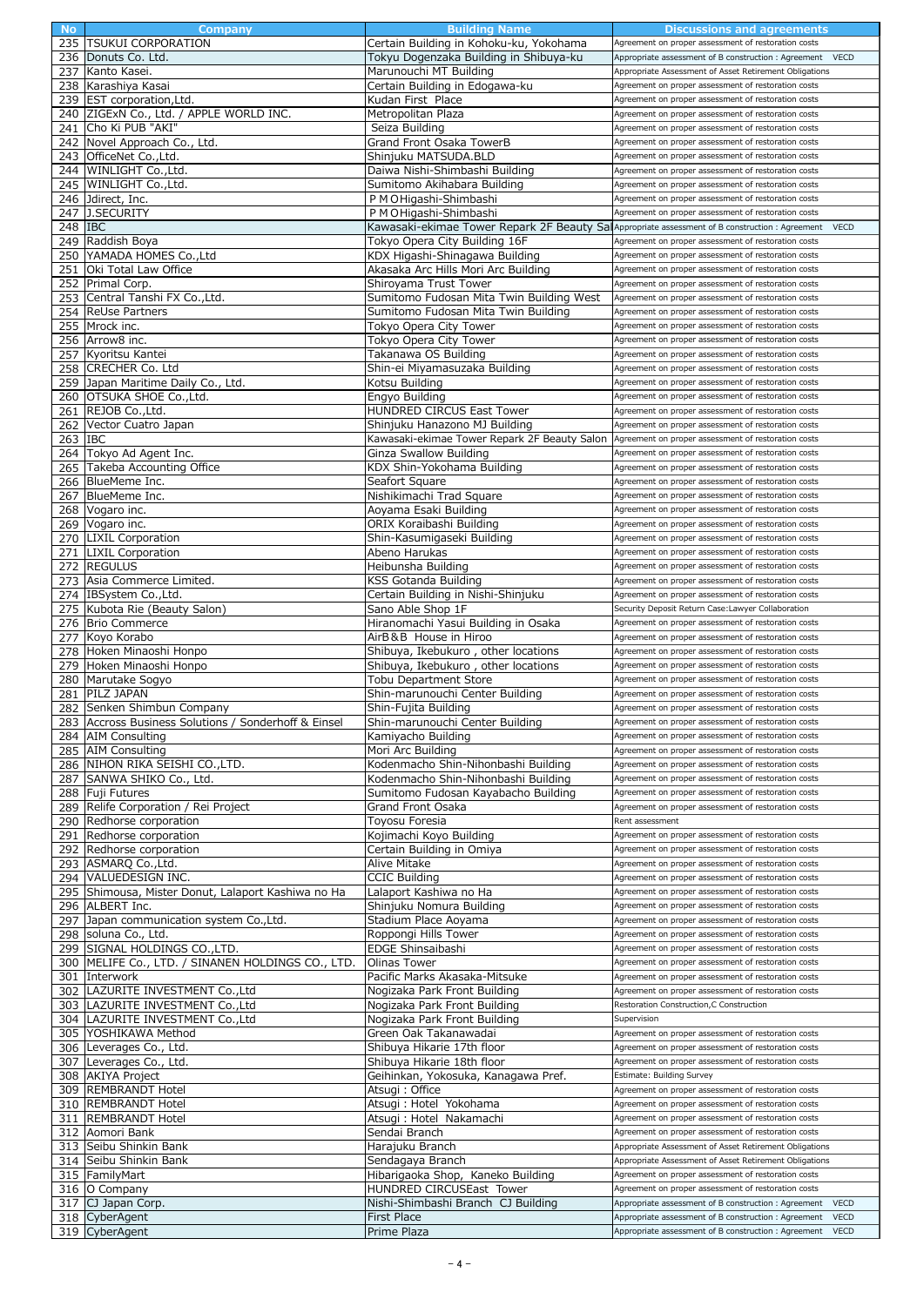|         | Company                                              | <b>Building Name</b>                                                                                | Discussions and agreements                                                                                                                 |
|---------|------------------------------------------------------|-----------------------------------------------------------------------------------------------------|--------------------------------------------------------------------------------------------------------------------------------------------|
|         | 235 TSUKUI CORPORATION                               | Certain Building in Kohoku-ku, Yokohama                                                             | Agreement on proper assessment of restoration costs                                                                                        |
|         | 236 Donuts Co. Ltd.                                  | Tokyu Dogenzaka Building in Shibuya-ku                                                              | Appropriate assessment of B construction : Agreement VECD                                                                                  |
|         | 237 Kanto Kasei.                                     | Marunouchi MT Building                                                                              | Appropriate Assessment of Asset Retirement Obligations                                                                                     |
|         | 238 Karashiya Kasai                                  | Certain Building in Edogawa-ku                                                                      | Agreement on proper assessment of restoration costs                                                                                        |
|         |                                                      |                                                                                                     |                                                                                                                                            |
|         | 239 EST corporation, Ltd.                            | Kudan First Place                                                                                   | Agreement on proper assessment of restoration costs                                                                                        |
| 240     | ZIGExN Co., Ltd. / APPLE WORLD INC.                  | Metropolitan Plaza                                                                                  | Agreement on proper assessment of restoration costs                                                                                        |
| 241     | Cho Ki PUB "AKI"                                     | Seiza Building                                                                                      | Agreement on proper assessment of restoration costs                                                                                        |
| 242     | Novel Approach Co., Ltd.                             | Grand Front Osaka TowerB                                                                            | Agreement on proper assessment of restoration costs                                                                                        |
|         | 243 OfficeNet Co., Ltd.                              | Shinjuku MATSUDA.BLD                                                                                | Agreement on proper assessment of restoration costs                                                                                        |
|         | 244 WINLIGHT Co., Ltd.                               | Daiwa Nishi-Shimbashi Building                                                                      | Agreement on proper assessment of restoration costs                                                                                        |
|         | 245 WINLIGHT Co., Ltd.                               | Sumitomo Akihabara Building                                                                         | Agreement on proper assessment of restoration costs                                                                                        |
|         | 246 Jdirect, Inc.                                    | P M O Higashi-Shimbashi                                                                             | Agreement on proper assessment of restoration costs                                                                                        |
|         | 247 J.SECURITY                                       | P M O Higashi-Shimbashi                                                                             | Agreement on proper assessment of restoration costs                                                                                        |
|         |                                                      |                                                                                                     |                                                                                                                                            |
| 248 IBC |                                                      | Kawasaki-ekimae Tower Repark 2F Beauty Sa Appropriate assessment of B construction : Agreement VECD |                                                                                                                                            |
|         | 249 Raddish Boya                                     | Tokyo Opera City Building 16F                                                                       | Agreement on proper assessment of restoration costs                                                                                        |
|         | 250 YAMADA HOMES Co., Ltd                            | KDX Higashi-Shinagawa Building                                                                      | Agreement on proper assessment of restoration costs                                                                                        |
|         | 251 Oki Total Law Office                             | Akasaka Arc Hills Mori Arc Building                                                                 | Agreement on proper assessment of restoration costs                                                                                        |
|         | 252 Primal Corp.                                     | Shiroyama Trust Tower                                                                               | Agreement on proper assessment of restoration costs                                                                                        |
|         | 253 Central Tanshi FX Co., Ltd.                      | Sumitomo Fudosan Mita Twin Building West                                                            | Agreement on proper assessment of restoration costs                                                                                        |
|         | 254 ReUse Partners                                   | Sumitomo Fudosan Mita Twin Building                                                                 | Agreement on proper assessment of restoration costs                                                                                        |
|         | 255 Mrock inc.                                       | Tokyo Opera City Tower                                                                              | Agreement on proper assessment of restoration costs                                                                                        |
|         | 256 Arrow8 inc.                                      | Tokyo Opera City Tower                                                                              | Agreement on proper assessment of restoration costs                                                                                        |
|         |                                                      |                                                                                                     |                                                                                                                                            |
|         | 257 Kyoritsu Kantei                                  | Takanawa OS Building                                                                                | Agreement on proper assessment of restoration costs                                                                                        |
|         | 258 CRECHER Co. Ltd                                  | Shin-ei Miyamasuzaka Building                                                                       | Agreement on proper assessment of restoration costs                                                                                        |
|         | 259 Japan Maritime Daily Co., Ltd.                   | Kotsu Building                                                                                      | Agreement on proper assessment of restoration costs                                                                                        |
|         | 260 OTSUKA SHOE Co., Ltd.                            | Engyo Building                                                                                      | Agreement on proper assessment of restoration costs                                                                                        |
|         | 261 REJOB Co., Ltd.                                  | <b>HUNDRED CIRCUS East Tower</b>                                                                    | Agreement on proper assessment of restoration costs                                                                                        |
|         | 262 Vector Cuatro Japan                              | Shinjuku Hanazono MJ Building                                                                       | Agreement on proper assessment of restoration costs                                                                                        |
| 263 IBC |                                                      | Kawasaki-ekimae Tower Repark 2F Beauty Salon                                                        | Agreement on proper assessment of restoration costs                                                                                        |
|         | 264 Tokyo Ad Agent Inc.                              | Ginza Swallow Building                                                                              | Agreement on proper assessment of restoration costs                                                                                        |
|         | 265 Takeba Accounting Office                         | KDX Shin-Yokohama Building                                                                          | Agreement on proper assessment of restoration costs                                                                                        |
|         | 266 BlueMeme Inc.                                    | Seafort Square                                                                                      | Agreement on proper assessment of restoration costs                                                                                        |
|         |                                                      |                                                                                                     |                                                                                                                                            |
| 267     | BlueMeme Inc.                                        | Nishikimachi Trad Square                                                                            | Agreement on proper assessment of restoration costs                                                                                        |
|         | 268 Vogaro inc.                                      | Aoyama Esaki Building                                                                               | Agreement on proper assessment of restoration costs                                                                                        |
|         | 269 Vogaro inc.                                      | ORIX Koraibashi Building                                                                            | Agreement on proper assessment of restoration costs                                                                                        |
|         | 270 LIXIL Corporation                                | Shin-Kasumigaseki Building                                                                          | Agreement on proper assessment of restoration costs                                                                                        |
|         | 271 LIXIL Corporation                                | Abeno Harukas                                                                                       | Agreement on proper assessment of restoration costs                                                                                        |
|         | 272 REGULUS                                          | Heibunsha Building                                                                                  | Agreement on proper assessment of restoration costs                                                                                        |
|         | 273 Asia Commerce Limited.                           | KSS Gotanda Building                                                                                | Agreement on proper assessment of restoration costs                                                                                        |
|         | 274 IBSystem Co., Ltd.                               | Certain Building in Nishi-Shinjuku                                                                  | Agreement on proper assessment of restoration costs                                                                                        |
|         |                                                      |                                                                                                     |                                                                                                                                            |
|         | 275 Kubota Rie (Beauty Salon)                        | Sano Able Shop 1F                                                                                   | Security Deposit Return Case: Lawyer Collaboration                                                                                         |
|         | 276 Brio Commerce                                    | Hiranomachi Yasui Building in Osaka                                                                 | Agreement on proper assessment of restoration costs                                                                                        |
| 277     | Koyo Korabo                                          | AirB&B House in Hiroo                                                                               | Agreement on proper assessment of restoration costs                                                                                        |
|         | 278 Hoken Minaoshi Honpo                             | Shibuya, Ikebukuro, other locations                                                                 | Agreement on proper assessment of restoration costs                                                                                        |
|         | 279 Hoken Minaoshi Honpo                             | Shibuya, Ikebukuro, other locations                                                                 | Agreement on proper assessment of restoration costs                                                                                        |
|         | 280 Marutake Sogyo                                   | Tobu Department Store                                                                               | Agreement on proper assessment of restoration costs                                                                                        |
|         | 281 PILZ JAPAN                                       | Shin-marunouchi Center Building                                                                     | Agreement on proper assessment of restoration costs                                                                                        |
| 282     | Senken Shimbun Company                               | Shin-Fujita Building                                                                                | Agreement on proper assessment of restoration costs                                                                                        |
|         | 283 Accross Business Solutions / Sonderhoff & Einsel | Shin-marunouchi Center Building                                                                     | Agreement on proper assessment of restoration costs                                                                                        |
|         |                                                      |                                                                                                     |                                                                                                                                            |
|         |                                                      |                                                                                                     |                                                                                                                                            |
|         | 284 AIM Consulting                                   | Kamiyacho Building                                                                                  | Agreement on proper assessment of restoration costs                                                                                        |
|         | 285 AIM Consulting                                   | Mori Arc Building                                                                                   | Agreement on proper assessment of restoration costs                                                                                        |
|         | 286 NIHON RIKA SEISHI CO., LTD.                      | Kodenmacho Shin-Nihonbashi Building                                                                 | Agreement on proper assessment of restoration costs                                                                                        |
|         | 287 SANWA SHIKO Co., Ltd.                            | Kodenmacho Shin-Nihonbashi Building                                                                 | Agreement on proper assessment of restoration costs                                                                                        |
|         | 288 Fuji Futures                                     | Sumitomo Fudosan Kayabacho Building                                                                 | Agreement on proper assessment of restoration costs                                                                                        |
|         | 289 Relife Corporation / Rei Project                 | Grand Front Osaka                                                                                   | Agreement on proper assessment of restoration costs                                                                                        |
| 290     | Redhorse corporation                                 | Toyosu Foresia                                                                                      | Rent assessment                                                                                                                            |
| 291     | Redhorse corporation                                 | Kojimachi Koyo Building                                                                             | Agreement on proper assessment of restoration costs                                                                                        |
| 292     | Redhorse corporation                                 | Certain Building in Omiya                                                                           | Agreement on proper assessment of restoration costs                                                                                        |
|         |                                                      | Alive Mitake                                                                                        | Agreement on proper assessment of restoration costs                                                                                        |
|         | 293 ASMARQ Co., Ltd.                                 | <b>CCIC Building</b>                                                                                | Agreement on proper assessment of restoration costs                                                                                        |
|         | 294 VALUEDESIGN INC.                                 |                                                                                                     |                                                                                                                                            |
|         | 295 Shimousa, Mister Donut, Lalaport Kashiwa no Ha   | Lalaport Kashiwa no Ha                                                                              | Agreement on proper assessment of restoration costs                                                                                        |
|         | 296 ALBERT Inc.                                      | Shinjuku Nomura Building                                                                            | Agreement on proper assessment of restoration costs                                                                                        |
| 297     | Japan communication system Co., Ltd.                 | Stadium Place Aovama                                                                                | Agreement on proper assessment of restoration costs                                                                                        |
|         | 298 soluna Co., Ltd.                                 | Roppongi Hills Tower                                                                                | Agreement on proper assessment of restoration costs                                                                                        |
|         | 299 SIGNAL HOLDINGS CO., LTD.                        | EDGE Shinsaibashi                                                                                   | Agreement on proper assessment of restoration costs                                                                                        |
|         | 300   MELIFE Co., LTD. / SINANEN HOLDINGS CO., LTD.  | Olinas Tower                                                                                        | Agreement on proper assessment of restoration costs                                                                                        |
| 301     | Interwork                                            | Pacific Marks Akasaka-Mitsuke                                                                       | Agreement on proper assessment of restoration costs                                                                                        |
| 302     | LAZURITE INVESTMENT Co., Ltd                         | Nogizaka Park Front Building                                                                        | Agreement on proper assessment of restoration costs                                                                                        |
|         | 303   LAZURITE INVESTMENT Co., Ltd                   | Nogizaka Park Front Building                                                                        | Restoration Construction, C Construction                                                                                                   |
|         | 304   LAZURITE INVESTMENT Co., Ltd                   | Nogizaka Park Front Building                                                                        | Supervision                                                                                                                                |
|         | 305 YOSHIKAWA Method                                 | Green Oak Takanawadai                                                                               | Agreement on proper assessment of restoration costs                                                                                        |
|         |                                                      |                                                                                                     | Agreement on proper assessment of restoration costs                                                                                        |
|         | 306 Leverages Co., Ltd.                              | Shibuya Hikarie 17th floor                                                                          |                                                                                                                                            |
| 307     | Leverages Co., Ltd.                                  | Shibuya Hikarie 18th floor                                                                          | Agreement on proper assessment of restoration costs                                                                                        |
|         | 308 AKIYA Project                                    | Geihinkan, Yokosuka, Kanagawa Pref.                                                                 | Estimate: Building Survey                                                                                                                  |
|         | 309 REMBRANDT Hotel                                  | Atsugi: Office                                                                                      | Agreement on proper assessment of restoration costs                                                                                        |
|         | 310 REMBRANDT Hotel                                  | Atsugi: Hotel Yokohama                                                                              | Agreement on proper assessment of restoration costs                                                                                        |
| 311     | <b>REMBRANDT Hotel</b>                               | Atsugi : Hotel Nakamachi                                                                            | Agreement on proper assessment of restoration costs                                                                                        |
| 312     | Aomori Bank                                          | Sendai Branch                                                                                       | Agreement on proper assessment of restoration costs                                                                                        |
|         | 313 Seibu Shinkin Bank                               | Harajuku Branch                                                                                     | Appropriate Assessment of Asset Retirement Obligations                                                                                     |
|         | 314 Seibu Shinkin Bank                               | Sendagaya Branch                                                                                    | Appropriate Assessment of Asset Retirement Obligations                                                                                     |
|         |                                                      |                                                                                                     | Agreement on proper assessment of restoration costs                                                                                        |
|         | 315 FamilyMart                                       | Hibarigaoka Shop, Kaneko Building                                                                   |                                                                                                                                            |
|         | 316 O Company                                        | HUNDRED CIRCUSEast Tower                                                                            | Agreement on proper assessment of restoration costs                                                                                        |
| 317     | CJ Japan Corp.                                       | Nishi-Shimbashi Branch CJ Building                                                                  | <b>VECD</b><br>Appropriate assessment of B construction: Agreement                                                                         |
|         | 318 CyberAgent<br>319 CyberAgent                     | First Place<br>Prime Plaza                                                                          | Appropriate assessment of B construction : Agreement<br><b>VECD</b><br>Appropriate assessment of B construction : Agreement<br><b>VECD</b> |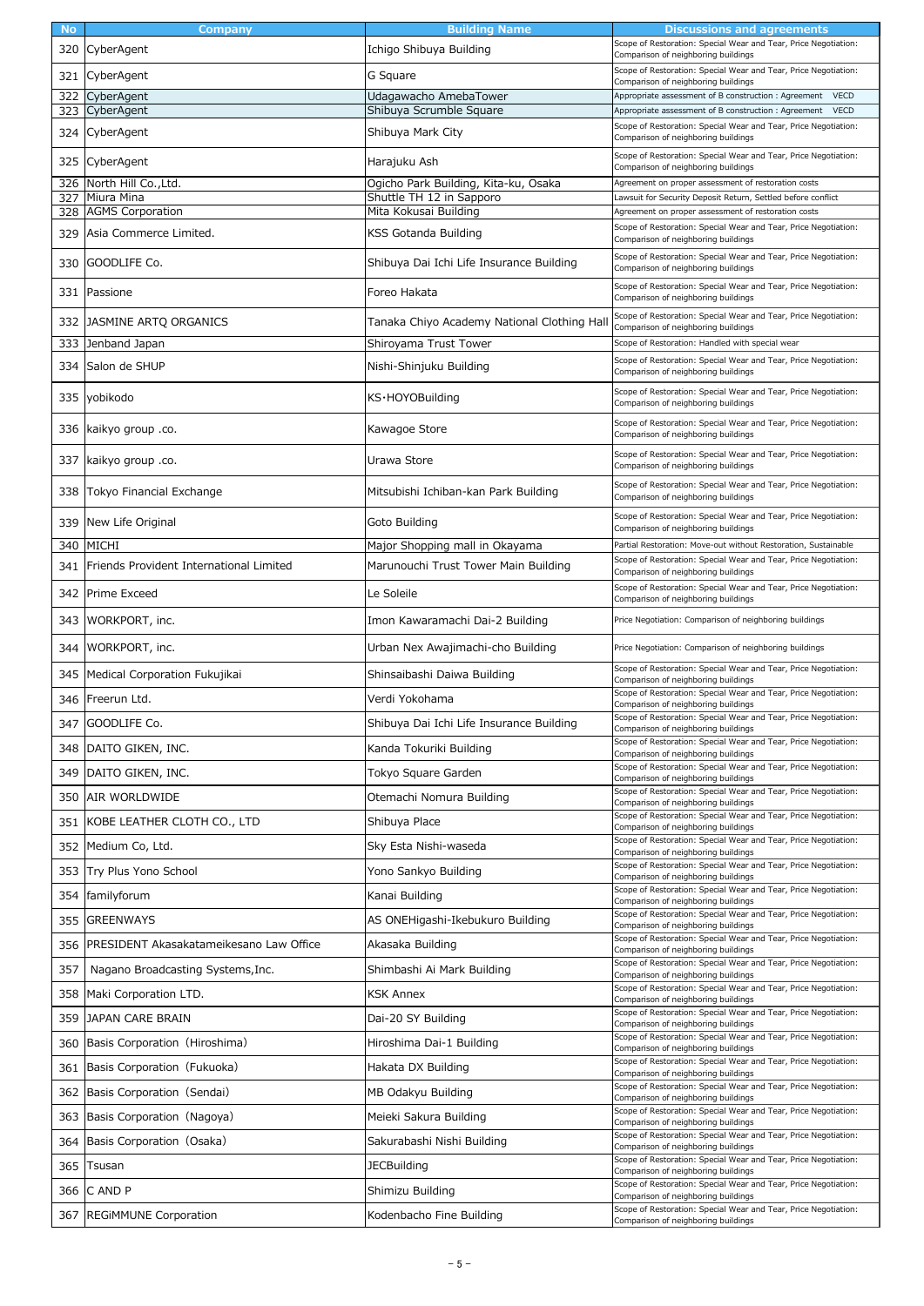| <b>No</b>  | Company                                 | <b>Building Name</b>                                             | Discussions and agreements                                                                                                                    |
|------------|-----------------------------------------|------------------------------------------------------------------|-----------------------------------------------------------------------------------------------------------------------------------------------|
| 320        | CyberAgent                              | Ichigo Shibuya Building                                          | Scope of Restoration: Special Wear and Tear, Price Negotiation:<br>Comparison of neighboring buildings                                        |
| 321        | CyberAgent                              | G Square                                                         | Scope of Restoration: Special Wear and Tear, Price Negotiation:<br>Comparison of neighboring buildings                                        |
| 322        | CyberAgent                              | Udagawacho AmebaTower                                            | Appropriate assessment of B construction: Agreement<br><b>VECD</b>                                                                            |
|            | 323 CyberAgent                          | Shibuya Scrumble Square                                          | <b>VECD</b><br>Appropriate assessment of B construction: Agreement                                                                            |
|            | 324 CyberAgent                          | Shibuya Mark City                                                | Scope of Restoration: Special Wear and Tear, Price Negotiation:<br>Comparison of neighboring buildings                                        |
| 325        | CyberAgent                              | Harajuku Ash                                                     | Scope of Restoration: Special Wear and Tear, Price Negotiation:<br>Comparison of neighboring buildings                                        |
| 326<br>327 | North Hill Co., Ltd.<br>Miura Mina      | Ogicho Park Building, Kita-ku, Osaka<br>Shuttle TH 12 in Sapporo | Agreement on proper assessment of restoration costs<br>Lawsuit for Security Deposit Return, Settled before conflict                           |
| 328        | <b>AGMS Corporation</b>                 | Mita Kokusai Building                                            | Agreement on proper assessment of restoration costs                                                                                           |
| 329        | Asia Commerce Limited.                  | KSS Gotanda Building                                             | Scope of Restoration: Special Wear and Tear, Price Negotiation:<br>Comparison of neighboring buildings                                        |
| 330        | GOODLIFE Co.                            | Shibuya Dai Ichi Life Insurance Building                         | Scope of Restoration: Special Wear and Tear, Price Negotiation:<br>Comparison of neighboring buildings                                        |
| 331        | Passione                                | Foreo Hakata                                                     | Scope of Restoration: Special Wear and Tear, Price Negotiation:<br>Comparison of neighboring buildings                                        |
| 332        | JASMINE ARTQ ORGANICS                   | Tanaka Chiyo Academy National Clothing Hal                       | Scope of Restoration: Special Wear and Tear, Price Negotiation:<br>Comparison of neighboring buildings                                        |
| 333        | Jenband Japan                           | Shiroyama Trust Tower                                            | Scope of Restoration: Handled with special wear                                                                                               |
| 334        | Salon de SHUP                           | Nishi-Shinjuku Building                                          | Scope of Restoration: Special Wear and Tear, Price Negotiation:<br>Comparison of neighboring buildings                                        |
| 335        | yobikodo                                | KS·HOYOBuilding                                                  | Scope of Restoration: Special Wear and Tear, Price Negotiation:<br>Comparison of neighboring buildings                                        |
| 336        | kaikyo group .co.                       | Kawagoe Store                                                    | Scope of Restoration: Special Wear and Tear, Price Negotiation:<br>Comparison of neighboring buildings                                        |
| 337        | kaikyo group .co.                       | Urawa Store                                                      | Scope of Restoration: Special Wear and Tear, Price Negotiation:<br>Comparison of neighboring buildings                                        |
| 338        | Tokyo Financial Exchange                | Mitsubishi Ichiban-kan Park Building                             | Scope of Restoration: Special Wear and Tear, Price Negotiation:<br>Comparison of neighboring buildings                                        |
| 339        | New Life Original                       | Goto Building                                                    | Scope of Restoration: Special Wear and Tear, Price Negotiation:<br>Comparison of neighboring buildings                                        |
| 340        | <b>MICHI</b>                            | Major Shopping mall in Okayama                                   | Partial Restoration: Move-out without Restoration, Sustainable                                                                                |
| 341        | Friends Provident International Limited | Marunouchi Trust Tower Main Building                             | Scope of Restoration: Special Wear and Tear, Price Negotiation:<br>Comparison of neighboring buildings                                        |
| 342        | Prime Exceed                            | Le Soleile                                                       | Scope of Restoration: Special Wear and Tear, Price Negotiation:<br>Comparison of neighboring buildings                                        |
| 343        | WORKPORT, inc.                          | Imon Kawaramachi Dai-2 Building                                  | Price Negotiation: Comparison of neighboring buildings                                                                                        |
| 344        | WORKPORT, inc.                          | Urban Nex Awajimachi-cho Building                                | Price Negotiation: Comparison of neighboring buildings                                                                                        |
| 345        | Medical Corporation Fukujikai           | Shinsaibashi Daiwa Building                                      | Scope of Restoration: Special Wear and Tear, Price Negotiation:<br>Comparison of neighboring buildings                                        |
| 346        | Freerun Ltd.                            | Verdi Yokohama                                                   | Scope of Restoration: Special Wear and Tear, Price Negotiation:<br>Comparison of neighboring buildings                                        |
| 347        | GOODLIFE Co.                            | Shibuya Dai Ichi Life Insurance Building                         | Scope of Restoration: Special Wear and Tear, Price Negotiation:<br>Comparison of neighboring buildings                                        |
| 348        | DAITO GIKEN, INC.                       | Kanda Tokuriki Building                                          | Scope of Restoration: Special Wear and Tear, Price Negotiation:<br>Comparison of neighboring buildings                                        |
| 349        | DAITO GIKEN, INC.                       | Tokyo Square Garden                                              | Scope of Restoration: Special Wear and Tear, Price Negotiation:<br>Comparison of neighboring buildings                                        |
| 350        | AIR WORLDWIDE                           | Otemachi Nomura Building                                         | Scope of Restoration: Special Wear and Tear, Price Negotiation:<br>Comparison of neighboring buildings                                        |
| 351        | KOBE LEATHER CLOTH CO., LTD             | Shibuya Place                                                    | Scope of Restoration: Special Wear and Tear, Price Negotiation:<br>Comparison of neighboring buildings                                        |
| 352        | Medium Co, Ltd.                         | Sky Esta Nishi-waseda                                            | Scope of Restoration: Special Wear and Tear, Price Negotiation:                                                                               |
| 353        | Try Plus Yono School                    | Yono Sankyo Building                                             | Comparison of neighboring buildings<br>Scope of Restoration: Special Wear and Tear, Price Negotiation:                                        |
| 354        | familyforum                             | Kanai Building                                                   | Comparison of neighboring buildings<br>Scope of Restoration: Special Wear and Tear, Price Negotiation:                                        |
| 355        | <b>GREENWAYS</b>                        | AS ONEHigashi-Ikebukuro Building                                 | Comparison of neighboring buildings<br>Scope of Restoration: Special Wear and Tear, Price Negotiation:<br>Comparison of neighboring buildings |
| 356        | PRESIDENT Akasakatameikesano Law Office | Akasaka Building                                                 | Scope of Restoration: Special Wear and Tear, Price Negotiation:<br>Comparison of neighboring buildings                                        |
| 357        | Nagano Broadcasting Systems, Inc.       | Shimbashi Ai Mark Building                                       | Scope of Restoration: Special Wear and Tear, Price Negotiation:<br>Comparison of neighboring buildings                                        |
| 358        | Maki Corporation LTD.                   | <b>KSK Annex</b>                                                 | Scope of Restoration: Special Wear and Tear, Price Negotiation:<br>Comparison of neighboring buildings                                        |
| 359        | JAPAN CARE BRAIN                        | Dai-20 SY Building                                               | Scope of Restoration: Special Wear and Tear, Price Negotiation:<br>Comparison of neighboring buildings                                        |
| 360        | Basis Corporation (Hiroshima)           | Hiroshima Dai-1 Building                                         | Scope of Restoration: Special Wear and Tear, Price Negotiation:<br>Comparison of neighboring buildings                                        |
| 361        | Basis Corporation (Fukuoka)             | Hakata DX Building                                               | Scope of Restoration: Special Wear and Tear, Price Negotiation:<br>Comparison of neighboring buildings                                        |
| 362        | Basis Corporation (Sendai)              | MB Odakyu Building                                               | Scope of Restoration: Special Wear and Tear, Price Negotiation:<br>Comparison of neighboring buildings                                        |
| 363        | Basis Corporation (Nagoya)              | Meieki Sakura Building                                           | Scope of Restoration: Special Wear and Tear, Price Negotiation:<br>Comparison of neighboring buildings                                        |
| 364        | Basis Corporation (Osaka)               | Sakurabashi Nishi Building                                       | Scope of Restoration: Special Wear and Tear, Price Negotiation:<br>Comparison of neighboring buildings                                        |
| 365        | Tsusan                                  | <b>JECBuilding</b>                                               | Scope of Restoration: Special Wear and Tear, Price Negotiation:<br>Comparison of neighboring buildings                                        |
| 366        | C AND P                                 | Shimizu Building                                                 | Scope of Restoration: Special Wear and Tear, Price Negotiation:<br>Comparison of neighboring buildings                                        |
| 367        | <b>REGIMMUNE Corporation</b>            | Kodenbacho Fine Building                                         | Scope of Restoration: Special Wear and Tear, Price Negotiation:<br>Comparison of neighboring buildings                                        |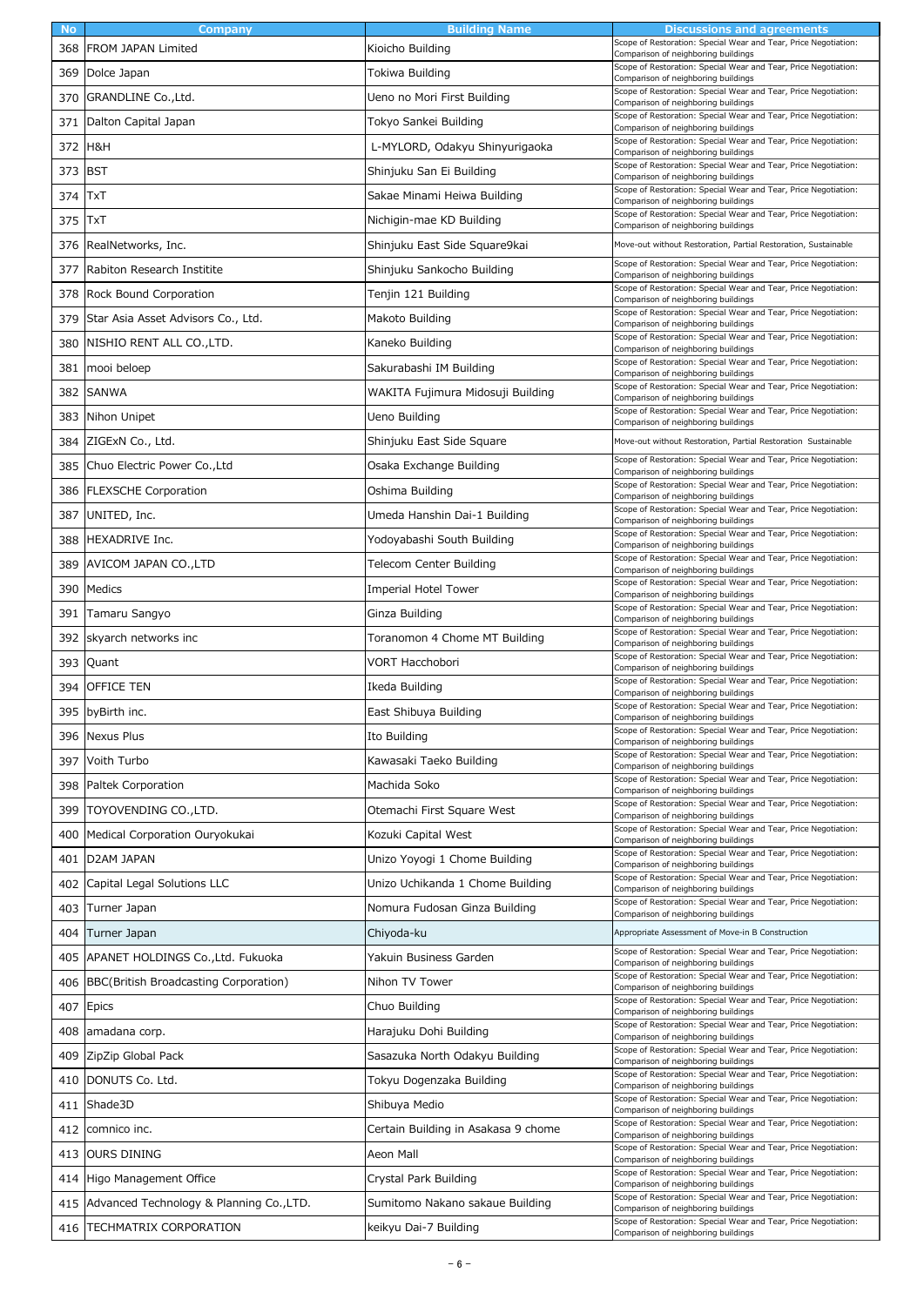| <b>No</b> | Company                                  | <b>Building Name</b>                | Discussions and agreements                                                                                                                                                |
|-----------|------------------------------------------|-------------------------------------|---------------------------------------------------------------------------------------------------------------------------------------------------------------------------|
| 368       | <b>FROM JAPAN Limited</b>                | Kioicho Building                    | Scope of Restoration: Special Wear and Tear, Price Negotiation:<br>Comparison of neighboring buildings                                                                    |
| 369       | Dolce Japan                              | Tokiwa Building                     | Scope of Restoration: Special Wear and Tear, Price Negotiation:<br>Comparison of neighboring buildings                                                                    |
| 370       | GRANDLINE Co., Ltd.                      | Ueno no Mori First Building         | Scope of Restoration: Special Wear and Tear, Price Negotiation:<br>Comparison of neighboring buildings                                                                    |
| 371       | Dalton Capital Japan                     | Tokyo Sankei Building               | Scope of Restoration: Special Wear and Tear, Price Negotiation:<br>Comparison of neighboring buildings                                                                    |
| 372       | H&H                                      | L-MYLORD, Odakyu Shinyurigaoka      | Scope of Restoration: Special Wear and Tear, Price Negotiation:<br>Comparison of neighboring buildings                                                                    |
| 373       | <b>BST</b>                               | Shinjuku San Ei Building            | Scope of Restoration: Special Wear and Tear, Price Negotiation:<br>Comparison of neighboring buildings                                                                    |
| 374       | TxT                                      | Sakae Minami Heiwa Building         | Scope of Restoration: Special Wear and Tear, Price Negotiation:<br>Comparison of neighboring buildings                                                                    |
| 375       | TxT                                      | Nichigin-mae KD Building            | Scope of Restoration: Special Wear and Tear, Price Negotiation:<br>Comparison of neighboring buildings                                                                    |
| 376       | RealNetworks, Inc.                       | Shinjuku East Side Square9kai       | Move-out without Restoration, Partial Restoration, Sustainable                                                                                                            |
| 377       | Rabiton Research Institite               | Shinjuku Sankocho Building          | Scope of Restoration: Special Wear and Tear, Price Negotiation:<br>Comparison of neighboring buildings                                                                    |
| 378       | Rock Bound Corporation                   | Tenjin 121 Building                 | Scope of Restoration: Special Wear and Tear, Price Negotiation:<br>Comparison of neighboring buildings                                                                    |
| 379       | Star Asia Asset Advisors Co., Ltd.       | Makoto Building                     | Scope of Restoration: Special Wear and Tear, Price Negotiation:<br>Comparison of neighboring buildings                                                                    |
| 380       | NISHIO RENT ALL CO.,LTD.                 | Kaneko Building                     | Scope of Restoration: Special Wear and Tear, Price Negotiation:<br>Comparison of neighboring buildings                                                                    |
| 381       | mooi beloep                              | Sakurabashi IM Building             | Scope of Restoration: Special Wear and Tear, Price Negotiation:<br>Comparison of neighboring buildings                                                                    |
| 382       | <b>SANWA</b>                             | WAKITA Fujimura Midosuji Building   | Scope of Restoration: Special Wear and Tear, Price Negotiation:<br>Comparison of neighboring buildings                                                                    |
| 383       | Nihon Unipet                             | Ueno Building                       | Scope of Restoration: Special Wear and Tear, Price Negotiation:<br>Comparison of neighboring buildings                                                                    |
| 384       | ZIGExN Co., Ltd.                         | Shinjuku East Side Square           | Move-out without Restoration, Partial Restoration Sustainable                                                                                                             |
| 385       | Chuo Electric Power Co., Ltd             | Osaka Exchange Building             | Scope of Restoration: Special Wear and Tear, Price Negotiation:<br>Comparison of neighboring buildings                                                                    |
| 386       | <b>FLEXSCHE Corporation</b>              | Oshima Building                     | Scope of Restoration: Special Wear and Tear, Price Negotiation:<br>Comparison of neighboring buildings                                                                    |
| 387       | UNITED, Inc.                             | Umeda Hanshin Dai-1 Building        | Scope of Restoration: Special Wear and Tear, Price Negotiation:<br>Comparison of neighboring buildings                                                                    |
| 388       | HEXADRIVE Inc.                           | Yodoyabashi South Building          | Scope of Restoration: Special Wear and Tear, Price Negotiation:<br>Comparison of neighboring buildings                                                                    |
| 389       | AVICOM JAPAN CO., LTD                    | Telecom Center Building             | Scope of Restoration: Special Wear and Tear, Price Negotiation:<br>Comparison of neighboring buildings                                                                    |
| 390       | Medics                                   | Imperial Hotel Tower                | Scope of Restoration: Special Wear and Tear, Price Negotiation:<br>Comparison of neighboring buildings                                                                    |
| 391       | Tamaru Sangyo                            | Ginza Building                      | Scope of Restoration: Special Wear and Tear, Price Negotiation:<br>Comparison of neighboring buildings                                                                    |
| 392       | skyarch networks inc                     | Toranomon 4 Chome MT Building       | Scope of Restoration: Special Wear and Tear, Price Negotiation:<br>Comparison of neighboring buildings                                                                    |
| 393       | Quant                                    | VORT Hacchobori                     | Scope of Restoration: Special Wear and Tear, Price Negotiation:<br>Comparison of neighboring buildings                                                                    |
| 394       | <b>OFFICE TEN</b>                        | Ikeda Building                      | Scope of Restoration: Special Wear and Tear, Price Negotiation:<br>Comparison of neighboring buildings                                                                    |
|           | 395 by Birth inc.                        | East Shibuya Building               | Scope of Restoration: Special Wear and Tear, Price Negotiation:<br>Comparison of neighboring buildings                                                                    |
| 396       | <b>Nexus Plus</b>                        | Ito Building                        | Scope of Restoration: Special Wear and Tear, Price Negotiation:<br>Comparison of neighboring buildings                                                                    |
| 397       | Voith Turbo                              | Kawasaki Taeko Building             | Scope of Restoration: Special Wear and Tear, Price Negotiation:<br>Comparison of neighboring buildings                                                                    |
| 398       | Paltek Corporation                       | Machida Soko                        | Scope of Restoration: Special Wear and Tear, Price Negotiation:<br>Comparison of neighboring buildings                                                                    |
| 399       | TOYOVENDING CO., LTD.                    | Otemachi First Square West          | Scope of Restoration: Special Wear and Tear, Price Negotiation:<br>Comparison of neighboring buildings                                                                    |
| 400       | Medical Corporation Ouryokukai           | Kozuki Capital West                 | Scope of Restoration: Special Wear and Tear, Price Negotiation:<br>Comparison of neighboring buildings                                                                    |
| 401       | D2AM JAPAN                               | Unizo Yoyogi 1 Chome Building       | Scope of Restoration: Special Wear and Tear, Price Negotiation:<br>Comparison of neighboring buildings                                                                    |
| 402       | Capital Legal Solutions LLC              | Unizo Uchikanda 1 Chome Building    | Scope of Restoration: Special Wear and Tear, Price Negotiation:<br>Comparison of neighboring buildings                                                                    |
| 403       | Turner Japan                             | Nomura Fudosan Ginza Building       | Scope of Restoration: Special Wear and Tear, Price Negotiation:<br>Comparison of neighboring buildings                                                                    |
| 404       | Turner Japan                             | Chiyoda-ku                          | Appropriate Assessment of Move-in B Construction                                                                                                                          |
| 405       | APANET HOLDINGS Co., Ltd. Fukuoka        | Yakuin Business Garden              | Scope of Restoration: Special Wear and Tear, Price Negotiation:<br>Comparison of neighboring buildings                                                                    |
| 406       | BBC(British Broadcasting Corporation)    | Nihon TV Tower                      | Scope of Restoration: Special Wear and Tear, Price Negotiation:<br>Comparison of neighboring buildings                                                                    |
| 407       | Epics                                    | Chuo Building                       | Scope of Restoration: Special Wear and Tear, Price Negotiation:<br>Comparison of neighboring buildings                                                                    |
| 408       | amadana corp.                            | Harajuku Dohi Building              | Scope of Restoration: Special Wear and Tear, Price Negotiation:<br>Comparison of neighboring buildings<br>Scope of Restoration: Special Wear and Tear, Price Negotiation: |
| 409       | ZipZip Global Pack                       | Sasazuka North Odakyu Building      | Comparison of neighboring buildings                                                                                                                                       |
| 410       | DONUTS Co. Ltd.                          | Tokyu Dogenzaka Building            | Scope of Restoration: Special Wear and Tear, Price Negotiation:<br>Comparison of neighboring buildings                                                                    |
| 411       | Shade3D                                  | Shibuya Medio                       | Scope of Restoration: Special Wear and Tear, Price Negotiation:<br>Comparison of neighboring buildings                                                                    |
| 412       | comnico inc.                             | Certain Building in Asakasa 9 chome | Scope of Restoration: Special Wear and Tear, Price Negotiation:<br>Comparison of neighboring buildings                                                                    |
| 413       | <b>OURS DINING</b>                       | Aeon Mall                           | Scope of Restoration: Special Wear and Tear, Price Negotiation:<br>Comparison of neighboring buildings                                                                    |
| 414       | Higo Management Office                   | Crystal Park Building               | Scope of Restoration: Special Wear and Tear, Price Negotiation:<br>Comparison of neighboring buildings                                                                    |
| 415       | Advanced Technology & Planning Co., LTD. | Sumitomo Nakano sakaue Building     | Scope of Restoration: Special Wear and Tear, Price Negotiation:<br>Comparison of neighboring buildings                                                                    |
| 416       | TECHMATRIX CORPORATION                   | keikyu Dai-7 Building               | Scope of Restoration: Special Wear and Tear, Price Negotiation:<br>Comparison of neighboring buildings                                                                    |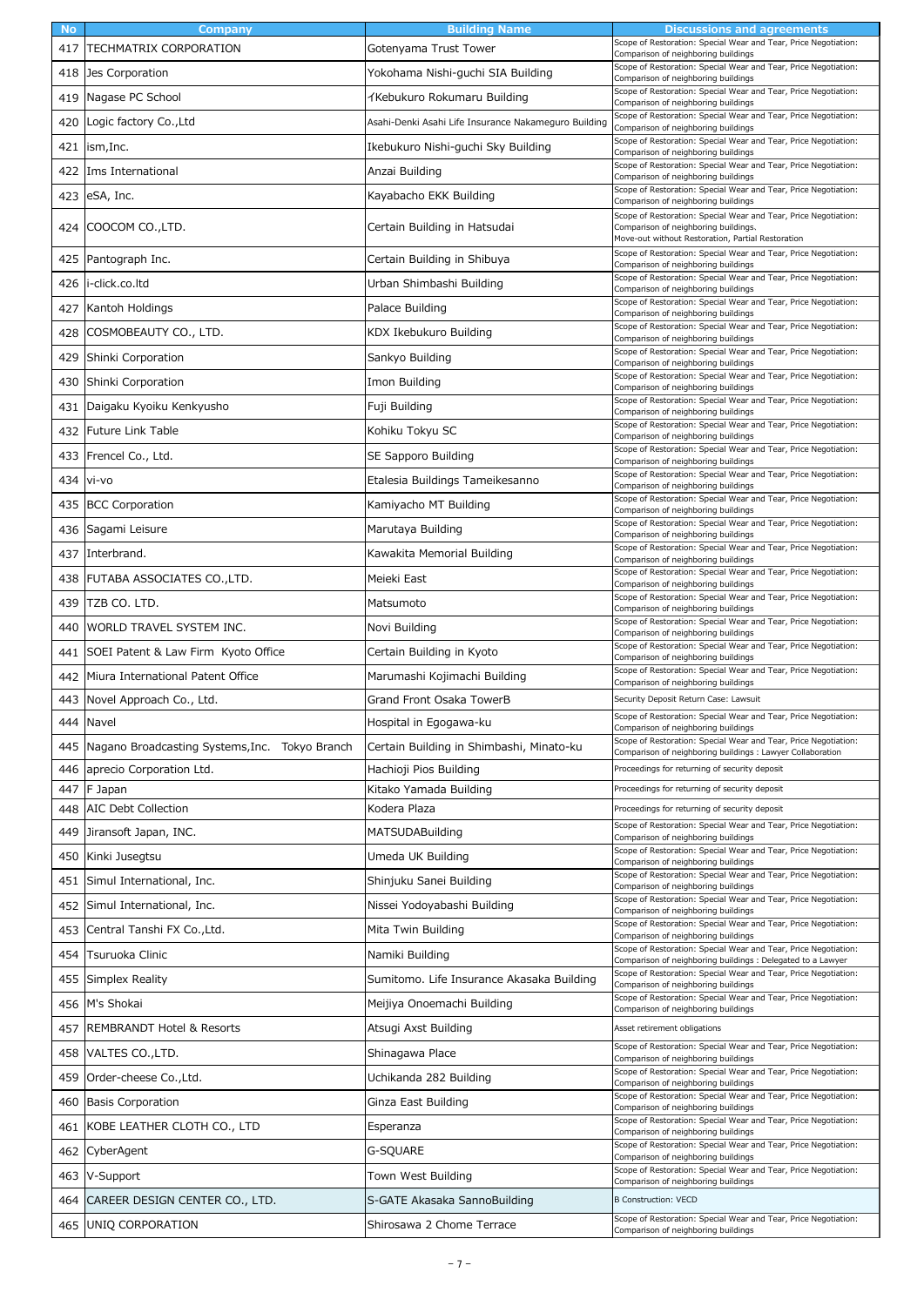| <b>No</b> | Company                                        | <b>Building Name</b>                                 | Discussions and agreements                                                                                                     |
|-----------|------------------------------------------------|------------------------------------------------------|--------------------------------------------------------------------------------------------------------------------------------|
| 417       | TECHMATRIX CORPORATION                         | Gotenyama Trust Tower                                | Scope of Restoration: Special Wear and Tear, Price Negotiation:<br>Comparison of neighboring buildings                         |
| 418       | Jes Corporation                                | Yokohama Nishi-guchi SIA Building                    | Scope of Restoration: Special Wear and Tear, Price Negotiation:<br>Comparison of neighboring buildings                         |
| 419       | Nagase PC School                               | イKebukuro Rokumaru Building                          | Scope of Restoration: Special Wear and Tear, Price Negotiation:<br>Comparison of neighboring buildings                         |
| 420       | Logic factory Co., Ltd                         | Asahi-Denki Asahi Life Insurance Nakameguro Building | Scope of Restoration: Special Wear and Tear, Price Negotiation:<br>Comparison of neighboring buildings                         |
| 421       | ism,Inc.                                       | Ikebukuro Nishi-guchi Sky Building                   | Scope of Restoration: Special Wear and Tear, Price Negotiation:<br>Comparison of neighboring buildings                         |
| 422       | Ims International                              | Anzai Building                                       | Scope of Restoration: Special Wear and Tear, Price Negotiation:<br>Comparison of neighboring buildings                         |
| 423       | eSA, Inc.                                      | Kayabacho EKK Building                               | Scope of Restoration: Special Wear and Tear, Price Negotiation:                                                                |
|           |                                                |                                                      | Comparison of neighboring buildings<br>Scope of Restoration: Special Wear and Tear, Price Negotiation:                         |
|           | 424 COOCOM CO., LTD.                           | Certain Building in Hatsudai                         | Comparison of neighboring buildings.<br>Move-out without Restoration, Partial Restoration                                      |
| 425       | Pantograph Inc.                                | Certain Building in Shibuya                          | Scope of Restoration: Special Wear and Tear, Price Negotiation:<br>Comparison of neighboring buildings                         |
| 426       | i-click.co.ltd                                 | Urban Shimbashi Building                             | Scope of Restoration: Special Wear and Tear, Price Negotiation:<br>Comparison of neighboring buildings                         |
| 427       | Kantoh Holdings                                | Palace Building                                      | Scope of Restoration: Special Wear and Tear, Price Negotiation:<br>Comparison of neighboring buildings                         |
| 428       | COSMOBEAUTY CO., LTD.                          | KDX Ikebukuro Building                               | Scope of Restoration: Special Wear and Tear, Price Negotiation:<br>Comparison of neighboring buildings                         |
| 429       | Shinki Corporation                             | Sankyo Building                                      | Scope of Restoration: Special Wear and Tear, Price Negotiation:<br>Comparison of neighboring buildings                         |
| 430       | Shinki Corporation                             | Imon Building                                        | Scope of Restoration: Special Wear and Tear, Price Negotiation:<br>Comparison of neighboring buildings                         |
| 431       | Daigaku Kyoiku Kenkyusho                       | Fuji Building                                        | Scope of Restoration: Special Wear and Tear, Price Negotiation:<br>Comparison of neighboring buildings                         |
| 432       | Future Link Table                              | Kohiku Tokyu SC                                      | Scope of Restoration: Special Wear and Tear, Price Negotiation:<br>Comparison of neighboring buildings                         |
| 433       | Frencel Co., Ltd.                              | SE Sapporo Building                                  | Scope of Restoration: Special Wear and Tear, Price Negotiation:<br>Comparison of neighboring buildings                         |
| 434       | vi-vo                                          | Etalesia Buildings Tameikesanno                      | Scope of Restoration: Special Wear and Tear, Price Negotiation:<br>Comparison of neighboring buildings                         |
| 435       | <b>BCC Corporation</b>                         | Kamiyacho MT Building                                | Scope of Restoration: Special Wear and Tear, Price Negotiation:<br>Comparison of neighboring buildings                         |
| 436       | Sagami Leisure                                 | Marutaya Building                                    | Scope of Restoration: Special Wear and Tear, Price Negotiation:<br>Comparison of neighboring buildings                         |
| 437       | Interbrand.                                    | Kawakita Memorial Building                           | Scope of Restoration: Special Wear and Tear, Price Negotiation:                                                                |
| 438       | FUTABA ASSOCIATES CO., LTD.                    | Meieki East                                          | Comparison of neighboring buildings<br>Scope of Restoration: Special Wear and Tear, Price Negotiation:                         |
| 439       | TZB CO. LTD.                                   | Matsumoto                                            | Comparison of neighboring buildings<br>Scope of Restoration: Special Wear and Tear, Price Negotiation:                         |
| 440       | WORLD TRAVEL SYSTEM INC.                       | Novi Building                                        | Comparison of neighboring buildings<br>Scope of Restoration: Special Wear and Tear, Price Negotiation:                         |
| 441       | SOEI Patent & Law Firm Kyoto Office            | Certain Building in Kyoto                            | Comparison of neighboring buildings<br>Scope of Restoration: Special Wear and Tear, Price Negotiation:                         |
| 442       | Miura International Patent Office              | Marumashi Kojimachi Building                         | Comparison of neighboring buildings<br>Scope of Restoration: Special Wear and Tear, Price Negotiation:                         |
| 443       | Novel Approach Co., Ltd.                       | Grand Front Osaka TowerB                             | Comparison of neighboring buildings<br>Security Deposit Return Case: Lawsuit                                                   |
|           | 444 Navel                                      | Hospital in Egogawa-ku                               | Scope of Restoration: Special Wear and Tear, Price Negotiation:<br>Comparison of neighboring buildings                         |
| 445       | Nagano Broadcasting Systems, Inc. Tokyo Branch | Certain Building in Shimbashi, Minato-ku             | Scope of Restoration: Special Wear and Tear, Price Negotiation:                                                                |
| 446       | aprecio Corporation Ltd.                       | Hachioji Pios Building                               | Comparison of neighboring buildings : Lawyer Collaboration<br>Proceedings for returning of security deposit                    |
| 447       | F Japan                                        | Kitako Yamada Building                               | Proceedings for returning of security deposit                                                                                  |
| 448       | <b>AIC Debt Collection</b>                     | Kodera Plaza                                         | Proceedings for returning of security deposit                                                                                  |
| 449       | Jiransoft Japan, INC.                          | <b>MATSUDABuilding</b>                               | Scope of Restoration: Special Wear and Tear, Price Negotiation:<br>Comparison of neighboring buildings                         |
| 450       | Kinki Jusegtsu                                 | Umeda UK Building                                    | Scope of Restoration: Special Wear and Tear, Price Negotiation:<br>Comparison of neighboring buildings                         |
| 451       | Simul International, Inc.                      | Shinjuku Sanei Building                              | Scope of Restoration: Special Wear and Tear, Price Negotiation:<br>Comparison of neighboring buildings                         |
| 452       | Simul International, Inc.                      | Nissei Yodoyabashi Building                          | Scope of Restoration: Special Wear and Tear, Price Negotiation:<br>Comparison of neighboring buildings                         |
| 453       | Central Tanshi FX Co., Ltd.                    | Mita Twin Building                                   | Scope of Restoration: Special Wear and Tear, Price Negotiation:<br>Comparison of neighboring buildings                         |
| 454       | Tsuruoka Clinic                                | Namiki Building                                      | Scope of Restoration: Special Wear and Tear, Price Negotiation:<br>Comparison of neighboring buildings : Delegated to a Lawyer |
| 455       | Simplex Reality                                | Sumitomo. Life Insurance Akasaka Building            | Scope of Restoration: Special Wear and Tear, Price Negotiation:<br>Comparison of neighboring buildings                         |
| 456       | M's Shokai                                     | Meijiya Onoemachi Building                           | Scope of Restoration: Special Wear and Tear, Price Negotiation:<br>Comparison of neighboring buildings                         |
| 457       | <b>REMBRANDT Hotel &amp; Resorts</b>           | Atsugi Axst Building                                 | Asset retirement obligations                                                                                                   |
| 458       | VALTES CO., LTD.                               | Shinagawa Place                                      | Scope of Restoration: Special Wear and Tear, Price Negotiation:<br>Comparison of neighboring buildings                         |
| 459       | Order-cheese Co., Ltd.                         | Uchikanda 282 Building                               | Scope of Restoration: Special Wear and Tear, Price Negotiation:<br>Comparison of neighboring buildings                         |
| 460       | <b>Basis Corporation</b>                       | Ginza East Building                                  | Scope of Restoration: Special Wear and Tear, Price Negotiation:<br>Comparison of neighboring buildings                         |
| 461       | KOBE LEATHER CLOTH CO., LTD                    | Esperanza                                            | Scope of Restoration: Special Wear and Tear, Price Negotiation:<br>Comparison of neighboring buildings                         |
| 462       | CyberAgent                                     | G-SQUARE                                             | Scope of Restoration: Special Wear and Tear, Price Negotiation:<br>Comparison of neighboring buildings                         |
|           | 463 V-Support                                  | Town West Building                                   | Scope of Restoration: Special Wear and Tear, Price Negotiation:<br>Comparison of neighboring buildings                         |
| 464       | CAREER DESIGN CENTER CO., LTD.                 | S-GATE Akasaka SannoBuilding                         | <b>B Construction: VECD</b>                                                                                                    |
| 465       | UNIQ CORPORATION                               | Shirosawa 2 Chome Terrace                            | Scope of Restoration: Special Wear and Tear, Price Negotiation:<br>Comparison of neighboring buildings                         |
|           |                                                |                                                      |                                                                                                                                |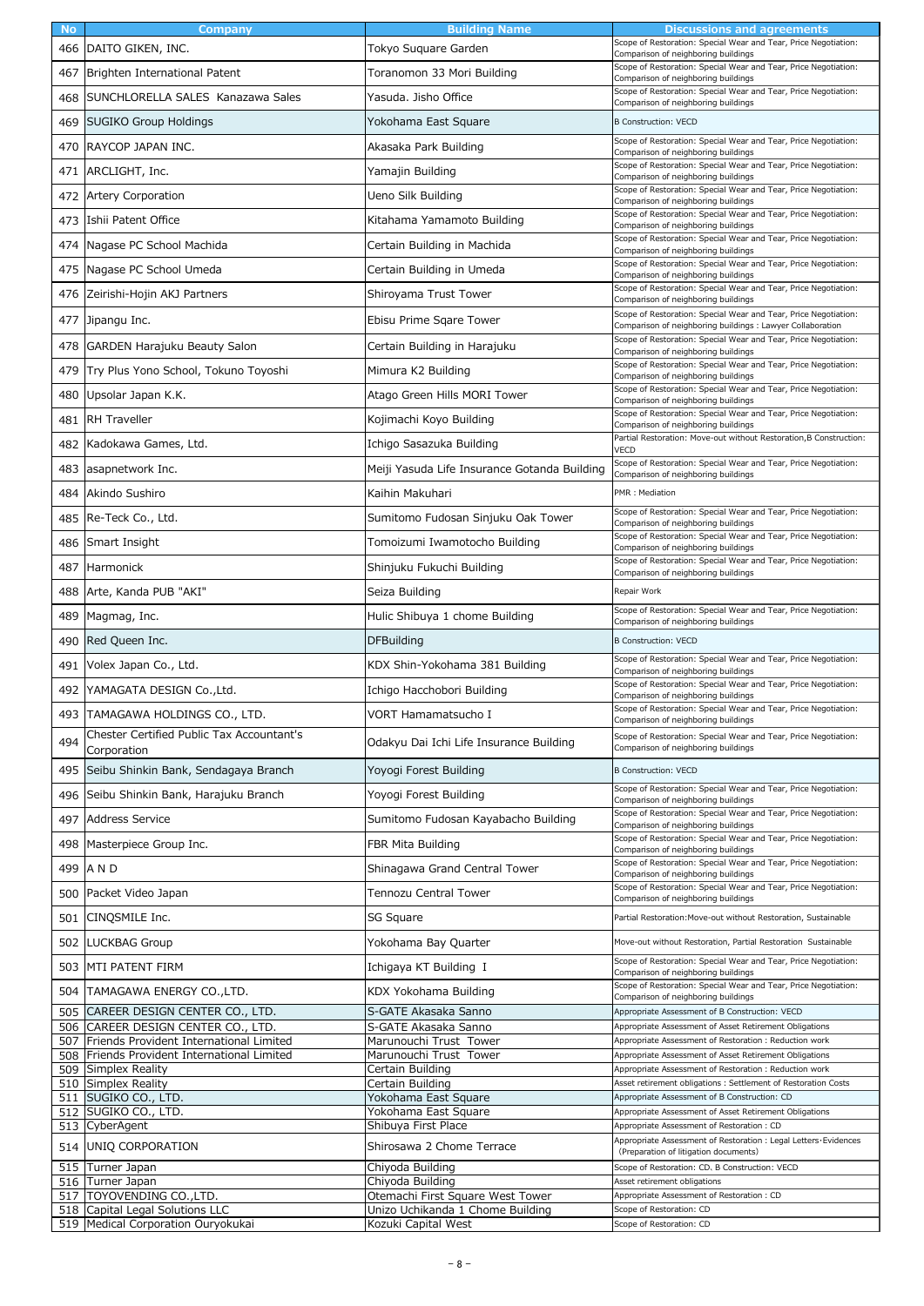| <b>No</b> | Company                                                                                | <b>Building Name</b>                                                 | Discussions and agreements                                                                                                                    |
|-----------|----------------------------------------------------------------------------------------|----------------------------------------------------------------------|-----------------------------------------------------------------------------------------------------------------------------------------------|
|           | 466 DAITO GIKEN, INC.                                                                  | Tokyo Suquare Garden                                                 | Scope of Restoration: Special Wear and Tear, Price Negotiation:<br>Comparison of neighboring buildings                                        |
| 467       | Brighten International Patent                                                          | Toranomon 33 Mori Building                                           | Scope of Restoration: Special Wear and Tear, Price Negotiation:                                                                               |
| 468       | SUNCHLORELLA SALES Kanazawa Sales                                                      | Yasuda. Jisho Office                                                 | Comparison of neighboring buildings<br>Scope of Restoration: Special Wear and Tear, Price Negotiation:                                        |
|           |                                                                                        |                                                                      | Comparison of neighboring buildings                                                                                                           |
| 469       | <b>SUGIKO Group Holdings</b>                                                           | Yokohama East Square                                                 | <b>B Construction: VECD</b><br>Scope of Restoration: Special Wear and Tear, Price Negotiation:                                                |
| 470       | RAYCOP JAPAN INC.                                                                      | Akasaka Park Building                                                | Comparison of neighboring buildings<br>Scope of Restoration: Special Wear and Tear, Price Negotiation:                                        |
| 471       | ARCLIGHT, Inc.                                                                         | Yamajin Building                                                     | Comparison of neighboring buildings                                                                                                           |
| 472       | <b>Artery Corporation</b>                                                              | Ueno Silk Building                                                   | Scope of Restoration: Special Wear and Tear, Price Negotiation:<br>Comparison of neighboring buildings                                        |
| 473       | Ishii Patent Office                                                                    | Kitahama Yamamoto Building                                           | Scope of Restoration: Special Wear and Tear, Price Negotiation:<br>Comparison of neighboring buildings                                        |
| 474       | Nagase PC School Machida                                                               | Certain Building in Machida                                          | Scope of Restoration: Special Wear and Tear, Price Negotiation:<br>Comparison of neighboring buildings                                        |
|           | 475 Nagase PC School Umeda                                                             | Certain Building in Umeda                                            | Scope of Restoration: Special Wear and Tear, Price Negotiation:<br>Comparison of neighboring buildings                                        |
| 476       | Zeirishi-Hojin AKJ Partners                                                            | Shiroyama Trust Tower                                                | Scope of Restoration: Special Wear and Tear, Price Negotiation:<br>Comparison of neighboring buildings                                        |
| 477       | Jipangu Inc.                                                                           | Ebisu Prime Sgare Tower                                              | Scope of Restoration: Special Wear and Tear, Price Negotiation:<br>Comparison of neighboring buildings : Lawyer Collaboration                 |
| 478       | <b>GARDEN Harajuku Beauty Salon</b>                                                    | Certain Building in Harajuku                                         | Scope of Restoration: Special Wear and Tear, Price Negotiation:<br>Comparison of neighboring buildings                                        |
| 479       | Try Plus Yono School, Tokuno Toyoshi                                                   | Mimura K2 Building                                                   | Scope of Restoration: Special Wear and Tear, Price Negotiation:<br>Comparison of neighboring buildings                                        |
| 480       | Upsolar Japan K.K.                                                                     | Atago Green Hills MORI Tower                                         | Scope of Restoration: Special Wear and Tear, Price Negotiation:<br>Comparison of neighboring buildings                                        |
| 481       | <b>RH Traveller</b>                                                                    | Kojimachi Koyo Building                                              | Scope of Restoration: Special Wear and Tear, Price Negotiation:<br>Comparison of neighboring buildings                                        |
| 482       | Kadokawa Games, Ltd.                                                                   | Ichigo Sasazuka Building                                             | Partial Restoration: Move-out without Restoration, B Construction:<br>VECD                                                                    |
| 483       | asapnetwork Inc.                                                                       | Meiji Yasuda Life Insurance Gotanda Building                         | Scope of Restoration: Special Wear and Tear, Price Negotiation:<br>Comparison of neighboring buildings                                        |
| 484       | Akindo Sushiro                                                                         | Kaihin Makuhari                                                      | PMR: Mediation                                                                                                                                |
|           | 485 Re-Teck Co., Ltd.                                                                  | Sumitomo Fudosan Sinjuku Oak Tower                                   | Scope of Restoration: Special Wear and Tear, Price Negotiation:<br>Comparison of neighboring buildings                                        |
| 486       | Smart Insight                                                                          | Tomoizumi Iwamotocho Building                                        | Scope of Restoration: Special Wear and Tear, Price Negotiation:<br>Comparison of neighboring buildings                                        |
| 487       | Harmonick                                                                              | Shinjuku Fukuchi Building                                            | Scope of Restoration: Special Wear and Tear, Price Negotiation:<br>Comparison of neighboring buildings                                        |
| 488       | Arte, Kanda PUB "AKI"                                                                  | Seiza Building                                                       | Repair Work                                                                                                                                   |
| 489       | Magmag, Inc.                                                                           | Hulic Shibuya 1 chome Building                                       | Scope of Restoration: Special Wear and Tear, Price Negotiation:<br>Comparison of neighboring buildings                                        |
|           |                                                                                        |                                                                      |                                                                                                                                               |
| 490       | Red Queen Inc.                                                                         | <b>DFBuilding</b>                                                    | <b>B Construction: VECD</b>                                                                                                                   |
| 491       | Volex Japan Co., Ltd.                                                                  | KDX Shin-Yokohama 381 Building                                       | Scope of Restoration: Special Wear and Tear, Price Negotiation:<br>Comparison of neighboring buildings                                        |
| 492       | YAMAGATA DESIGN Co., Ltd.                                                              | Ichigo Hacchobori Building                                           | Scope of Restoration: Special Wear and Tear, Price Negotiation:<br>Comparison of neighboring buildings                                        |
|           | 493 TAMAGAWA HOLDINGS CO., LTD.                                                        | VORT Hamamatsucho I                                                  | Scope of Restoration: Special Wear and Tear, Price Negotiation:                                                                               |
| 494       | Chester Certified Public Tax Accountant's<br>Corporation                               | Odakyu Dai Ichi Life Insurance Building                              | Comparison of neighboring buildings<br>Scope of Restoration: Special Wear and Tear, Price Negotiation:<br>Comparison of neighboring buildings |
| 495       | Seibu Shinkin Bank, Sendagaya Branch                                                   | Yoyogi Forest Building                                               | <b>B Construction: VECD</b>                                                                                                                   |
| 496       | Seibu Shinkin Bank, Harajuku Branch                                                    | Yoyogi Forest Building                                               | Scope of Restoration: Special Wear and Tear, Price Negotiation:<br>Comparison of neighboring buildings                                        |
| 497       | <b>Address Service</b>                                                                 | Sumitomo Fudosan Kayabacho Building                                  | Scope of Restoration: Special Wear and Tear, Price Negotiation:<br>Comparison of neighboring buildings                                        |
| 498       | Masterpiece Group Inc.                                                                 | FBR Mita Building                                                    | Scope of Restoration: Special Wear and Tear, Price Negotiation:<br>Comparison of neighboring buildings                                        |
|           | 499 A N D                                                                              | Shinagawa Grand Central Tower                                        | Scope of Restoration: Special Wear and Tear, Price Negotiation:<br>Comparison of neighboring buildings                                        |
| 500       | Packet Video Japan                                                                     | Tennozu Central Tower                                                | Scope of Restoration: Special Wear and Tear, Price Negotiation:<br>Comparison of neighboring buildings                                        |
| 501       | CINQSMILE Inc.                                                                         | SG Square                                                            | Partial Restoration: Move-out without Restoration, Sustainable                                                                                |
| 502       | <b>LUCKBAG Group</b>                                                                   | Yokohama Bay Quarter                                                 | Move-out without Restoration, Partial Restoration Sustainable                                                                                 |
| 503       | MTI PATENT FIRM                                                                        | Ichigaya KT Building I                                               | Scope of Restoration: Special Wear and Tear, Price Negotiation:                                                                               |
|           | 504 TAMAGAWA ENERGY CO., LTD.                                                          | KDX Yokohama Building                                                | Comparison of neighboring buildings<br>Scope of Restoration: Special Wear and Tear, Price Negotiation:                                        |
|           | 505 CAREER DESIGN CENTER CO., LTD.                                                     | S-GATE Akasaka Sanno                                                 | Comparison of neighboring buildings<br>Appropriate Assessment of B Construction: VECD                                                         |
|           | 506 CAREER DESIGN CENTER CO., LTD.                                                     | S-GATE Akasaka Sanno                                                 | Appropriate Assessment of Asset Retirement Obligations                                                                                        |
| 508       | 507 Friends Provident International Limited<br>Friends Provident International Limited | Marunouchi Trust Tower<br>Marunouchi Trust Tower                     | Appropriate Assessment of Restoration : Reduction work<br>Appropriate Assessment of Asset Retirement Obligations                              |
| 509       | Simplex Reality                                                                        | Certain Building                                                     | Appropriate Assessment of Restoration: Reduction work                                                                                         |
|           | 510 Simplex Reality                                                                    | Certain Building                                                     | Asset retirement obligations : Settlement of Restoration Costs                                                                                |
| 511       | SUGIKO CO., LTD.                                                                       | Yokohama East Square                                                 | Appropriate Assessment of B Construction: CD                                                                                                  |
|           | 512 SUGIKO CO., LTD.<br>513 CyberAgent                                                 | Yokohama East Square<br>Shibuya First Place                          | Appropriate Assessment of Asset Retirement Obligations<br>Appropriate Assessment of Restoration: CD                                           |
| 514       | UNIQ CORPORATION                                                                       | Shirosawa 2 Chome Terrace                                            | Appropriate Assessment of Restoration : Legal Letters · Evidences<br>(Preparation of litigation documents)                                    |
|           | 515 Turner Japan                                                                       | Chiyoda Building                                                     | Scope of Restoration: CD, B Construction: VECD                                                                                                |
|           | 516 Turner Japan                                                                       | Chiyoda Building                                                     | Asset retirement obligations                                                                                                                  |
|           | 517 TOYOVENDING CO., LTD.<br>518 Capital Legal Solutions LLC                           | Otemachi First Square West Tower<br>Unizo Uchikanda 1 Chome Building | Appropriate Assessment of Restoration: CD<br>Scope of Restoration: CD                                                                         |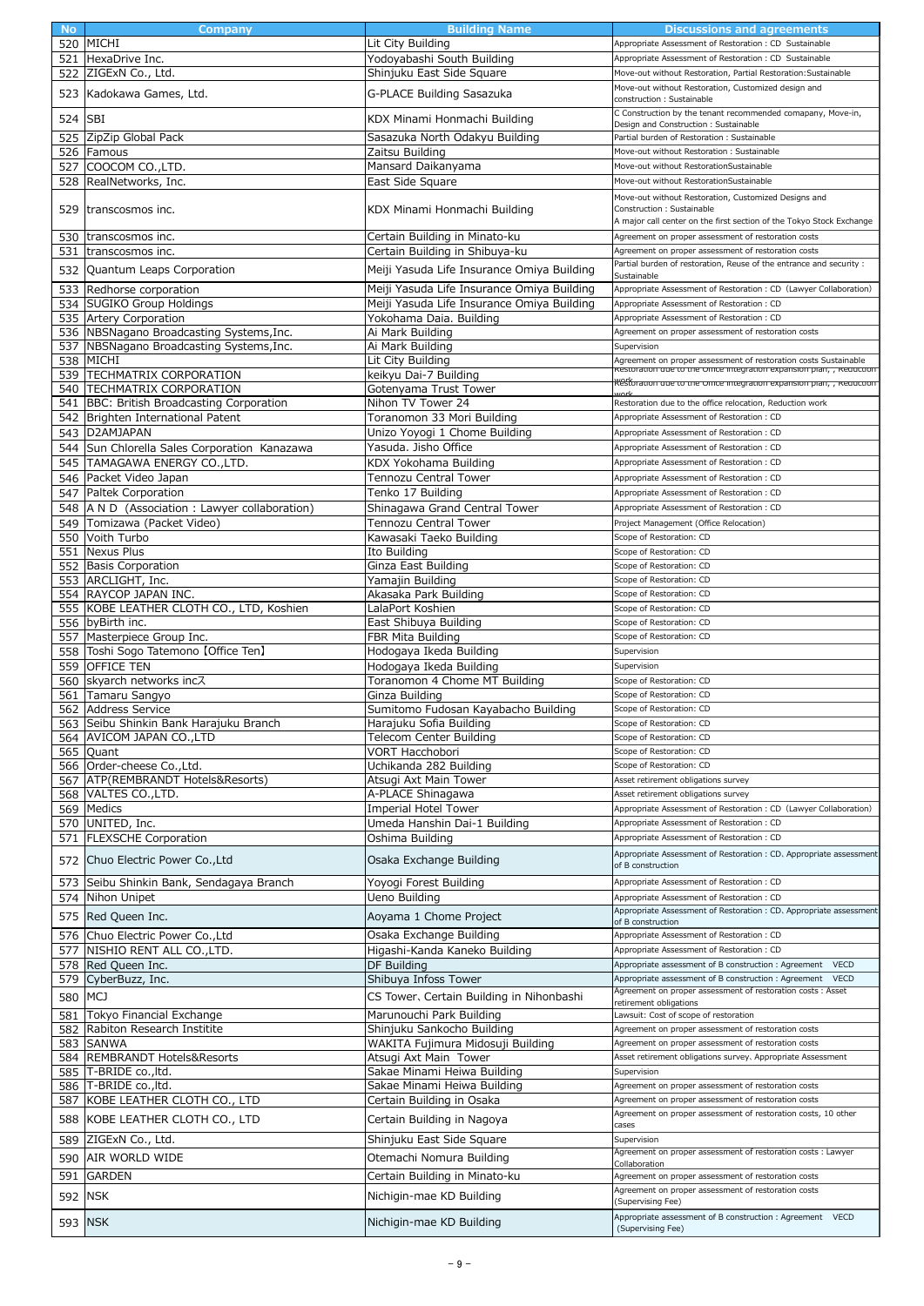| <b>No</b> | Company                                       | <b>Building Name</b>                       | Discussions and agreements                                                                        |
|-----------|-----------------------------------------------|--------------------------------------------|---------------------------------------------------------------------------------------------------|
|           | 520 MICHI                                     | Lit City Building                          | Appropriate Assessment of Restoration : CD Sustainable                                            |
| 521       | HexaDrive Inc.                                | Yodoyabashi South Building                 | Appropriate Assessment of Restoration : CD Sustainable                                            |
| 522       | ZIGExN Co., Ltd.                              | Shinjuku East Side Square                  | Move-out without Restoration, Partial Restoration: Sustainable                                    |
|           | 523 Kadokawa Games, Ltd.                      | G-PLACE Building Sasazuka                  | Move-out without Restoration, Customized design and                                               |
|           |                                               |                                            | construction: Sustainable                                                                         |
| 524       | <b>SBI</b>                                    | KDX Minami Honmachi Building               | C Construction by the tenant recommended comapany, Move-in,                                       |
|           |                                               |                                            | Design and Construction : Sustainable                                                             |
| 525       | ZipZip Global Pack                            | Sasazuka North Odakyu Building             | Partial burden of Restoration: Sustainable                                                        |
|           | 526 Famous                                    | Zaitsu Building                            | Move-out without Restoration : Sustainable                                                        |
| 527       | COOCOM CO., LTD.                              | Mansard Daikanyama                         | Move-out without RestorationSustainable                                                           |
| 528       | RealNetworks, Inc.                            | East Side Square                           | Move-out without RestorationSustainable                                                           |
|           |                                               |                                            | Move-out without Restoration, Customized Designs and                                              |
| 529       | transcosmos inc.                              | KDX Minami Honmachi Building               | Construction: Sustainable<br>A major call center on the first section of the Tokyo Stock Exchange |
|           |                                               |                                            |                                                                                                   |
|           | 530 transcosmos inc.                          | Certain Building in Minato-ku              | Agreement on proper assessment of restoration costs                                               |
| 531       | transcosmos inc.                              | Certain Building in Shibuya-ku             | Agreement on proper assessment of restoration costs                                               |
| 532       | Quantum Leaps Corporation                     | Meiji Yasuda Life Insurance Omiya Building | Partial burden of restoration, Reuse of the entrance and security :<br>Sustainable                |
| 533       | Redhorse corporation                          | Meiji Yasuda Life Insurance Omiya Building | Appropriate Assessment of Restoration : CD (Lawyer Collaboration)                                 |
|           | 534 SUGIKO Group Holdings                     | Meiji Yasuda Life Insurance Omiya Building | Appropriate Assessment of Restoration: CD                                                         |
|           | 535 Artery Corporation                        | Yokohama Daia. Building                    | Appropriate Assessment of Restoration: CD                                                         |
|           | 536 NBSNagano Broadcasting Systems, Inc.      | Ai Mark Building                           | Agreement on proper assessment of restoration costs                                               |
| 537       | NBSNagano Broadcasting Systems, Inc.          | Ai Mark Building                           | Supervision                                                                                       |
|           | 538 MICHI                                     | Lit City Building                          | Agreement on proper assessment of restoration costs Sustainable                                   |
|           | 539 TECHMATRIX CORPORATION                    | keikyu Dai-7 Building                      | Restoration que to the Onice integration expansion pian, , Keduction                              |
|           | 540 TECHMATRIX CORPORATION                    | Gotenyama Trust Tower                      | <del>«Celloration que to the Onice integration expansion pian, , кедистоп</del>                   |
| 541       | BBC: British Broadcasting Corporation         | Nihon TV Tower 24                          | Restoration due to the office relocation, Reduction work                                          |
| 542       | Brighten International Patent                 | Toranomon 33 Mori Building                 | Appropriate Assessment of Restoration: CD                                                         |
|           | 543 D2AMJAPAN                                 | Unizo Yoyogi 1 Chome Building              | Appropriate Assessment of Restoration: CD                                                         |
|           | 544 Sun Chlorella Sales Corporation Kanazawa  | Yasuda. Jisho Office                       | Appropriate Assessment of Restoration: CD                                                         |
| 545       | TAMAGAWA ENERGY CO., LTD.                     | KDX Yokohama Building                      | Appropriate Assessment of Restoration: CD                                                         |
|           | 546 Packet Video Japan                        | Tennozu Central Tower                      | Appropriate Assessment of Restoration: CD                                                         |
| 547       | Paltek Corporation                            | Tenko 17 Building                          | Appropriate Assessment of Restoration: CD                                                         |
|           |                                               |                                            | Appropriate Assessment of Restoration: CD                                                         |
|           | 548 A N D (Association: Lawyer collaboration) | Shinagawa Grand Central Tower              |                                                                                                   |
| 549       | Tomizawa (Packet Video)                       | Tennozu Central Tower                      | Project Management (Office Relocation)<br>Scope of Restoration: CD                                |
| 550       | Voith Turbo<br><b>Nexus Plus</b>              | Kawasaki Taeko Building<br>Ito Building    | Scope of Restoration: CD                                                                          |
| 551       | 552 Basis Corporation                         | Ginza East Building                        | Scope of Restoration: CD                                                                          |
|           | 553 ARCLIGHT, Inc.                            | Yamajin Building                           | Scope of Restoration: CD                                                                          |
|           | 554 RAYCOP JAPAN INC.                         | Akasaka Park Building                      | Scope of Restoration: CD                                                                          |
|           | 555 KOBE LEATHER CLOTH CO., LTD, Koshien      | LalaPort Koshien                           | Scope of Restoration: CD                                                                          |
|           | 556 byBirth inc.                              | East Shibuya Building                      | Scope of Restoration: CD                                                                          |
|           | 557 Masterpiece Group Inc.                    | FBR Mita Building                          | Scope of Restoration: CD                                                                          |
|           | 558 Toshi Sogo Tatemono [Office Ten]          | Hodogaya Ikeda Building                    | Supervision                                                                                       |
| 559       | <b>OFFICE TEN</b>                             | Hodogaya Ikeda Building                    | Supervision                                                                                       |
|           | 560 skyarch networks inc $\lambda$            | Toranomon 4 Chome MT Building              | Scope of Restoration: CD                                                                          |
| 561       | Tamaru Sangyo                                 | Ginza Building                             | Scope of Restoration: CD                                                                          |
|           | 562 Address Service                           | Sumitomo Fudosan Kayabacho Building        | Scope of Restoration: CD                                                                          |
|           | 563 Seibu Shinkin Bank Harajuku Branch        | Harajuku Sofia Building                    | Scope of Restoration: CD                                                                          |
|           | 564 AVICOM JAPAN CO., LTD                     | Telecom Center Building                    | Scope of Restoration: CD                                                                          |
|           | 565 Quant                                     | VORT Hacchobori                            | Scope of Restoration: CD                                                                          |
|           | 566 Order-cheese Co., Ltd.                    | Uchikanda 282 Building                     | Scope of Restoration: CD                                                                          |
|           | 567 ATP(REMBRANDT Hotels&Resorts)             | Atsugi Axt Main Tower                      | Asset retirement obligations survey                                                               |
|           | 568 VALTES CO., LTD.                          | A-PLACE Shinagawa                          | Asset retirement obligations survey                                                               |
|           | 569 Medics                                    | <b>Imperial Hotel Tower</b>                | Appropriate Assessment of Restoration : CD (Lawyer Collaboration)                                 |
|           | 570 UNITED, Inc.                              | Umeda Hanshin Dai-1 Building               | Appropriate Assessment of Restoration: CD                                                         |
| 571       | <b>FLEXSCHE Corporation</b>                   | Oshima Building                            | Appropriate Assessment of Restoration: CD                                                         |
|           | 572 Chuo Electric Power Co., Ltd              | Osaka Exchange Building                    | Appropriate Assessment of Restoration : CD. Appropriate assessment                                |
|           |                                               |                                            | of B construction                                                                                 |
| 573       | Seibu Shinkin Bank, Sendagaya Branch          | Yoyogi Forest Building                     | Appropriate Assessment of Restoration: CD                                                         |
|           | 574 Nihon Unipet                              | Ueno Building                              | Appropriate Assessment of Restoration: CD                                                         |
|           | 575 Red Queen Inc.                            | Aoyama 1 Chome Project                     | Appropriate Assessment of Restoration : CD, Appropriate assessment<br>of B construction           |
|           | 576 Chuo Electric Power Co., Ltd              | Osaka Exchange Building                    | Appropriate Assessment of Restoration: CD                                                         |
| 577       | NISHIO RENT ALL CO., LTD.                     | Higashi-Kanda Kaneko Building              | Appropriate Assessment of Restoration: CD                                                         |
|           |                                               | DF Building                                | Appropriate assessment of B construction : Agreement VECD                                         |
|           | 578 Red Queen Inc.<br>579 CyberBuzz, Inc.     | Shibuya Infoss Tower                       | Appropriate assessment of B construction : Agreement VECD                                         |
|           |                                               |                                            | Agreement on proper assessment of restoration costs : Asset                                       |
| 580 MCJ   |                                               | CS Tower, Certain Building in Nihonbashi   | retirement obligations                                                                            |
| 581       | Tokyo Financial Exchange                      | Marunouchi Park Building                   | Lawsuit: Cost of scope of restoration                                                             |
|           | 582 Rabiton Research Institite                | Shinjuku Sankocho Building                 | Agreement on proper assessment of restoration costs                                               |
|           | 583 SANWA                                     | WAKITA Fujimura Midosuji Building          | Agreement on proper assessment of restoration costs                                               |
|           | 584 REMBRANDT Hotels&Resorts                  | Atsugi Axt Main Tower                      | Asset retirement obligations survey. Appropriate Assessment                                       |
|           | 585  T-BRIDE co., ltd.                        | Sakae Minami Heiwa Building                | Supervision                                                                                       |
|           | 586  T-BRIDE co., ltd.                        | Sakae Minami Heiwa Building                | Agreement on proper assessment of restoration costs                                               |
|           | 587 KOBE LEATHER CLOTH CO., LTD               | Certain Building in Osaka                  | Agreement on proper assessment of restoration costs                                               |
|           | 588 KOBE LEATHER CLOTH CO., LTD               | Certain Building in Nagoya                 | Agreement on proper assessment of restoration costs, 10 other<br>cases                            |
| 589       | ZIGExN Co., Ltd.                              | Shinjuku East Side Square                  | Supervision                                                                                       |
|           |                                               |                                            | Agreement on proper assessment of restoration costs : Lawyer                                      |
|           | 590 AIR WORLD WIDE                            | Otemachi Nomura Building                   | Collaboration                                                                                     |
| 591       | <b>GARDEN</b>                                 | Certain Building in Minato-ku              | Agreement on proper assessment of restoration costs                                               |
| 592 NSK   |                                               | Nichigin-mae KD Building                   | Agreement on proper assessment of restoration costs                                               |
|           |                                               |                                            | (Supervising Fee)                                                                                 |
| 593 NSK   |                                               | Nichigin-mae KD Building                   | Appropriate assessment of B construction : Agreement VECD<br>(Supervising Fee)                    |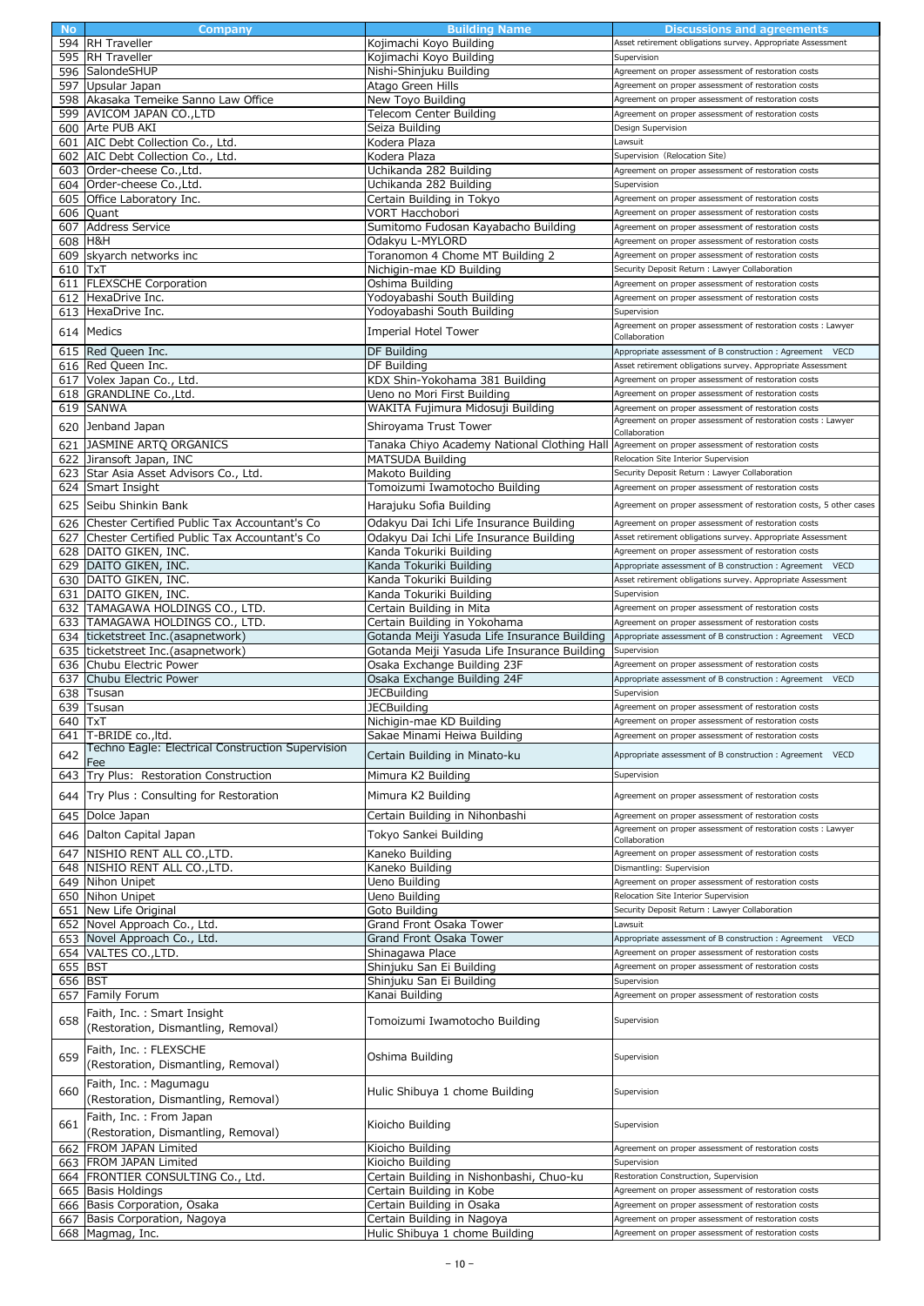| <b>No</b> | Company                                           | <b>Building Name</b>                         | Discussions and agreements                                               |
|-----------|---------------------------------------------------|----------------------------------------------|--------------------------------------------------------------------------|
|           | 594 RH Traveller                                  | Kojimachi Koyo Building                      | Asset retirement obligations survey. Appropriate Assessment              |
|           | 595 RH Traveller                                  | Kojimachi Koyo Building                      | Supervision                                                              |
|           | 596 SalondeSHUP                                   | Nishi-Shinjuku Building                      | Agreement on proper assessment of restoration costs                      |
|           | 597 Upsular Japan                                 | Atago Green Hills                            | Agreement on proper assessment of restoration costs                      |
|           | 598 Akasaka Temeike Sanno Law Office              | New Toyo Building                            | Agreement on proper assessment of restoration costs                      |
|           | 599 AVICOM JAPAN CO., LTD                         | Telecom Center Building                      | Agreement on proper assessment of restoration costs                      |
|           | 600 Arte PUB AKI                                  | Seiza Building                               | Design Supervision                                                       |
|           | 601 AIC Debt Collection Co., Ltd.                 | Kodera Plaza                                 | Lawsuit                                                                  |
|           | 602 AIC Debt Collection Co., Ltd.                 | Kodera Plaza                                 | Supervision (Relocation Site)                                            |
|           |                                                   |                                              |                                                                          |
|           | 603 Order-cheese Co., Ltd.                        | Uchikanda 282 Building                       | Agreement on proper assessment of restoration costs                      |
|           | 604 Order-cheese Co., Ltd.                        | Uchikanda 282 Building                       | Supervision                                                              |
|           | 605 Office Laboratory Inc.                        | Certain Building in Tokyo                    | Agreement on proper assessment of restoration costs                      |
|           | 606 Quant                                         | <b>VORT Hacchobori</b>                       | Agreement on proper assessment of restoration costs                      |
| 607       | <b>Address Service</b>                            | Sumitomo Fudosan Kayabacho Building          | Agreement on proper assessment of restoration costs                      |
| 608 H&H   |                                                   | Odakyu L-MYLORD                              | Agreement on proper assessment of restoration costs                      |
|           | 609 skyarch networks inc                          | Toranomon 4 Chome MT Building 2              | Agreement on proper assessment of restoration costs                      |
| 610 TxT   |                                                   | Nichigin-mae KD Building                     | Security Deposit Return : Lawyer Collaboration                           |
|           | 611   FLEXSCHE Corporation                        | Oshima Building                              | Agreement on proper assessment of restoration costs                      |
|           | 612 HexaDrive Inc.                                | Yodoyabashi South Building                   | Agreement on proper assessment of restoration costs                      |
|           | 613 HexaDrive Inc.                                | Yodoyabashi South Building                   | Supervision                                                              |
|           |                                                   |                                              | Agreement on proper assessment of restoration costs : Lawyer             |
|           | 614 Medics                                        | Imperial Hotel Tower                         | Collaboration                                                            |
|           | 615 Red Queen Inc.                                | DF Building                                  | Appropriate assessment of B construction : Agreement VECD                |
|           |                                                   | DF Building                                  |                                                                          |
|           | 616 Red Queen Inc.                                |                                              | Asset retirement obligations survey. Appropriate Assessment              |
|           | 617 Volex Japan Co., Ltd.                         | KDX Shin-Yokohama 381 Building               | Agreement on proper assessment of restoration costs                      |
|           | 618 GRANDLINE Co., Ltd.                           | Ueno no Mori First Building                  | Agreement on proper assessment of restoration costs                      |
|           | 619 SANWA                                         | WAKITA Fujimura Midosuji Building            | Agreement on proper assessment of restoration costs                      |
|           | 620 Jenband Japan                                 | Shiroyama Trust Tower                        | Agreement on proper assessment of restoration costs : Lawyer             |
|           | 621 JASMINE ARTQ ORGANICS                         | Tanaka Chiyo Academy National Clothing Hall  | Collaboration<br>Agreement on proper assessment of restoration costs     |
|           |                                                   |                                              |                                                                          |
|           | 622 Jiransoft Japan, INC                          | MATSUDA Building                             | Relocation Site Interior Supervision                                     |
|           | 623 Star Asia Asset Advisors Co., Ltd.            | Makoto Building                              | Security Deposit Return : Lawyer Collaboration                           |
|           | 624 Smart Insight                                 | Tomoizumi Iwamotocho Building                | Agreement on proper assessment of restoration costs                      |
|           | 625 Seibu Shinkin Bank                            | Harajuku Sofia Building                      | Agreement on proper assessment of restoration costs, 5 other cases       |
|           | 626 Chester Certified Public Tax Accountant's Co  | Odakyu Dai Ichi Life Insurance Building      | Agreement on proper assessment of restoration costs                      |
|           |                                                   |                                              |                                                                          |
|           | 627 Chester Certified Public Tax Accountant's Co  | Odakyu Dai Ichi Life Insurance Building      | Asset retirement obligations survey. Appropriate Assessment              |
|           | 628 DAITO GIKEN, INC.                             | Kanda Tokuriki Building                      | Agreement on proper assessment of restoration costs                      |
|           | 629 DAITO GIKEN, INC.                             | Kanda Tokuriki Building                      | Appropriate assessment of B construction: Agreement<br><b>VECD</b>       |
|           | 630 DAITO GIKEN, INC.                             | Kanda Tokuriki Building                      | Asset retirement obligations survey. Appropriate Assessment              |
|           | 631   DAITO GIKEN, INC.                           | Kanda Tokuriki Building                      | Supervision                                                              |
|           | 632 TAMAGAWA HOLDINGS CO., LTD.                   | Certain Building in Mita                     | Agreement on proper assessment of restoration costs                      |
|           | 633 TAMAGAWA HOLDINGS CO., LTD.                   | Certain Building in Yokohama                 | Agreement on proper assessment of restoration costs                      |
|           | 634 ticketstreet Inc. (asapnetwork)               | Gotanda Meiji Yasuda Life Insurance Building | Appropriate assessment of B construction : Agreement<br><b>VECD</b>      |
|           |                                                   |                                              |                                                                          |
|           | 635 ticketstreet Inc. (asapnetwork)               | Gotanda Meiji Yasuda Life Insurance Building | Supervision                                                              |
|           | 636 Chubu Electric Power                          | Osaka Exchange Building 23F                  | Agreement on proper assessment of restoration costs                      |
|           |                                                   |                                              |                                                                          |
|           | 637 Chubu Electric Power                          | Osaka Exchange Building 24F                  | Appropriate assessment of B construction : Agreement VECD<br>Supervision |
|           | 638 Tsusan                                        | <b>JECBuilding</b>                           |                                                                          |
|           | 639 Tsusan                                        | <b>JECBuilding</b>                           | Agreement on proper assessment of restoration costs                      |
| 640 IXI   |                                                   | Nichigin-mae KD Building                     | Agreement on proper assessment of restoration costs                      |
|           | 641  T-BRIDE co., ltd.                            | Sakae Minami Heiwa Building                  | Agreement on proper assessment of restoration costs                      |
| 642       | Techno Eagle: Electrical Construction Supervision | Certain Building in Minato-ku                | Appropriate assessment of B construction : Agreement VECD                |
|           | Fee                                               |                                              | Supervision                                                              |
| 643       | Try Plus: Restoration Construction                | Mimura K2 Building                           |                                                                          |
| 644       | Try Plus: Consulting for Restoration              | Mimura K2 Building                           | Agreement on proper assessment of restoration costs                      |
|           |                                                   |                                              | Agreement on proper assessment of restoration costs                      |
| 645       | Dolce Japan                                       | Certain Building in Nihonbashi               | Agreement on proper assessment of restoration costs : Lawyer             |
| 646       | Dalton Capital Japan                              | Tokyo Sankei Building                        | Collaboration                                                            |
| 647       | NISHIO RENT ALL CO., LTD.                         | Kaneko Building                              | Agreement on proper assessment of restoration costs                      |
| 648       | NISHIO RENT ALL CO., LTD.                         | Kaneko Building                              | Dismantling: Supervision                                                 |
|           | Nihon Unipet                                      | Ueno Building                                | Agreement on proper assessment of restoration costs                      |
| 649       |                                                   |                                              | Relocation Site Interior Supervision                                     |
|           | 650 Nihon Unipet                                  | Ueno Building                                |                                                                          |
|           | 651 New Life Original                             | Goto Building                                | Security Deposit Return : Lawyer Collaboration                           |
| 652       | Novel Approach Co., Ltd.                          | Grand Front Osaka Tower                      | Lawsuit                                                                  |
| 653       | Novel Approach Co., Ltd.                          | Grand Front Osaka Tower                      | Appropriate assessment of B construction: Agreement<br><b>VECD</b>       |
|           | 654 VALTES CO., LTD.                              | Shinagawa Place                              | Agreement on proper assessment of restoration costs                      |
| 655 BST   |                                                   | Shinjuku San Ei Building                     | Agreement on proper assessment of restoration costs                      |
| 656 BST   |                                                   | Shinjuku San Ei Building                     | Supervision                                                              |
| 657       | Family Forum                                      | Kanai Building                               | Agreement on proper assessment of restoration costs                      |
|           | Faith, Inc.: Smart Insight                        |                                              |                                                                          |
| 658       |                                                   | Tomoizumi Iwamotocho Building                | Supervision                                                              |
|           | (Restoration, Dismantling, Removal)               |                                              |                                                                          |
|           | Faith, Inc. : FLEXSCHE                            |                                              |                                                                          |
| 659       | (Restoration, Dismantling, Removal)               | Oshima Building                              | Supervision                                                              |
|           |                                                   |                                              |                                                                          |
|           | Faith, Inc.: Magumagu                             |                                              | Supervision                                                              |
| 660       | (Restoration, Dismantling, Removal)               | Hulic Shibuya 1 chome Building               |                                                                          |
|           |                                                   |                                              |                                                                          |
| 661       | Faith, Inc. : From Japan                          | Kioicho Building                             | Supervision                                                              |
|           | (Restoration, Dismantling, Removal)               |                                              |                                                                          |
| 662       | <b>FROM JAPAN Limited</b>                         | Kioicho Building                             | Agreement on proper assessment of restoration costs                      |
| 663       | <b>FROM JAPAN Limited</b>                         | Kioicho Building                             | Supervision                                                              |
|           | 664 FRONTIER CONSULTING Co., Ltd.                 | Certain Building in Nishonbashi, Chuo-ku     | Restoration Construction, Supervision                                    |
| 665       | <b>Basis Holdings</b>                             | Certain Building in Kobe                     | Agreement on proper assessment of restoration costs                      |
|           | 666 Basis Corporation, Osaka                      | Certain Building in Osaka                    | Agreement on proper assessment of restoration costs                      |
| 667       | Basis Corporation, Nagoya                         | Certain Building in Nagoya                   | Agreement on proper assessment of restoration costs                      |
|           | 668 Magmag, Inc.                                  | Hulic Shibuya 1 chome Building               | Agreement on proper assessment of restoration costs                      |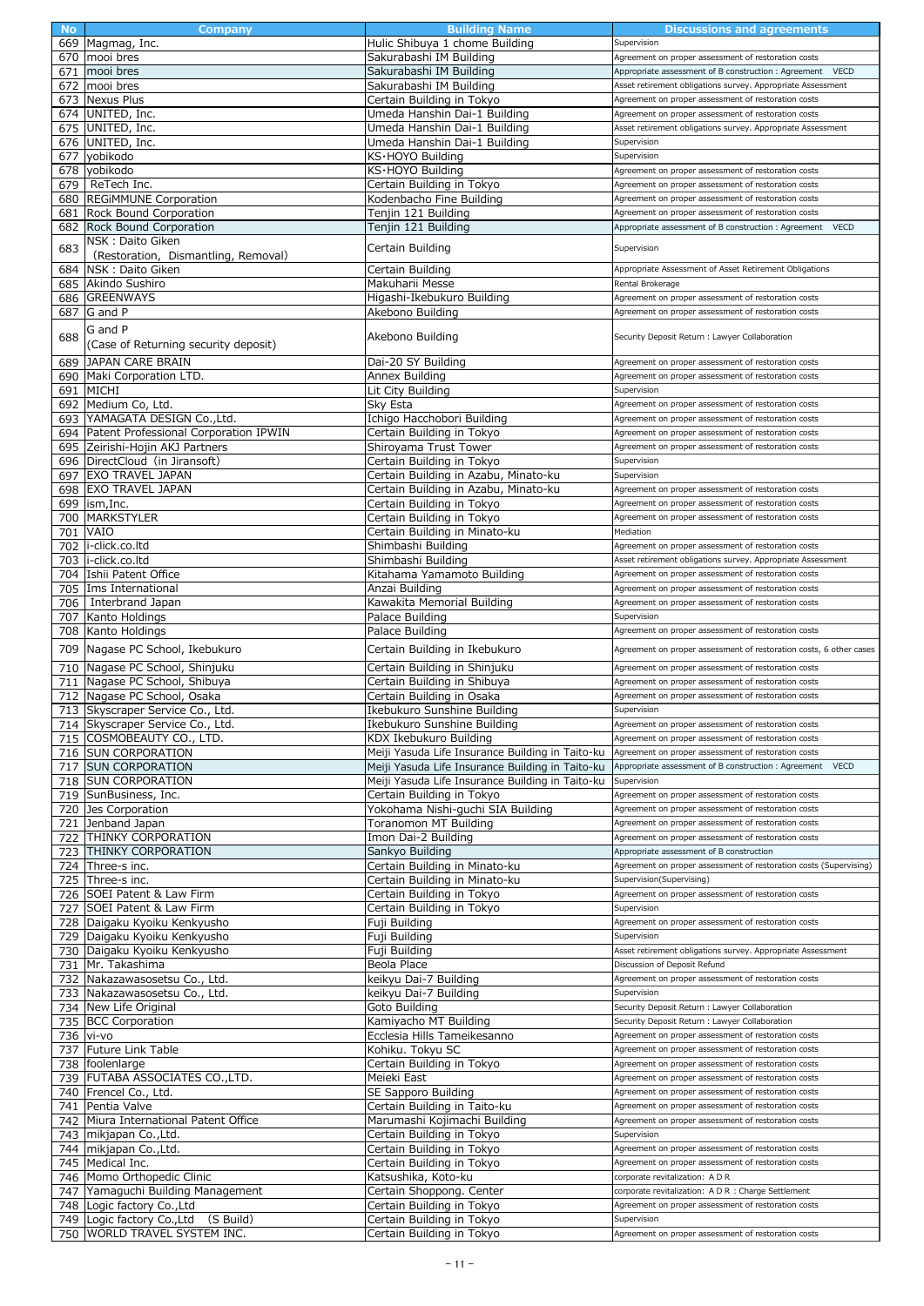|     | Company                                                                 | <b>Building Name</b>                                   | <b>Discussions and agreements</b>                                   |
|-----|-------------------------------------------------------------------------|--------------------------------------------------------|---------------------------------------------------------------------|
|     | 669 Magmag, Inc.                                                        | Hulic Shibuya 1 chome Building                         | Supervision                                                         |
|     |                                                                         |                                                        |                                                                     |
| 670 | mooi bres                                                               | Sakurabashi IM Building                                | Agreement on proper assessment of restoration costs                 |
| 671 | mooi bres                                                               | Sakurabashi IM Building                                | Appropriate assessment of B construction : Agreement<br><b>VECD</b> |
| 672 | mooi bres                                                               | Sakurabashi IM Building                                | Asset retirement obligations survey. Appropriate Assessment         |
|     | 673 Nexus Plus                                                          | Certain Building in Tokyo                              | Agreement on proper assessment of restoration costs                 |
|     |                                                                         |                                                        |                                                                     |
|     | 674 UNITED, Inc.                                                        | Umeda Hanshin Dai-1 Building                           | Agreement on proper assessment of restoration costs                 |
|     | 675 UNITED, Inc.                                                        | Umeda Hanshin Dai-1 Building                           | Asset retirement obligations survey, Appropriate Assessment         |
|     | 676 UNITED, Inc.                                                        | Umeda Hanshin Dai-1 Building                           | Supervision                                                         |
|     |                                                                         |                                                        |                                                                     |
| 677 | vobikodo                                                                | KS∙HOYO Buildina                                       | Supervision                                                         |
| 678 | yobikodo                                                                | KS∙HOYO Building                                       | Agreement on proper assessment of restoration costs                 |
|     | 679   ReTech Inc.                                                       | Certain Building in Tokyo                              | Agreement on proper assessment of restoration costs                 |
|     |                                                                         |                                                        |                                                                     |
|     | 680 REGIMMUNE Corporation                                               | Kodenbacho Fine Building                               | Agreement on proper assessment of restoration costs                 |
|     | 681 Rock Bound Corporation                                              | Tenjin 121 Building                                    | Agreement on proper assessment of restoration costs                 |
|     | 682 Rock Bound Corporation                                              | Tenjin 121 Building                                    | VECD<br>Appropriate assessment of B construction: Agreement         |
|     |                                                                         |                                                        |                                                                     |
| 683 | NSK: Daito Giken                                                        | Certain Building                                       | Supervision                                                         |
|     | (Restoration, Dismantling, Removal)                                     |                                                        |                                                                     |
|     | 684 NSK: Daito Giken                                                    | Certain Building                                       | Appropriate Assessment of Asset Retirement Obligations              |
|     |                                                                         |                                                        |                                                                     |
|     | 685 Akindo Sushiro                                                      | Makuharii Messe                                        | Rental Brokerage                                                    |
|     | 686 GREENWAYS                                                           | Higashi-Ikebukuro Building                             | Agreement on proper assessment of restoration costs                 |
|     | 687 G and P                                                             | Akebono Building                                       | Agreement on proper assessment of restoration costs                 |
|     |                                                                         |                                                        |                                                                     |
|     | G and P                                                                 |                                                        |                                                                     |
| 688 |                                                                         | Akebono Building                                       | Security Deposit Return : Lawyer Collaboration                      |
|     | (Case of Returning security deposit)                                    |                                                        |                                                                     |
| 689 | JAPAN CARE BRAIN                                                        | Dai-20 SY Building                                     | Agreement on proper assessment of restoration costs                 |
|     | 690 Maki Corporation LTD.                                               |                                                        |                                                                     |
|     |                                                                         | Annex Building                                         | Agreement on proper assessment of restoration costs                 |
|     | 691 MICHI                                                               | Lit City Building                                      | Supervision                                                         |
|     | 692 Medium Co, Ltd.                                                     | Sky Esta                                               | Agreement on proper assessment of restoration costs                 |
|     |                                                                         |                                                        |                                                                     |
|     | 693 YAMAGATA DESIGN Co., Ltd.                                           | Ichigo Hacchobori Building                             | Agreement on proper assessment of restoration costs                 |
|     | 694 Patent Professional Corporation IPWIN                               | Certain Building in Tokyo                              | Agreement on proper assessment of restoration costs                 |
|     |                                                                         |                                                        |                                                                     |
|     | 695 Zeirishi-Hojin AKJ Partners                                         | Shiroyama Trust Tower                                  | Agreement on proper assessment of restoration costs                 |
|     | 696 DirectCloud (in Jiransoft)                                          | Certain Building in Tokyo                              | Supervision                                                         |
| 697 | <b>EXO TRAVEL JAPAN</b>                                                 | Certain Building in Azabu, Minato-ku                   | Supervision                                                         |
|     |                                                                         |                                                        |                                                                     |
|     | 698 EXO TRAVEL JAPAN                                                    | Certain Building in Azabu, Minato-ku                   | Agreement on proper assessment of restoration costs                 |
|     | 699  ism,Inc.                                                           | Certain Building in Tokyo                              | Agreement on proper assessment of restoration costs                 |
|     | 700 MARKSTYLER                                                          |                                                        | Agreement on proper assessment of restoration costs                 |
|     |                                                                         | Certain Building in Tokyo                              |                                                                     |
|     | 701 VAIO                                                                | Certain Building in Minato-ku                          | Mediation                                                           |
|     | 702 i-click.co.ltd                                                      | Shimbashi Building                                     | Agreement on proper assessment of restoration costs                 |
|     |                                                                         |                                                        |                                                                     |
|     | 703 li-click.co.ltd                                                     | Shimbashi Building                                     | Asset retirement obligations survey. Appropriate Assessment         |
|     | 704 Ishii Patent Office                                                 | Kitahama Yamamoto Building                             | Agreement on proper assessment of restoration costs                 |
|     | 705 Ims International                                                   | Anzai Building                                         | Agreement on proper assessment of restoration costs                 |
|     |                                                                         |                                                        |                                                                     |
|     | 706   Interbrand Japan                                                  | Kawakita Memorial Building                             | Agreement on proper assessment of restoration costs                 |
|     | 707 Kanto Holdings                                                      | Palace Building                                        | Supervision                                                         |
|     |                                                                         | Palace Building                                        | Agreement on proper assessment of restoration costs                 |
|     | 708 Kanto Holdings                                                      |                                                        |                                                                     |
|     | 709 Nagase PC School, Ikebukuro                                         | Certain Building in Ikebukuro                          | Agreement on proper assessment of restoration costs, 6 other cases  |
|     |                                                                         |                                                        |                                                                     |
|     | 710 Nagase PC School, Shinjuku                                          | Certain Building in Shinjuku                           | Agreement on proper assessment of restoration costs                 |
|     | 711 Nagase PC School, Shibuya                                           | Certain Building in Shibuya                            | Agreement on proper assessment of restoration costs                 |
|     |                                                                         |                                                        |                                                                     |
|     |                                                                         |                                                        |                                                                     |
|     | 712 Nagase PC School, Osaka                                             | Certain Building in Osaka                              | Agreement on proper assessment of restoration costs                 |
|     |                                                                         |                                                        |                                                                     |
|     | 713 Skyscraper Service Co., Ltd.                                        | Ikebukuro Sunshine Building                            | Supervision                                                         |
|     | 714 Skyscraper Service Co., Ltd.                                        | Ikebukuro Sunshine Building                            | Agreement on proper assessment of restoration costs                 |
|     | 715 COSMOBEAUTY CO., LTD.                                               | KDX Ikebukuro Building                                 | Agreement on proper assessment of restoration costs                 |
|     |                                                                         |                                                        |                                                                     |
|     | 716 SUN CORPORATION                                                     | Meiji Yasuda Life Insurance Building in Taito-ku       | Agreement on proper assessment of restoration costs                 |
| 717 | <b>SUN CORPORATION</b>                                                  | Meiji Yasuda Life Insurance Building in Taito-ku       | Appropriate assessment of B construction : Agreement VECD           |
|     | 718 SUN CORPORATION                                                     | Meiji Yasuda Life Insurance Building in Taito-ku       | Supervision                                                         |
|     |                                                                         |                                                        |                                                                     |
|     | 719 SunBusiness, Inc.                                                   | Certain Building in Tokyo                              | Agreement on proper assessment of restoration costs                 |
|     | 720 Jes Corporation                                                     | Yokohama Nishi-guchi SIA Building                      | Agreement on proper assessment of restoration costs                 |
|     | 721 Jenband Japan                                                       | Toranomon MT Building                                  | Agreement on proper assessment of restoration costs                 |
|     |                                                                         |                                                        |                                                                     |
|     | 722 THINKY CORPORATION                                                  | Imon Dai-2 Building                                    | Agreement on proper assessment of restoration costs                 |
|     | 723 THINKY CORPORATION                                                  | Sankyo Building                                        | Appropriate assessment of B construction                            |
|     | 724 Three-s inc.                                                        | Certain Building in Minato-ku                          | Agreement on proper assessment of restoration costs (Supervising)   |
|     |                                                                         |                                                        |                                                                     |
|     | 725 Three-s inc.                                                        | Certain Building in Minato-ku                          | Supervision(Supervising)                                            |
|     | 726 SOEI Patent & Law Firm                                              | Certain Building in Tokyo                              | Agreement on proper assessment of restoration costs                 |
|     | 727 SOEI Patent & Law Firm                                              | Certain Building in Tokyo                              | Supervision                                                         |
|     |                                                                         |                                                        |                                                                     |
|     | 728 Daigaku Kyoiku Kenkyusho                                            | Fuji Building                                          | Agreement on proper assessment of restoration costs                 |
|     | 729 Daigaku Kyoiku Kenkyusho                                            | Fuji Building                                          | Supervision                                                         |
|     | 730 Daigaku Kyoiku Kenkyusho                                            | Fuji Building                                          | Asset retirement obligations survey. Appropriate Assessment         |
|     |                                                                         |                                                        |                                                                     |
|     | 731 Mr. Takashima                                                       | Beola Place                                            | Discussion of Deposit Refund                                        |
|     | 732 Nakazawasosetsu Co., Ltd.                                           | keikyu Dai-7 Building                                  | Agreement on proper assessment of restoration costs                 |
|     |                                                                         | keikyu Dai-7 Building                                  | Supervision                                                         |
|     | 733 Nakazawasosetsu Co., Ltd.                                           |                                                        |                                                                     |
|     | 734 New Life Original                                                   | Goto Building                                          | Security Deposit Return : Lawyer Collaboration                      |
|     | 735 BCC Corporation                                                     | Kamiyacho MT Building                                  | Security Deposit Return : Lawyer Collaboration                      |
|     |                                                                         |                                                        | Agreement on proper assessment of restoration costs                 |
|     | 736 vi-vo                                                               | Ecclesia Hills Tameikesanno                            |                                                                     |
| 737 | Future Link Table                                                       | Kohiku. Tokyu SC                                       | Agreement on proper assessment of restoration costs                 |
|     | 738 foolenlarge                                                         | Certain Building in Tokyo                              | Agreement on proper assessment of restoration costs                 |
|     |                                                                         |                                                        |                                                                     |
|     | 739 FUTABA ASSOCIATES CO.,LTD.                                          | Meieki East                                            | Agreement on proper assessment of restoration costs                 |
|     | 740 Frencel Co., Ltd.                                                   | SE Sapporo Building                                    | Agreement on proper assessment of restoration costs                 |
|     |                                                                         |                                                        | Agreement on proper assessment of restoration costs                 |
| 741 | Pentia Valve                                                            | Certain Building in Taito-ku                           |                                                                     |
|     | 742 Miura International Patent Office                                   | Marumashi Kojimachi Building                           | Agreement on proper assessment of restoration costs                 |
|     | 743 mikjapan Co., Ltd.                                                  | Certain Building in Tokyo                              | Supervision                                                         |
|     |                                                                         |                                                        |                                                                     |
|     | 744 mikjapan Co., Ltd.                                                  | Certain Building in Tokyo                              | Agreement on proper assessment of restoration costs                 |
|     | 745 Medical Inc.                                                        | Certain Building in Tokyo                              | Agreement on proper assessment of restoration costs                 |
|     |                                                                         |                                                        | corporate revitalization: A D R                                     |
|     | 746 Momo Orthopedic Clinic                                              | Katsushika, Koto-ku                                    |                                                                     |
|     | 747 Yamaguchi Building Management                                       | Certain Shoppong. Center                               | corporate revitalization: A D R : Charge Settlement                 |
|     | 748 Logic factory Co., Ltd                                              | Certain Building in Tokyo                              | Agreement on proper assessment of restoration costs                 |
|     |                                                                         |                                                        |                                                                     |
|     | (S Build)<br>749 Logic factory Co., Ltd<br>750 WORLD TRAVEL SYSTEM INC. | Certain Building in Tokyo<br>Certain Building in Tokyo | Supervision<br>Agreement on proper assessment of restoration costs  |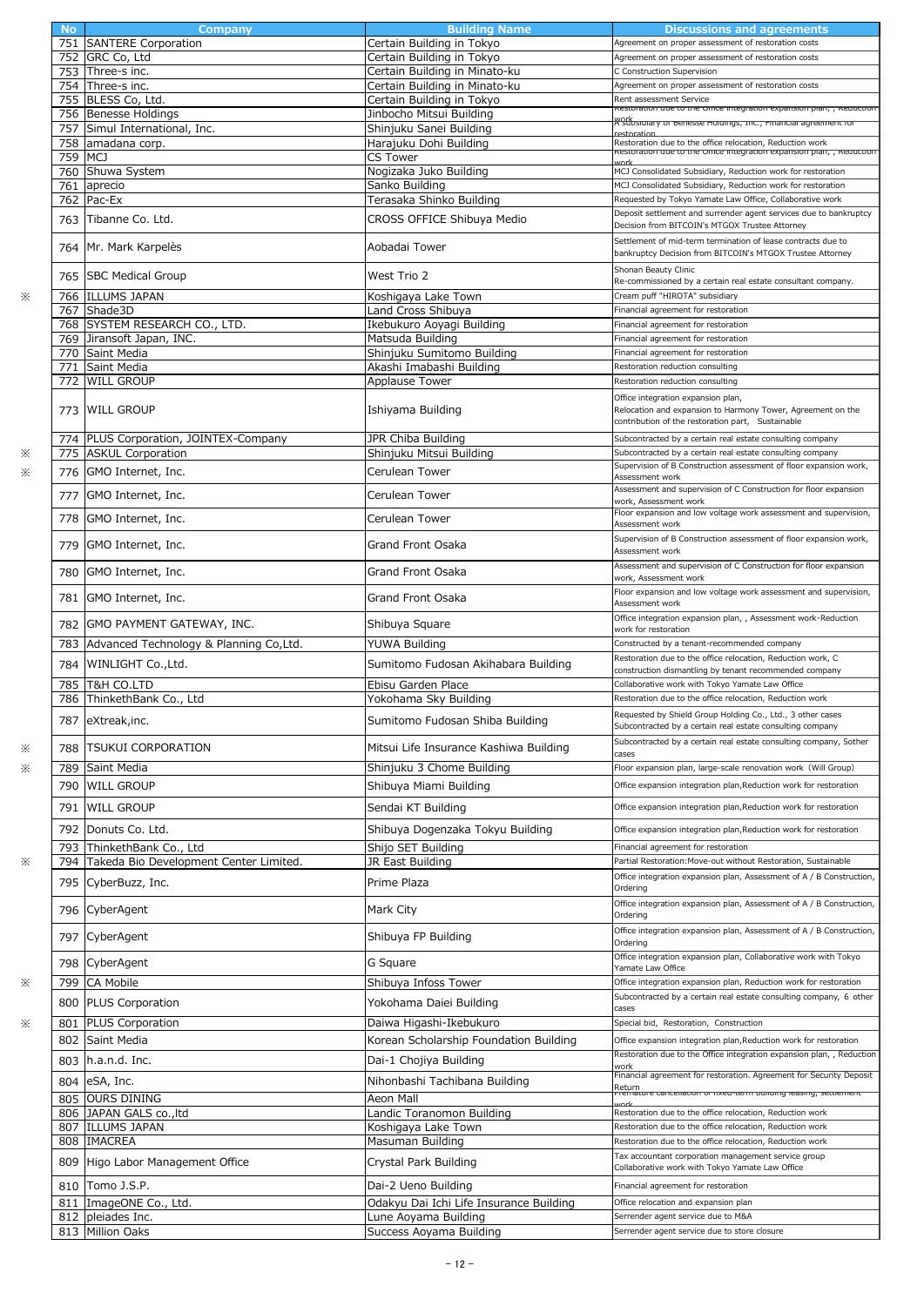|           |                                         | <b>Building Name</b>                    |                                                                                                                                  |
|-----------|-----------------------------------------|-----------------------------------------|----------------------------------------------------------------------------------------------------------------------------------|
| <b>No</b> | Company                                 |                                         | Discussions and agreements                                                                                                       |
| 751       | <b>SANTERE Corporation</b>              | Certain Building in Tokyo               | Agreement on proper assessment of restoration costs                                                                              |
| 752       | GRC Co, Ltd                             | Certain Building in Tokyo               | Agreement on proper assessment of restoration costs                                                                              |
| 753       | Three-s inc.                            | Certain Building in Minato-ku           | C Construction Supervision                                                                                                       |
|           | 754 Three-s inc.                        | Certain Building in Minato-ku           | Agreement on proper assessment of restoration costs                                                                              |
| 755       | BLESS Co, Ltd.                          | Certain Building in Tokyo               | Rent assessment Service                                                                                                          |
| 756       | <b>Benesse Holdings</b>                 | Jinbocho Mitsui Building                | kestoration que to the Onice integration expansion pian, , keductioi                                                             |
| 757       | Simul International, Inc.               | Shinjuku Sanei Building                 | <del>A'Subsiaiary or benesse noiaings, נווכ., רוחמוכומו agreement io</del>                                                       |
|           |                                         |                                         |                                                                                                                                  |
| 758       | amadana corp.                           | Harajuku Dohi Building                  | Restoration due to the office relocation, Reduction work<br>kestoration que to the Onice integration expansion pian, , keduction |
| 759       | MCJ                                     | <b>CS Tower</b>                         |                                                                                                                                  |
| 760       | Shuwa System                            | Nogizaka Juko Building                  | MCJ Consolidated Subsidiary, Reduction work for restoration                                                                      |
| 761       | aprecio                                 | Sanko Building                          | MCJ Consolidated Subsidiary, Reduction work for restoration                                                                      |
| 762       | Pac-Ex                                  | Terasaka Shinko Building                | Requested by Tokyo Yamate Law Office, Collaborative work                                                                         |
| 763       | Tibanne Co. Ltd.                        | CROSS OFFICE Shibuya Medio              | Deposit settlement and surrender agent services due to bankruptcy                                                                |
|           |                                         |                                         | Decision from BITCOIN's MTGOX Trustee Attorney                                                                                   |
|           |                                         | Aobadai Tower                           | Settlement of mid-term termination of lease contracts due to                                                                     |
| 764       | Mr. Mark Karpelès                       |                                         | bankruptcy Decision from BITCOIN's MTGOX Trustee Attorney                                                                        |
|           |                                         |                                         | Shonan Beauty Clinic                                                                                                             |
| 765       | <b>SBC Medical Group</b>                | West Trio 2                             | Re-commissioned by a certain real estate consultant company.                                                                     |
| 766       | <b>ILLUMS JAPAN</b>                     | Koshigaya Lake Town                     | Cream puff "HIROTA" subsidiary                                                                                                   |
| 767       | Shade3D                                 | Land Cross Shibuya                      | Financial agreement for restoration                                                                                              |
| 768       | SYSTEM RESEARCH CO., LTD.               | Ikebukuro Aoyagi Building               | Financial agreement for restoration                                                                                              |
|           |                                         |                                         |                                                                                                                                  |
| 769       | Jiransoft Japan, INC.                   | Matsuda Building                        | Financial agreement for restoration                                                                                              |
| 770       | Saint Media                             | Shinjuku Sumitomo Building              | Financial agreement for restoration                                                                                              |
| 771       | Saint Media                             | Akashi Imabashi Building                | Restoration reduction consulting                                                                                                 |
| 772       | <b>WILL GROUP</b>                       | Applause Tower                          | Restoration reduction consulting                                                                                                 |
|           |                                         |                                         | Office integration expansion plan,                                                                                               |
| 773       | <b>WILL GROUP</b>                       | Ishiyama Building                       | Relocation and expansion to Harmony Tower, Agreement on the                                                                      |
|           |                                         |                                         | contribution of the restoration part, Sustainable                                                                                |
|           | 774 PLUS Corporation, JOINTEX-Company   | JPR Chiba Building                      | Subcontracted by a certain real estate consulting company                                                                        |
| 775       | <b>ASKUL Corporation</b>                | Shinjuku Mitsui Building                | Subcontracted by a certain real estate consulting company                                                                        |
|           |                                         |                                         | Supervision of B Construction assessment of floor expansion work,                                                                |
| 776       | GMO Internet, Inc.                      | Cerulean Tower                          | Assessment work                                                                                                                  |
|           |                                         |                                         | Assessment and supervision of C Construction for floor expansion                                                                 |
| 777       | GMO Internet, Inc.                      | Cerulean Tower                          | work, Assessment work                                                                                                            |
| 778       | GMO Internet, Inc.                      | Cerulean Tower                          | Floor expansion and low voltage work assessment and supervision,                                                                 |
|           |                                         |                                         | Assessment work                                                                                                                  |
| 779       | GMO Internet, Inc.                      | Grand Front Osaka                       | Supervision of B Construction assessment of floor expansion work,                                                                |
|           |                                         |                                         | Assessment work                                                                                                                  |
| 780       | GMO Internet, Inc.                      | Grand Front Osaka                       | Assessment and supervision of C Construction for floor expansion                                                                 |
|           |                                         |                                         | work, Assessment work                                                                                                            |
| 781       | GMO Internet, Inc.                      | Grand Front Osaka                       | Floor expansion and low voltage work assessment and supervision,                                                                 |
|           |                                         |                                         | Assessment work                                                                                                                  |
| 782       | GMO PAYMENT GATEWAY, INC.               | Shibuya Square                          | Office integration expansion plan, , Assessment work·Reduction                                                                   |
|           |                                         |                                         | work for restoration                                                                                                             |
| 783       | Advanced Technology & Planning Co, Ltd. | YUWA Building                           | Constructed by a tenant-recommended company                                                                                      |
| 784       | WINLIGHT Co., Ltd.                      | Sumitomo Fudosan Akihabara Building     | Restoration due to the office relocation, Reduction work, C                                                                      |
|           |                                         |                                         | construction dismantling by tenant recommended company                                                                           |
| 785       | T&H CO.LTD                              | Ebisu Garden Place                      | Collaborative work with Tokyo Yamate Law Office                                                                                  |
| 786       | ThinkethBank Co., Ltd                   | Yokohama Sky Building                   | Restoration due to the office relocation, Reduction work                                                                         |
|           | 787 eXtreak, inc.                       | Sumitomo Fudosan Shiba Building         | Requested by Shield Group Holding Co., Ltd., 3 other cases                                                                       |
|           |                                         |                                         | Subcontracted by a certain real estate consulting company                                                                        |
| 788       | <b>TSUKUI CORPORATION</b>               | Mitsui Life Insurance Kashiwa Building  | Subcontracted by a certain real estate consulting company, 5other                                                                |
|           |                                         |                                         | cases                                                                                                                            |
| 789       | Saint Media                             | Shinjuku 3 Chome Building               | Floor expansion plan, large-scale renovation work (Will Group)                                                                   |
| 790       | <b>WILL GROUP</b>                       | Shibuya Miami Building                  | Office expansion integration plan, Reduction work for restoration                                                                |
|           |                                         |                                         |                                                                                                                                  |
| 791       | <b>WILL GROUP</b>                       | Sendai KT Building                      | Office expansion integration plan, Reduction work for restoration                                                                |
| 792       | Donuts Co. Ltd.                         | Shibuya Dogenzaka Tokyu Building        | Office expansion integration plan, Reduction work for restoration                                                                |
|           |                                         |                                         |                                                                                                                                  |
| 793       | ThinkethBank Co., Ltd                   | Shijo SET Building                      | Financial agreement for restoration                                                                                              |
| 794       | Takeda Bio Development Center Limited.  | JR East Building                        | Partial Restoration: Move-out without Restoration, Sustainable                                                                   |
| 795       | CyberBuzz, Inc.                         | Prime Plaza                             | Office integration expansion plan, Assessment of A / B Construction,                                                             |
|           |                                         |                                         | Ordering                                                                                                                         |
|           | 796 CyberAgent                          | Mark City                               | Office integration expansion plan, Assessment of A / B Construction,                                                             |
|           |                                         |                                         | Ordering                                                                                                                         |
|           |                                         |                                         | Office integration expansion plan, Assessment of A / B Construction,                                                             |
| 797       | CyberAgent                              | Shibuya FP Building                     | Ordering                                                                                                                         |
| 798       | CyberAgent                              | G Square                                | Office integration expansion plan, Collaborative work with Tokyo                                                                 |
|           |                                         |                                         | Yamate Law Office                                                                                                                |
| 799       | <b>CA Mobile</b>                        | Shibuya Infoss Tower                    | Office integration expansion plan, Reduction work for restoration                                                                |
| 800       | <b>PLUS Corporation</b>                 | Yokohama Daiei Building                 | Subcontracted by a certain real estate consulting company, 6 other                                                               |
|           |                                         |                                         | cases                                                                                                                            |
| 801       | <b>PLUS Corporation</b>                 | Daiwa Higashi-Ikebukuro                 | Special bid, Restoration, Construction                                                                                           |
| 802       | Saint Media                             | Korean Scholarship Foundation Building  | Office expansion integration plan, Reduction work for restoration                                                                |
|           |                                         |                                         | Restoration due to the Office integration expansion plan, , Reduction                                                            |
| 803       | h.a.n.d. Inc.                           | Dai-1 Chojiya Building                  | work                                                                                                                             |
|           | 804 eSA, Inc.                           | Nihonbashi Tachibana Building           | Financial agreement for restoration, Agreement for Security Deposit                                                              |
|           |                                         |                                         | Return<br>Premature cancenation or inxed-term building leasing, settlement                                                       |
| 805       | <b>OURS DINING</b>                      | Aeon Mall                               |                                                                                                                                  |
| 806       | JAPAN GALS co., ltd                     | Landic Toranomon Building               | Restoration due to the office relocation, Reduction work                                                                         |
| 807       | <b>ILLUMS JAPAN</b>                     | Koshigaya Lake Town                     | Restoration due to the office relocation, Reduction work                                                                         |
| 808       | <b>IMACREA</b>                          | Masuman Building                        | Restoration due to the office relocation, Reduction work                                                                         |
| 809       | Higo Labor Management Office            | Crystal Park Building                   | Tax accountant corporation management service group                                                                              |
|           |                                         |                                         | Collaborative work with Tokyo Yamate Law Office                                                                                  |
| 810       | Tomo J.S.P.                             | Dai-2 Ueno Building                     | Financial agreement for restoration                                                                                              |
| 811       | ImageONE Co., Ltd.                      | Odakyu Dai Ichi Life Insurance Building | Office relocation and expansion plan                                                                                             |
|           | pleiades Inc.                           |                                         |                                                                                                                                  |
| 812       |                                         | Lune Aoyama Building                    | Serrender agent service due to M&A                                                                                               |
| 813       | Million Oaks                            | Success Aoyama Building                 | Serrender agent service due to store closure                                                                                     |

 $\ddot{\times}$ 

 $\ddot{\times}$  $\ddot{\times}$ 

 $\ddot{\times}$  $\ddot{\times}$ 

 $\ddot{\times}$ 

 $\ddot{\times}$ 

 $\ddot{\times}$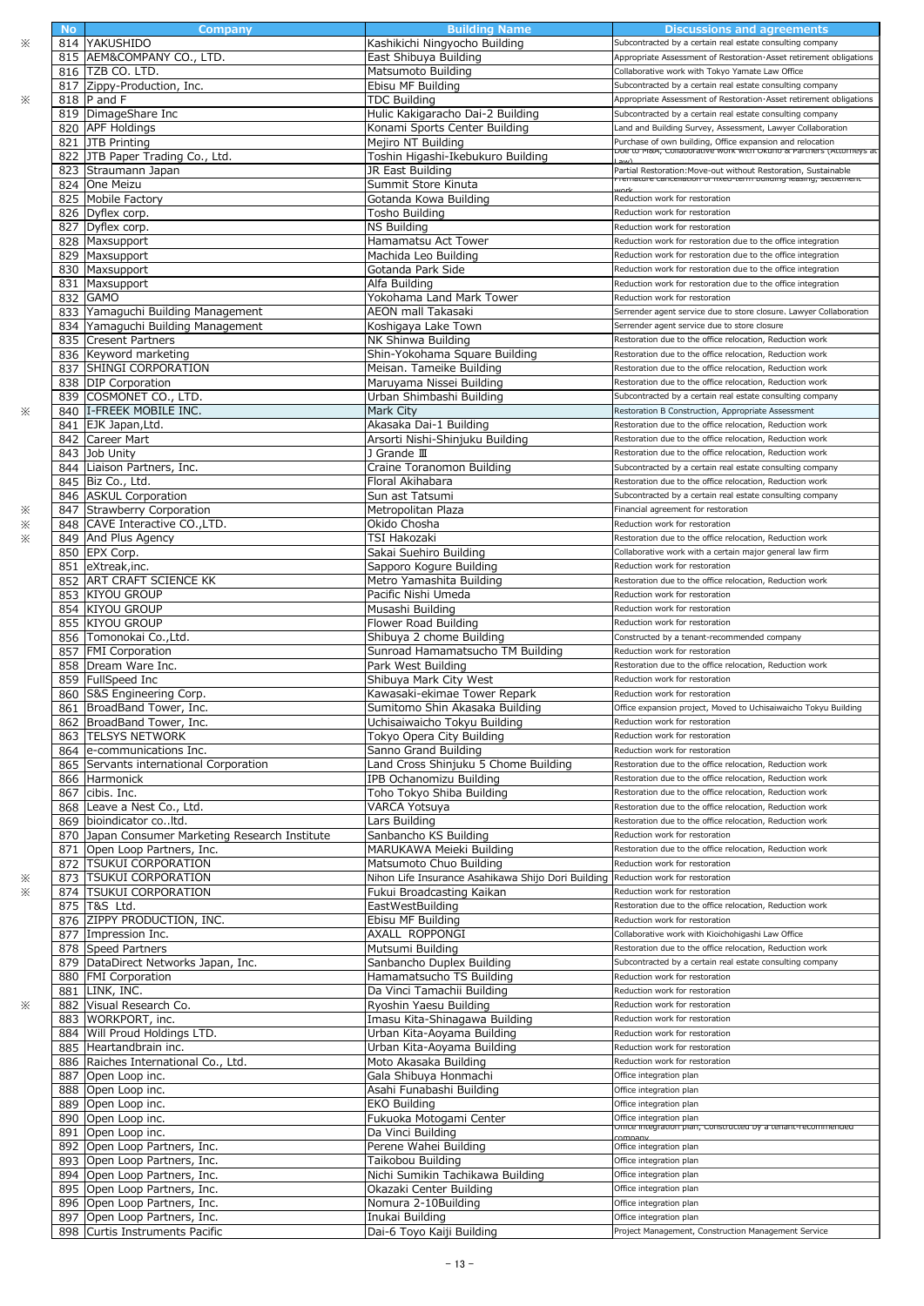|   | <b>No</b> | Company                                                        | <b>Building Name</b>                               | <b>Discussions and agreements</b>                                                                                                  |
|---|-----------|----------------------------------------------------------------|----------------------------------------------------|------------------------------------------------------------------------------------------------------------------------------------|
| ፠ |           | 814 YAKUSHIDO                                                  | Kashikichi Ningyocho Building                      | Subcontracted by a certain real estate consulting company                                                                          |
|   |           | 815 AEM&COMPANY CO., LTD.                                      | East Shibuya Building                              | Appropriate Assessment of Restoration Asset retirement obligations                                                                 |
|   |           |                                                                |                                                    |                                                                                                                                    |
|   |           | 816 TZB CO. LTD.                                               | Matsumoto Building                                 | Collaborative work with Tokyo Yamate Law Office                                                                                    |
|   |           | 817 Zippy-Production, Inc.                                     | Ebisu MF Building                                  | Subcontracted by a certain real estate consulting company                                                                          |
|   |           |                                                                |                                                    |                                                                                                                                    |
| ፠ |           | 818 P and F                                                    | <b>TDC Building</b>                                | Appropriate Assessment of Restoration Asset retirement obligations                                                                 |
|   |           | 819 DimageShare Inc                                            | Hulic Kakigaracho Dai-2 Building                   | Subcontracted by a certain real estate consulting company                                                                          |
|   |           | 820 APF Holdings                                               | Konami Sports Center Building                      | Land and Building Survey, Assessment, Lawyer Collaboration                                                                         |
|   |           |                                                                |                                                    |                                                                                                                                    |
|   |           | 821 JTB Printing                                               | Mejiro NT Building                                 | Purchase of own building, Office expansion and relocation                                                                          |
|   |           | 822 JTB Paper Trading Co., Ltd.                                | Toshin Higashi-Ikebukuro Building                  | <mark>שטפ נט ויומא, כטוומטטו מנועפ שטוג שונוז טגעווט מ Pratine (אננטוזופיז ה</mark> נ                                              |
|   |           |                                                                |                                                    |                                                                                                                                    |
|   |           | 823 Straumann Japan                                            | JR East Building                                   | Partial Restoration: Move-out without Restoration, Sustainable<br>rremature cancenation or rixed-term pulluling leasing, settlemer |
|   |           | 824 One Meizu                                                  | Summit Store Kinuta                                |                                                                                                                                    |
|   |           | 825 Mobile Factory                                             | Gotanda Kowa Building                              | Reduction work for restoration                                                                                                     |
|   |           |                                                                |                                                    |                                                                                                                                    |
|   |           | 826 Dyflex corp.                                               | Tosho Building                                     | Reduction work for restoration                                                                                                     |
|   |           | 827 Dyflex corp.                                               | <b>NS Building</b>                                 | Reduction work for restoration                                                                                                     |
|   |           |                                                                | Hamamatsu Act Tower                                |                                                                                                                                    |
|   |           | 828 Maxsupport                                                 |                                                    | Reduction work for restoration due to the office integration                                                                       |
|   |           | 829 Maxsupport                                                 | Machida Leo Building                               | Reduction work for restoration due to the office integration                                                                       |
|   |           | 830 Maxsupport                                                 | Gotanda Park Side                                  | Reduction work for restoration due to the office integration                                                                       |
|   |           |                                                                |                                                    |                                                                                                                                    |
|   |           | 831 Maxsupport                                                 | Alfa Building                                      | Reduction work for restoration due to the office integration                                                                       |
|   |           | 832 GAMO                                                       | Yokohama Land Mark Tower                           | Reduction work for restoration                                                                                                     |
|   |           | 833 Yamaguchi Building Management                              | AEON mall Takasaki                                 | Serrender agent service due to store closure. Lawyer Collaboration                                                                 |
|   |           |                                                                |                                                    |                                                                                                                                    |
|   |           | 834 Yamaguchi Building Management                              | Koshigaya Lake Town                                | Serrender agent service due to store closure                                                                                       |
|   |           | 835 Cresent Partners                                           | NK Shinwa Building                                 | Restoration due to the office relocation, Reduction work                                                                           |
|   |           |                                                                |                                                    |                                                                                                                                    |
|   |           | 836 Keyword marketing                                          | Shin-Yokohama Square Building                      | Restoration due to the office relocation, Reduction work                                                                           |
|   |           | 837 SHINGI CORPORATION                                         | Meisan. Tameike Building                           | Restoration due to the office relocation, Reduction work                                                                           |
|   |           | 838 DIP Corporation                                            | Maruyama Nissei Building                           | Restoration due to the office relocation, Reduction work                                                                           |
|   |           |                                                                |                                                    |                                                                                                                                    |
|   |           | 839 COSMONET CO., LTD.                                         | Urban Shimbashi Building                           | Subcontracted by a certain real estate consulting company                                                                          |
| ፠ |           | 840 I-FREEK MOBILE INC.                                        | Mark City                                          | Restoration B Construction, Appropriate Assessment                                                                                 |
|   |           | 841 EJK Japan, Ltd.                                            | Akasaka Dai-1 Building                             | Restoration due to the office relocation, Reduction work                                                                           |
|   |           |                                                                |                                                    |                                                                                                                                    |
|   |           | 842 Career Mart                                                | Arsorti Nishi-Shinjuku Building                    | Restoration due to the office relocation, Reduction work                                                                           |
|   |           | 843 Job Unity                                                  | J Grande III                                       | Restoration due to the office relocation, Reduction work                                                                           |
|   |           |                                                                |                                                    |                                                                                                                                    |
|   |           | 844 Liaison Partners, Inc.                                     | Craine Toranomon Building                          | Subcontracted by a certain real estate consulting company                                                                          |
|   |           | 845 Biz Co., Ltd.                                              | Floral Akihabara                                   | Restoration due to the office relocation, Reduction work                                                                           |
|   |           | 846 ASKUL Corporation                                          | Sun ast Tatsumi                                    | Subcontracted by a certain real estate consulting company                                                                          |
|   |           |                                                                |                                                    |                                                                                                                                    |
| ፠ |           | 847 Strawberry Corporation                                     | Metropolitan Plaza                                 | Financial agreement for restoration                                                                                                |
| ፠ | 848       | CAVE Interactive CO., LTD.                                     | Okido Chosha                                       | Reduction work for restoration                                                                                                     |
| ※ |           |                                                                |                                                    |                                                                                                                                    |
|   |           | 849 And Plus Agency                                            | TSI Hakozaki                                       | Restoration due to the office relocation, Reduction work                                                                           |
|   |           | 850 EPX Corp.                                                  | Sakai Suehiro Building                             | Collaborative work with a certain major general law firm                                                                           |
|   |           | 851 eXtreak, inc.                                              | Sapporo Kogure Building                            | Reduction work for restoration                                                                                                     |
|   |           |                                                                |                                                    |                                                                                                                                    |
|   |           | 852 ART CRAFT SCIENCE KK                                       | Metro Yamashita Building                           | Restoration due to the office relocation, Reduction work                                                                           |
|   |           | 853 KIYOU GROUP                                                | Pacific Nishi Umeda                                | Reduction work for restoration                                                                                                     |
|   |           | 854 KIYOU GROUP                                                | Musashi Building                                   | Reduction work for restoration                                                                                                     |
|   |           |                                                                |                                                    |                                                                                                                                    |
|   |           | 855 KIYOU GROUP                                                | Flower Road Building                               | Reduction work for restoration                                                                                                     |
|   |           | 856 Tomonokai Co., Ltd.                                        | Shibuya 2 chome Building                           | Constructed by a tenant-recommended company                                                                                        |
|   |           | 857 FMI Corporation                                            | Sunroad Hamamatsucho TM Building                   | Reduction work for restoration                                                                                                     |
|   |           |                                                                |                                                    |                                                                                                                                    |
|   |           | 858 Dream Ware Inc.                                            | Park West Building                                 | Restoration due to the office relocation, Reduction work                                                                           |
|   |           | 859 FullSpeed Inc                                              | Shibuya Mark City West                             | Reduction work for restoration                                                                                                     |
|   |           | 860 S&S Engineering Corp.                                      | Kawasaki-ekimae Tower Repark                       | Reduction work for restoration                                                                                                     |
|   |           |                                                                |                                                    |                                                                                                                                    |
|   |           | 861 BroadBand Tower, Inc.                                      | Sumitomo Shin Akasaka Building                     | Office expansion project, Moved to Uchisaiwaicho Tokyu Building                                                                    |
|   |           | 862 BroadBand Tower, Inc.                                      | Uchisaiwaicho Tokyu Building                       | Reduction work for restoration                                                                                                     |
|   |           | 863 TELSYS NETWORK                                             |                                                    |                                                                                                                                    |
|   |           |                                                                | Tokyo Opera City Building                          | Reduction work for restoration                                                                                                     |
|   |           | 864 e-communications Inc.                                      | Sanno Grand Building                               | Reduction work for restoration                                                                                                     |
|   |           | 865 Servants international Corporation                         | Land Cross Shinjuku 5 Chome Building               | Restoration due to the office relocation, Reduction work                                                                           |
|   |           |                                                                |                                                    |                                                                                                                                    |
|   |           | 866 Harmonick                                                  | IPB Ochanomizu Building                            | Restoration due to the office relocation, Reduction work                                                                           |
|   |           | 867 cibis. Inc.                                                | Toho Tokyo Shiba Building                          | Restoration due to the office relocation, Reduction work                                                                           |
|   |           | 868 Leave a Nest Co., Ltd.                                     | VARCA Yotsuya                                      | Restoration due to the office relocation, Reduction work                                                                           |
|   |           |                                                                |                                                    |                                                                                                                                    |
|   |           | 869 bioindicator coltd.                                        | Lars Building                                      | Restoration due to the office relocation, Reduction work                                                                           |
|   |           | 870 Japan Consumer Marketing Research Institute                | Sanbancho KS Building                              | Reduction work for restoration                                                                                                     |
|   | 871       | Open Loop Partners, Inc.                                       | MARUKAWA Mejeki Building                           | Restoration due to the office relocation, Reduction work                                                                           |
|   |           |                                                                |                                                    |                                                                                                                                    |
|   |           | 872 TSUKUI CORPORATION                                         | Matsumoto Chuo Building                            | Reduction work for restoration                                                                                                     |
| ፠ |           | 873   TSUKUI CORPORATION                                       | Nihon Life Insurance Asahikawa Shijo Dori Building | Reduction work for restoration                                                                                                     |
| ※ |           | 874 TSUKUI CORPORATION                                         | Fukui Broadcasting Kaikan                          | Reduction work for restoration                                                                                                     |
|   |           |                                                                |                                                    |                                                                                                                                    |
|   |           | 875 T&S Ltd.                                                   | EastWestBuilding                                   | Restoration due to the office relocation, Reduction work                                                                           |
|   |           | 876 ZIPPY PRODUCTION, INC.                                     | Ebisu MF Building                                  | Reduction work for restoration                                                                                                     |
|   |           | 877 Impression Inc.                                            | AXALL ROPPONGI                                     | Collaborative work with Kioichohigashi Law Office                                                                                  |
|   |           |                                                                |                                                    |                                                                                                                                    |
|   |           | 878 Speed Partners                                             | Mutsumi Building                                   | Restoration due to the office relocation, Reduction work                                                                           |
|   |           | 879 DataDirect Networks Japan, Inc.                            | Sanbancho Duplex Building                          | Subcontracted by a certain real estate consulting company                                                                          |
|   |           |                                                                |                                                    |                                                                                                                                    |
|   |           |                                                                |                                                    |                                                                                                                                    |
|   |           | 880 FMI Corporation                                            | Hamamatsucho TS Building                           | Reduction work for restoration                                                                                                     |
| ፠ |           | 881 LINK, INC.                                                 | Da Vinci Tamachii Building                         | Reduction work for restoration                                                                                                     |
|   |           |                                                                |                                                    | Reduction work for restoration                                                                                                     |
|   | 882       | Visual Research Co.                                            | Ryoshin Yaesu Building                             |                                                                                                                                    |
|   |           | 883 WORKPORT, inc.                                             | Imasu Kita-Shinagawa Building                      | Reduction work for restoration                                                                                                     |
|   |           | 884 Will Proud Holdings LTD.                                   | Urban Kita-Aoyama Building                         | Reduction work for restoration                                                                                                     |
|   |           |                                                                |                                                    |                                                                                                                                    |
|   |           | 885 Heartandbrain inc.                                         | Urban Kita-Aoyama Building                         | Reduction work for restoration                                                                                                     |
|   |           | 886 Raiches International Co., Ltd.                            | Moto Akasaka Building                              | Reduction work for restoration                                                                                                     |
|   | 887       | Open Loop inc.                                                 | Gala Shibuya Honmachi                              | Office integration plan                                                                                                            |
|   |           |                                                                |                                                    |                                                                                                                                    |
|   |           | 888 Open Loop inc.                                             | Asahi Funabashi Building                           | Office integration plan                                                                                                            |
|   |           | 889 Open Loop inc.                                             | <b>EKO Building</b>                                | Office integration plan                                                                                                            |
|   |           |                                                                |                                                    | Office integration plan                                                                                                            |
|   | 890       | Open Loop inc.                                                 | Fukuoka Motogami Center                            | <del>omce integration pian, constructed by a tenant-recommende</del> d                                                             |
|   |           | 891 Open Loop inc.                                             | Da Vinci Building                                  |                                                                                                                                    |
|   | 892       | Open Loop Partners, Inc.                                       | Perene Wahei Building                              | Office integration plan                                                                                                            |
|   |           |                                                                |                                                    |                                                                                                                                    |
|   |           | 893 Open Loop Partners, Inc.                                   | Taikobou Building                                  | Office integration plan                                                                                                            |
|   |           | 894 Open Loop Partners, Inc.                                   | Nichi Sumikin Tachikawa Building                   | Office integration plan                                                                                                            |
|   |           | 895 Open Loop Partners, Inc.                                   | Okazaki Center Building                            | Office integration plan                                                                                                            |
|   |           |                                                                |                                                    | Office integration plan                                                                                                            |
|   |           | 896 Open Loop Partners, Inc.                                   | Nomura 2-10Building                                |                                                                                                                                    |
|   |           | 897 Open Loop Partners, Inc.<br>898 Curtis Instruments Pacific | Inukai Building<br>Dai-6 Toyo Kaiji Building       | Office integration plan<br>Project Management, Construction Management Service                                                     |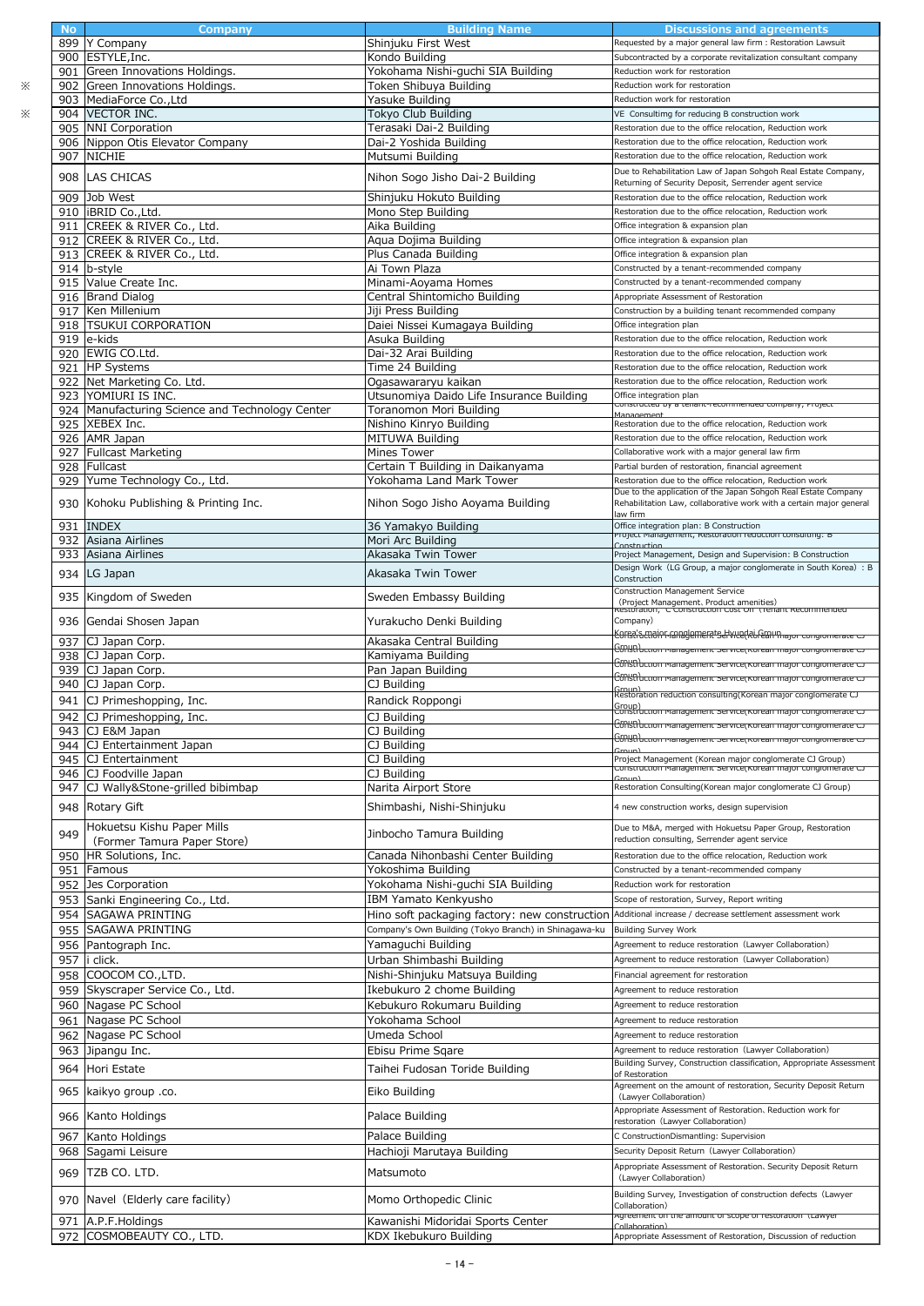|           | <b>Company</b>                                  | <b>Building Name</b>                                  |                                                                                                                            |
|-----------|-------------------------------------------------|-------------------------------------------------------|----------------------------------------------------------------------------------------------------------------------------|
| <b>No</b> |                                                 |                                                       | Discussions and agreements<br>Requested by a major general law firm : Restoration Lawsuit                                  |
|           | 899 Y Company                                   | Shinjuku First West                                   |                                                                                                                            |
|           | 900 ESTYLE, Inc.                                | Kondo Building                                        | Subcontracted by a corporate revitalization consultant company                                                             |
|           | 901 Green Innovations Holdings.                 | Yokohama Nishi-guchi SIA Building                     | Reduction work for restoration                                                                                             |
| 902       | Green Innovations Holdings.                     | Token Shibuya Building                                | Reduction work for restoration                                                                                             |
|           | 903 MediaForce Co., Ltd                         | Yasuke Building                                       | Reduction work for restoration                                                                                             |
|           | 904 VECTOR INC.                                 | Tokyo Club Building                                   | VE Consultimg for reducing B construction work                                                                             |
|           | 905 NNI Corporation                             | Terasaki Dai-2 Building                               | Restoration due to the office relocation, Reduction work                                                                   |
|           | 906 Nippon Otis Elevator Company                | Dai-2 Yoshida Building                                | Restoration due to the office relocation, Reduction work                                                                   |
| 907       | <b>NICHIE</b>                                   | Mutsumi Building                                      | Restoration due to the office relocation, Reduction work                                                                   |
| 908       | <b>LAS CHICAS</b>                               | Nihon Sogo Jisho Dai-2 Building                       | Due to Rehabilitation Law of Japan Sohgoh Real Estate Company,                                                             |
|           |                                                 |                                                       | Returning of Security Deposit, Serrender agent service                                                                     |
| 909       | Job West                                        | Shinjuku Hokuto Building                              | Restoration due to the office relocation, Reduction work                                                                   |
|           | 910 BRID Co., Ltd.                              | Mono Step Building                                    | Restoration due to the office relocation, Reduction work                                                                   |
|           | 911 CREEK & RIVER Co., Ltd.                     | Aika Building                                         | Office integration & expansion plan                                                                                        |
|           | 912 CREEK & RIVER Co., Ltd.                     | Agua Dojima Building                                  | Office integration & expansion plan                                                                                        |
|           | 913 CREEK & RIVER Co., Ltd.                     | Plus Canada Building                                  | Office integration & expansion plan                                                                                        |
|           | 914 b-style                                     | Ai Town Plaza                                         | Constructed by a tenant-recommended company                                                                                |
|           | 915 Value Create Inc.                           | Minami-Aoyama Homes                                   | Constructed by a tenant-recommended company                                                                                |
|           | 916 Brand Dialog                                | Central Shintomicho Building                          | Appropriate Assessment of Restoration                                                                                      |
| 917       | Ken Millenium                                   | Jiji Press Building                                   | Construction by a building tenant recommended company                                                                      |
|           | 918 TSUKUI CORPORATION                          | Daiei Nissei Kumagaya Building                        | Office integration plan                                                                                                    |
|           | 919 e-kids                                      | Asuka Building                                        | Restoration due to the office relocation, Reduction work                                                                   |
|           | 920 EWIG CO.Ltd.                                | Dai-32 Arai Building                                  | Restoration due to the office relocation, Reduction work                                                                   |
|           | 921 HP Systems                                  | Time 24 Building                                      | Restoration due to the office relocation, Reduction work                                                                   |
| 922       | Net Marketing Co. Ltd.                          | Ogasawararyu kaikan                                   | Restoration due to the office relocation, Reduction work                                                                   |
|           | 923 YOMIURI IS INC.                             | Utsunomiya Daido Life Insurance Building              | Office integration plan                                                                                                    |
|           | 924 Manufacturing Science and Technology Center | Toranomon Mori Building                               | constructed by a tenant-recommended company, Project                                                                       |
|           |                                                 |                                                       | Management<br>Restoration due to the office relocation, Reduction work                                                     |
|           | 925 XEBEX Inc.<br>926 AMR Japan                 | Nishino Kinryo Building<br><b>MITUWA Building</b>     |                                                                                                                            |
|           |                                                 |                                                       | Restoration due to the office relocation, Reduction work                                                                   |
|           | 927 Fullcast Marketing                          | Mines Tower                                           | Collaborative work with a major general law firm                                                                           |
|           | 928 Fullcast                                    | Certain T Building in Daikanyama                      | Partial burden of restoration, financial agreement                                                                         |
|           | 929 Yume Technology Co., Ltd.                   | Yokohama Land Mark Tower                              | Restoration due to the office relocation, Reduction work<br>Due to the application of the Japan Sohgoh Real Estate Company |
| 930       | Kohoku Publishing & Printing Inc.               | Nihon Sogo Jisho Aoyama Building                      | Rehabilitation Law, collaborative work with a certain major general                                                        |
|           |                                                 |                                                       | law firm                                                                                                                   |
| 931       | <b>INDEX</b>                                    | 36 Yamakyo Building                                   | Office integration plan: B Construction                                                                                    |
| 932       | Asiana Airlines                                 | Mori Arc Building                                     | rroject management, Kestoration requetion consulting. E<br>Construction                                                    |
| 933       | Asiana Airlines                                 | Akasaka Twin Tower                                    | Project Management, Design and Supervision: B Construction                                                                 |
|           |                                                 |                                                       | Design Work (LG Group, a major conglomerate in South Korea) : B                                                            |
|           | 934 LG Japan                                    | Akasaka Twin Tower                                    | Construction                                                                                                               |
| 935       | Kingdom of Sweden                               | Sweden Embassy Building                               | Construction Management Service                                                                                            |
|           |                                                 |                                                       | (Project Management、Product amenities)<br>Restoration,C Construction Cost On Trenant Recommended                           |
|           | 936 Gendai Shosen Japan                         | Yurakucho Denki Building                              | Company)                                                                                                                   |
|           |                                                 |                                                       | Korsa's major ranagemerats Hyue(Rilfean hajor congionnerate                                                                |
| 937       | CJ Japan Corp.                                  | Akasaka Central Building                              | ( <del>C6NSD นะแบท พลกลgement service(Korean major congionierate</del> )                                                   |
|           | 938 CJ Japan Corp.                              | Kamiyama Building                                     | <del>Cชัก\str\น.cuon management service(Korean major congiomerate เ</del>                                                  |
| 939       | CJ Japan Corp.                                  | Pan Japan Building                                    | <del>C60ISB மெல்பாவ்வதுமாகாட் service(Korean major congionnerate ட</del>                                                   |
|           | 940 CJ Japan Corp.                              | CJ Building                                           | Group)<br>Restoration reduction consulting(Korean major conglomerate CJ                                                    |
|           | 941 CJ Primeshopping, Inc.                      | Randick Roppongi                                      | Group)                                                                                                                     |
|           | 942 CJ Primeshopping, Inc.                      | CJ Building                                           | <u>construction management Service(Korean major congionierate C)</u>                                                       |
|           | 943 CJ E&M Japan                                | CJ Building                                           | ה למחולם להתורשות והמשפחות להתורשות המונים להתוכנות להתוכנות המונים להתוכנות להתוכנות המונים להתוכנות המונים ל             |
|           | 944 CJ Entertainment Japan                      | CJ Building                                           | <del>C6NSD עכנוסה ויום וום פירופות אפר</del> ינכפן <i>וכ</i> ות פורות המוסיר כסוקוסו וופו מגפי כ                           |
|           | 945 CJ Entertainment                            | CJ Building                                           | Project Management (Korean major conglomerate CJ Group)                                                                    |
|           | 946 CJ Foodville Japan                          | CJ Building                                           | construction management service(Korean major congromerate CJ                                                               |
|           | 947 CJ Wally&Stone-grilled bibimbap             | Narita Airport Store                                  | Restoration Consulting(Korean major conglomerate CJ Group)                                                                 |
|           |                                                 |                                                       |                                                                                                                            |
|           | 948 Rotary Gift                                 | Shimbashi, Nishi-Shinjuku                             | 4 new construction works, design supervision                                                                               |
|           | Hokuetsu Kishu Paper Mills                      |                                                       | Due to M&A, merged with Hokuetsu Paper Group, Restoration                                                                  |
| 949       | (Former Tamura Paper Store)                     | Jinbocho Tamura Building                              | reduction consulting, Serrender agent service                                                                              |
| 950       | HR Solutions, Inc.                              | Canada Nihonbashi Center Building                     | Restoration due to the office relocation, Reduction work                                                                   |
| 951       | Famous                                          | Yokoshima Building                                    | Constructed by a tenant-recommended company                                                                                |
| 952       | Jes Corporation                                 | Yokohama Nishi-guchi SIA Building                     | Reduction work for restoration                                                                                             |
|           | 953 Sanki Engineering Co., Ltd.                 | IBM Yamato Kenkyusho                                  | Scope of restoration, Survey, Report writing                                                                               |
| 954       | <b>SAGAWA PRINTING</b>                          | Hino soft packaging factory: new construction         | Additional increase / decrease settlement assessment work                                                                  |
|           | 955 SAGAWA PRINTING                             | Company's Own Building (Tokyo Branch) in Shinagawa-ku | <b>Building Survey Work</b>                                                                                                |
|           |                                                 |                                                       |                                                                                                                            |
|           | 956 Pantograph Inc.                             | Yamaguchi Building                                    | Agreement to reduce restoration (Lawyer Collaboration)                                                                     |
| 957       | i click.                                        | Urban Shimbashi Building                              | Agreement to reduce restoration (Lawyer Collaboration)                                                                     |
|           | 958 COOCOM CO., LTD.                            | Nishi-Shinjuku Matsuya Building                       | Financial agreement for restoration                                                                                        |
|           | 959 Skyscraper Service Co., Ltd.                | Ikebukuro 2 chome Building                            | Agreement to reduce restoration                                                                                            |
|           | 960 Nagase PC School                            | Kebukuro Rokumaru Building                            | Agreement to reduce restoration                                                                                            |
|           | 961 Nagase PC School                            | Yokohama School                                       | Agreement to reduce restoration                                                                                            |
|           | 962 Nagase PC School                            | Umeda School                                          | Agreement to reduce restoration                                                                                            |
|           | 963 Jipangu Inc.                                | Ebisu Prime Sqare                                     | Agreement to reduce restoration (Lawyer Collaboration)                                                                     |
|           |                                                 |                                                       | Building Survey, Construction classification, Appropriate Assessment                                                       |
| 964       | Hori Estate                                     | Taihei Fudosan Toride Building                        | of Restoration                                                                                                             |
|           | .co و965 kaikyo group.                          | Eiko Building                                         | Agreement on the amount of restoration, Security Deposit Return                                                            |
|           |                                                 |                                                       | (Lawyer Collaboration)                                                                                                     |
|           | 966 Kanto Holdings                              | Palace Building                                       | Appropriate Assessment of Restoration, Reduction work for                                                                  |
|           |                                                 |                                                       | restoration (Lawyer Collaboration)                                                                                         |
| 967       | Kanto Holdings                                  | Palace Building                                       | C ConstructionDismantling: Supervision                                                                                     |
| 968       | Sagami Leisure                                  | Hachioji Marutaya Building                            | Security Deposit Return (Lawyer Collaboration)                                                                             |
| 969       | TZB CO. LTD.                                    | Matsumoto                                             | Appropriate Assessment of Restoration, Security Deposit Return                                                             |
|           |                                                 |                                                       | (Lawyer Collaboration)                                                                                                     |
|           | 970 Navel (Elderly care facility)               | Momo Orthopedic Clinic                                | Building Survey, Investigation of construction defects (Lawyer                                                             |
|           |                                                 |                                                       | Collaboration)                                                                                                             |
|           | 971 A.P.F.Holdings                              | Kawanishi Midoridai Sports Center                     | Agreement on the amount or scope or restoration (Lawyer                                                                    |
|           | 972 COSMOBEAUTY CO., LTD.                       | KDX Ikebukuro Building                                | Appropriate Assessment of Restoration, Discussion of reduction                                                             |